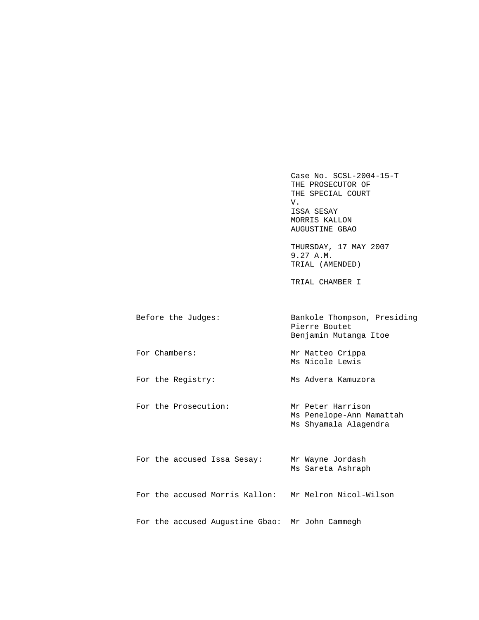Case No. SCSL-2004-15-T THE PROSECUTOR OF THE SPECIAL COURT V. V. ISSA SESAY MORRIS KALLON AUGUSTINE GBAO

> THURSDAY, 17 MAY 2007 9.27 A.M. TRIAL (AMENDED)

TRIAL CHAMBER I

| Before the Judges: | Bankole Thompson, Presiding<br>Pierre Boutet<br>Benjamin Mutanga Itoe |
|--------------------|-----------------------------------------------------------------------|
| For Chambers:      | Mr Matteo Crippa<br>Ms Nicole Lewis                                   |
| For the Registry:  | Ms Advera Kamuzora                                                    |

For the Prosecution: Mr Peter Harrison Ms Penelope-Ann Mamattah Ms Shyamala Alagendra

|  |  | For the accused Issa Sesay:                     | Mr Wayne Jordash<br>Ms Sareta Ashraph |
|--|--|-------------------------------------------------|---------------------------------------|
|  |  | For the accused Morris Kallon:                  | Mr Melron Nicol-Wilson                |
|  |  | For the accused Augustine Gbao: Mr John Cammegh |                                       |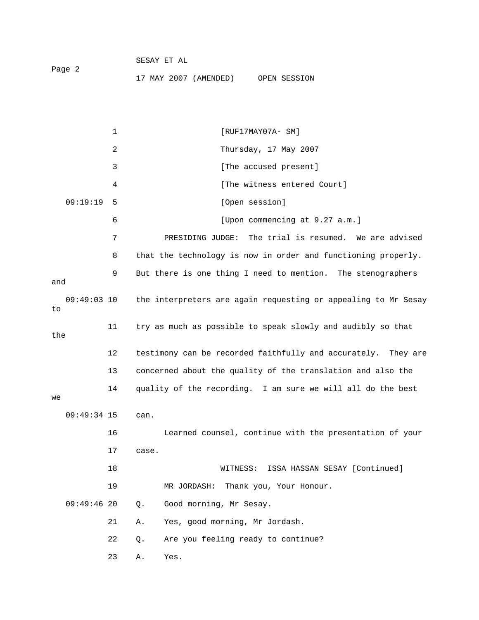|        |  | SESAY ET AL |                       |              |
|--------|--|-------------|-----------------------|--------------|
| Paqe 2 |  |             |                       |              |
|        |  |             | 17 MAY 2007 (AMENDED) | OPEN SESSION |

1 [RUF17MAY07A- SM] 2 Thursday, 17 May 2007 3 [The accused present] 4 [The witness entered Court] 09:19:19 5 [Open session] 6 [Upon commencing at 9.27 a.m.] 7 PRESIDING JUDGE: The trial is resumed. We are advised 8 that the technology is now in order and functioning properly. 9 But there is one thing I need to mention. The stenographers and 09:49:03 10 the interpreters are again requesting or appealing to Mr Sesay to 11 try as much as possible to speak slowly and audibly so that the 12 testimony can be recorded faithfully and accurately. They are 13 concerned about the quality of the translation and also the 14 quality of the recording. I am sure we will all do the best  $W$  09:49:34 15 can. 16 Learned counsel, continue with the presentation of your 17 case. 18 WITNESS: ISSA HASSAN SESAY [Continued] 19 MR JORDASH: Thank you, Your Honour. 09:49:46 20 Q. Good morning, Mr Sesay. 21 A. Yes, good morning, Mr Jordash. 22 Q. Are you feeling ready to continue?

23 A. Yes.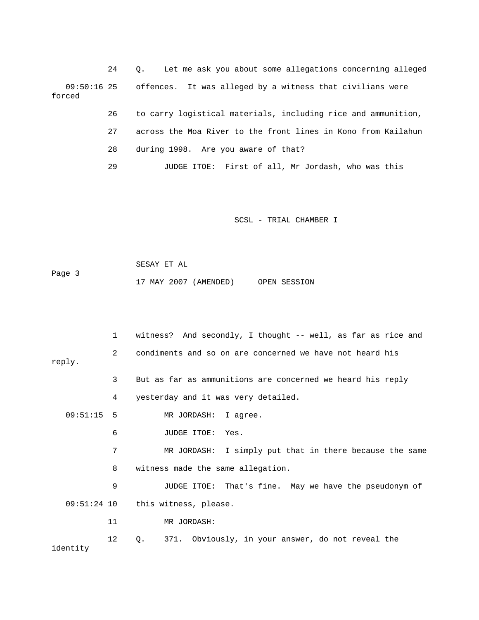24 Q. Let me ask you about some allegations concerning alleged 09:50:16 25 offences. It was alleged by a witness that civilians were forced

26 to carry logistical materials, including rice and ammunition,

27 across the Moa River to the front lines in Kono from Kailahun

28 during 1998. Are you aware of that?

29 JUDGE ITOE: First of all, Mr Jordash, who was this

SCSL - TRIAL CHAMBER I

 SESAY ET AL Page 3 17 MAY 2007 (AMENDED) OPEN SESSION

 1 witness? And secondly, I thought -- well, as far as rice and 2 condiments and so on are concerned we have not heard his reply. 3 But as far as ammunitions are concerned we heard his reply 4 yesterday and it was very detailed. 09:51:15 5 MR JORDASH: I agree. 6 JUDGE ITOE: Yes. 7 MR JORDASH: I simply put that in there because the same 8 witness made the same allegation. 9 JUDGE ITOE: That's fine. May we have the pseudonym of 09:51:24 10 this witness, please. 11 MR JORDASH: 12 Q. 371. Obviously, in your answer, do not reveal the identity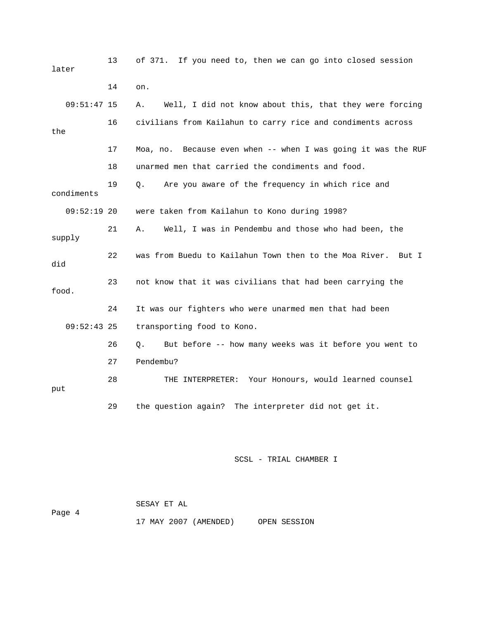| later         | 13 | of 371. If you need to, then we can go into closed session       |
|---------------|----|------------------------------------------------------------------|
|               | 14 | on.                                                              |
| $09:51:47$ 15 |    | Well, I did not know about this, that they were forcing<br>Α.    |
| the           | 16 | civilians from Kailahun to carry rice and condiments across      |
|               | 17 | Because even when -- when I was going it was the RUF<br>Moa, no. |
|               | 18 | unarmed men that carried the condiments and food.                |
| condiments    | 19 | Are you aware of the frequency in which rice and<br>Q.           |
| $09:52:19$ 20 |    | were taken from Kailahun to Kono during 1998?                    |
| supply        | 21 | Well, I was in Pendembu and those who had been, the<br>Α.        |
| did           | 22 | was from Buedu to Kailahun Town then to the Moa River.<br>But I  |
| food.         | 23 | not know that it was civilians that had been carrying the        |
|               | 24 | It was our fighters who were unarmed men that had been           |
| $09:52:43$ 25 |    | transporting food to Kono.                                       |
|               | 26 | But before -- how many weeks was it before you went to<br>Q.     |
|               | 27 | Pendembu?                                                        |
| put           | 28 | Your Honours, would learned counsel<br>THE INTERPRETER:          |
|               | 29 | the question again? The interpreter did not get it.              |

|        | SESAY ET AL |                       |              |
|--------|-------------|-----------------------|--------------|
| Page 4 |             |                       |              |
|        |             | 17 MAY 2007 (AMENDED) | OPEN SESSION |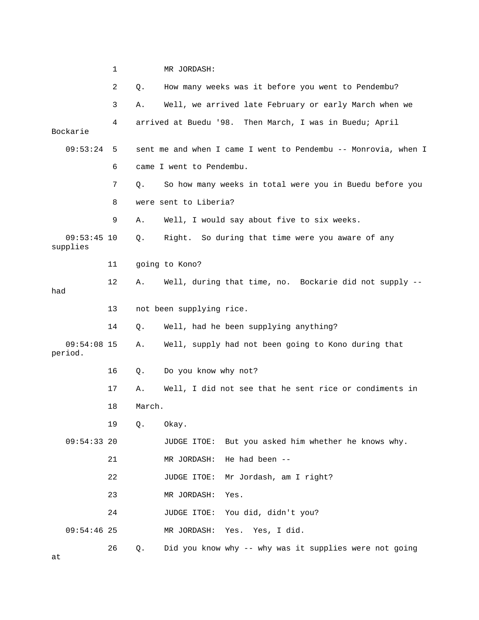|                           | 1  |        | MR JORDASH:                                                    |
|---------------------------|----|--------|----------------------------------------------------------------|
|                           | 2  | Q.     | How many weeks was it before you went to Pendembu?             |
|                           | 3  | Α.     | Well, we arrived late February or early March when we          |
| Bockarie                  | 4  |        | arrived at Buedu '98. Then March, I was in Buedu; April        |
| 09:53:24                  | 5  |        | sent me and when I came I went to Pendembu -- Monrovia, when I |
|                           | 6  |        | came I went to Pendembu.                                       |
|                           | 7  | Q.     | So how many weeks in total were you in Buedu before you        |
|                           | 8  |        | were sent to Liberia?                                          |
|                           | 9  | Α.     | Well, I would say about five to six weeks.                     |
| $09:53:45$ 10<br>supplies |    | Q.     | Right. So during that time were you aware of any               |
|                           | 11 |        | going to Kono?                                                 |
| had                       | 12 | Α.     | Well, during that time, no. Bockarie did not supply --         |
|                           | 13 |        | not been supplying rice.                                       |
|                           | 14 | Q.     | Well, had he been supplying anything?                          |
| $09:54:08$ 15<br>period.  |    | Α.     | Well, supply had not been going to Kono during that            |
|                           | 16 | Q.     | Do you know why not?                                           |
|                           | 17 | Α.     | Well, I did not see that he sent rice or condiments in         |
|                           | 18 | March. |                                                                |
|                           | 19 | Q.     | Okay.                                                          |
| $09:54:33$ 20             |    |        | JUDGE ITOE: But you asked him whether he knows why.            |
|                           | 21 |        | He had been --<br>MR JORDASH:                                  |
|                           | 22 |        | Mr Jordash, am I right?<br>JUDGE ITOE:                         |
|                           | 23 |        | MR JORDASH:<br>Yes.                                            |
|                           | 24 |        | JUDGE ITOE: You did, didn't you?                               |
| $09:54:46$ 25             |    |        | MR JORDASH: Yes. Yes, I did.                                   |
| at                        | 26 | Q.     | Did you know why -- why was it supplies were not going         |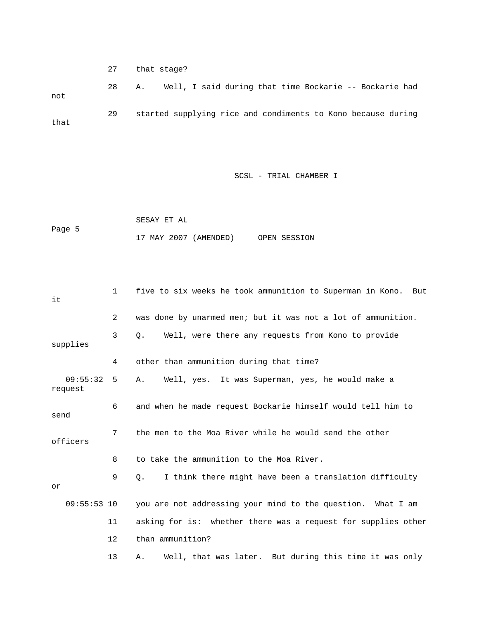27 that stage? 28 A. Well, I said during that time Bockarie -- Bockarie had not 29 started supplying rice and condiments to Kono because during that

SCSL - TRIAL CHAMBER I

 SESAY ET AL Page 5 17 MAY 2007 (AMENDED) OPEN SESSION

 1 five to six weeks he took ammunition to Superman in Kono. But it 2 was done by unarmed men; but it was not a lot of ammunition. 3 Q. Well, were there any requests from Kono to provide supplies 4 other than ammunition during that time? 09:55:32 5 A. Well, yes. It was Superman, yes, he would make a request 6 and when he made request Bockarie himself would tell him to send 7 the men to the Moa River while he would send the other officers 8 to take the ammunition to the Moa River. 9 Q. I think there might have been a translation difficulty or 09:55:53 10 you are not addressing your mind to the question. What I am 11 asking for is: whether there was a request for supplies other 12 than ammunition?

13 A. Well, that was later. But during this time it was only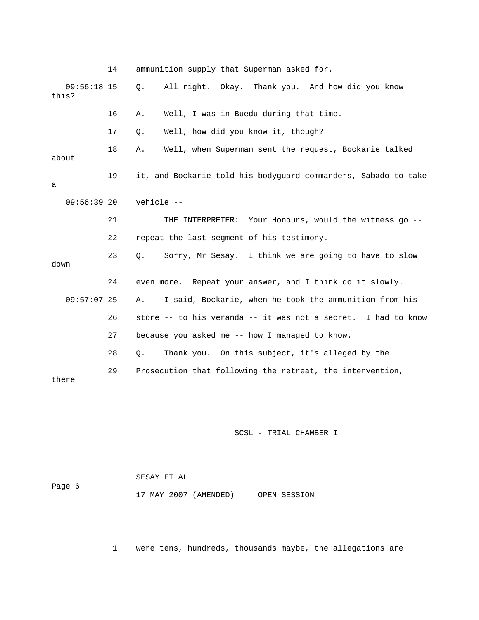14 ammunition supply that Superman asked for. 09:56:18 15 Q. All right. Okay. Thank you. And how did you know this? 16 A. Well, I was in Buedu during that time. 17 Q. Well, how did you know it, though? 18 A. Well, when Superman sent the request, Bockarie talked about 19 it, and Bockarie told his bodyguard commanders, Sabado to take a 09:56:39 20 vehicle -- 21 THE INTERPRETER: Your Honours, would the witness go -- 22 repeat the last segment of his testimony. 23 Q. Sorry, Mr Sesay. I think we are going to have to slow down 24 even more. Repeat your answer, and I think do it slowly. 09:57:07 25 A. I said, Bockarie, when he took the ammunition from his 26 store -- to his veranda -- it was not a secret. I had to know 27 because you asked me -- how I managed to know. 28 Q. Thank you. On this subject, it's alleged by the 29 Prosecution that following the retreat, the intervention, there

SCSL - TRIAL CHAMBER I

|        | SESAY ET AL           |              |
|--------|-----------------------|--------------|
| Page 6 |                       |              |
|        | 17 MAY 2007 (AMENDED) | OPEN SESSION |

1 were tens, hundreds, thousands maybe, the allegations are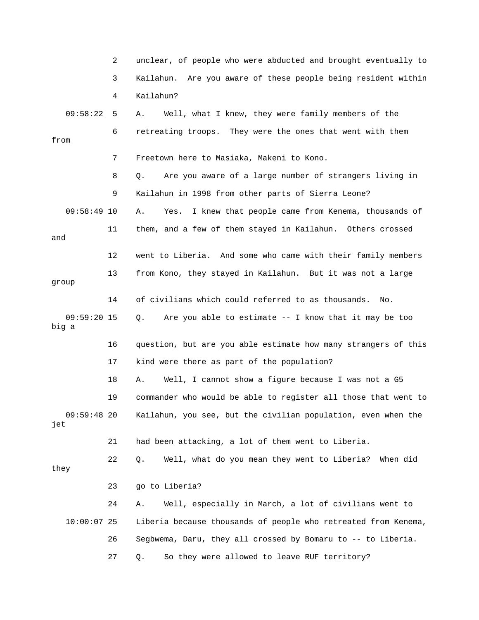|                        | 2  | unclear, of people who were abducted and brought eventually to   |
|------------------------|----|------------------------------------------------------------------|
|                        | 3  | Are you aware of these people being resident within<br>Kailahun. |
|                        | 4  | Kailahun?                                                        |
| 09:58:22               | 5  | Well, what I knew, they were family members of the<br>Α.         |
| from                   | 6  | retreating troops. They were the ones that went with them        |
|                        | 7  | Freetown here to Masiaka, Makeni to Kono.                        |
|                        | 8  | Are you aware of a large number of strangers living in<br>Q.     |
|                        | 9  | Kailahun in 1998 from other parts of Sierra Leone?               |
| $09:58:49$ 10          |    | I knew that people came from Kenema, thousands of<br>Α.<br>Yes.  |
| and                    | 11 | them, and a few of them stayed in Kailahun. Others crossed       |
|                        | 12 | went to Liberia. And some who came with their family members     |
| group                  | 13 | from Kono, they stayed in Kailahun. But it was not a large       |
|                        | 14 | of civilians which could referred to as thousands.<br>No.        |
| $09:59:20$ 15<br>big a |    | Are you able to estimate $-$ - I know that it may be too<br>Q.   |
|                        | 16 | question, but are you able estimate how many strangers of this   |
|                        | 17 | kind were there as part of the population?                       |
|                        | 18 | Well, I cannot show a figure because I was not a G5<br>Α.        |
|                        | 19 | commander who would be able to register all those that went to   |
| $09:59:48$ 20<br>jet   |    | Kailahun, you see, but the civilian population, even when the    |
|                        | 21 | had been attacking, a lot of them went to Liberia.               |
| they                   | 22 | Well, what do you mean they went to Liberia? When did<br>Q.      |
|                        | 23 | go to Liberia?                                                   |
|                        | 24 | Well, especially in March, a lot of civilians went to<br>Α.      |
| $10:00:07$ 25          |    | Liberia because thousands of people who retreated from Kenema,   |
|                        | 26 | Segbwema, Daru, they all crossed by Bomaru to -- to Liberia.     |
|                        | 27 | So they were allowed to leave RUF territory?<br>Q.               |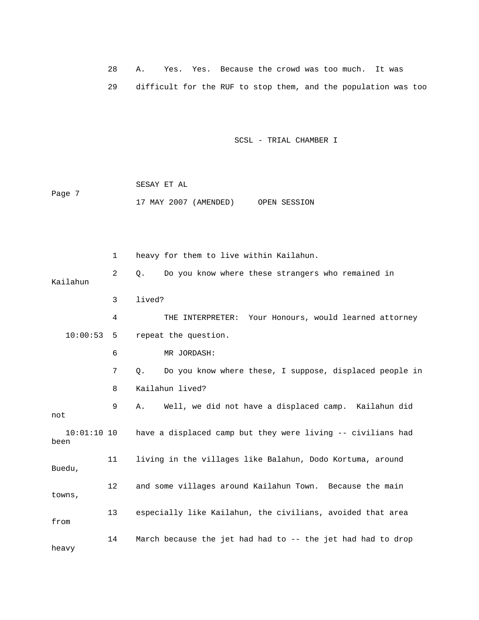28 A. Yes. Yes. Because the crowd was too much. It was 29 difficult for the RUF to stop them, and the population was too

SCSL - TRIAL CHAMBER I

 SESAY ET AL Page 7 17 MAY 2007 (AMENDED) OPEN SESSION

 1 heavy for them to live within Kailahun. 2 Q. Do you know where these strangers who remained in Kailahun 3 lived? 4 THE INTERPRETER: Your Honours, would learned attorney 10:00:53 5 repeat the question. 6 MR JORDASH: 7 Q. Do you know where these, I suppose, displaced people in 8 Kailahun lived? 9 A. Well, we did not have a displaced camp. Kailahun did not 10:01:10 10 have a displaced camp but they were living -- civilians had been 11 living in the villages like Balahun, Dodo Kortuma, around Buedu, 12 and some villages around Kailahun Town. Because the main towns, 13 especially like Kailahun, the civilians, avoided that area from 14 March because the jet had had to -- the jet had had to drop heavy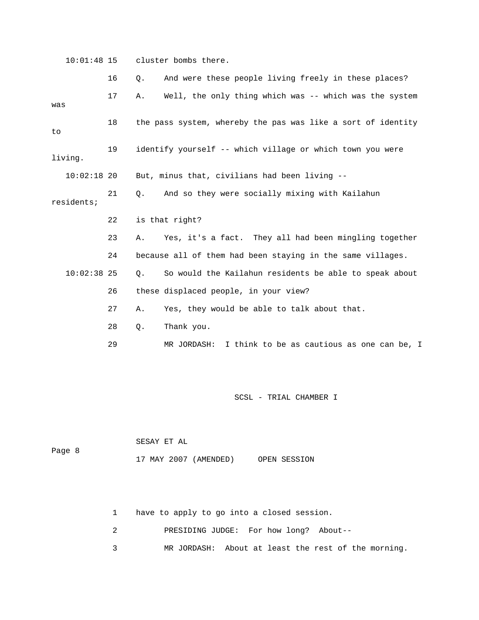10:01:48 15 cluster bombs there.

|               | 16 | $Q$ . | And were these people living freely in these places?         |
|---------------|----|-------|--------------------------------------------------------------|
| was           | 17 | Α.    | Well, the only thing which was -- which was the system       |
| to            | 18 |       | the pass system, whereby the pas was like a sort of identity |
| living.       | 19 |       | identify yourself -- which village or which town you were    |
| $10:02:18$ 20 |    |       | But, minus that, civilians had been living --                |
| residents;    | 21 | Q.    | And so they were socially mixing with Kailahun               |
|               | 22 |       | is that right?                                               |
|               |    |       |                                                              |
|               | 23 | Α.    | Yes, it's a fact. They all had been mingling together        |
|               | 24 |       | because all of them had been staying in the same villages.   |
| $10:02:38$ 25 |    | Q.    | So would the Kailahun residents be able to speak about       |
|               | 26 |       | these displaced people, in your view?                        |
|               | 27 | Α.    | Yes, they would be able to talk about that.                  |
|               | 28 | Q.    | Thank you.                                                   |

SCSL - TRIAL CHAMBER I

|        | SESAY ET AL |                       |              |
|--------|-------------|-----------------------|--------------|
| Page 8 |             | 17 MAY 2007 (AMENDED) | OPEN SESSION |

1 have to apply to go into a closed session.

2 PRESIDING JUDGE: For how long? About--

3 MR JORDASH: About at least the rest of the morning.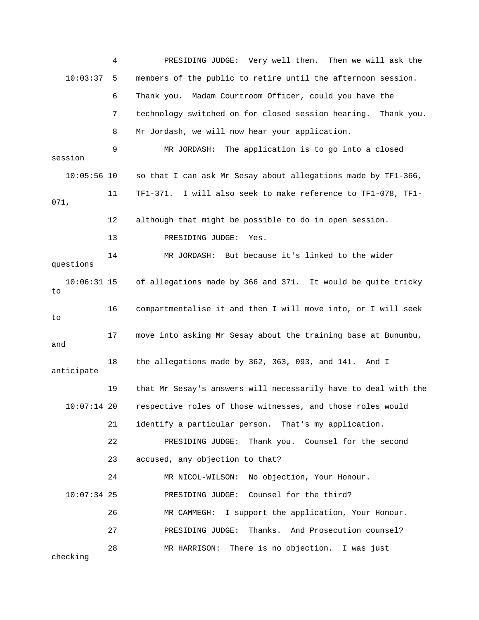4 PRESIDING JUDGE: Very well then. Then we will ask the 10:03:37 5 members of the public to retire until the afternoon session. 6 Thank you. Madam Courtroom Officer, could you have the 7 technology switched on for closed session hearing. Thank you. 8 Mr Jordash, we will now hear your application. 9 MR JORDASH: The application is to go into a closed session 10:05:56 10 so that I can ask Mr Sesay about allegations made by TF1-366, 11 TF1-371. I will also seek to make reference to TF1-078, TF1- 071, 12 although that might be possible to do in open session. 13 PRESIDING JUDGE: Yes. 14 MR JORDASH: But because it's linked to the wider questions 10:06:31 15 of allegations made by 366 and 371. It would be quite tricky to 16 compartmentalise it and then I will move into, or I will seek to 17 move into asking Mr Sesay about the training base at Bunumbu, and 18 the allegations made by 362, 363, 093, and 141. And I anticipate 19 that Mr Sesay's answers will necessarily have to deal with the 10:07:14 20 respective roles of those witnesses, and those roles would 21 identify a particular person. That's my application. 22 PRESIDING JUDGE: Thank you. Counsel for the second 23 accused, any objection to that? 24 MR NICOL-WILSON: No objection, Your Honour. 10:07:34 25 PRESIDING JUDGE: Counsel for the third? 26 MR CAMMEGH: I support the application, Your Honour. 27 PRESIDING JUDGE: Thanks. And Prosecution counsel? 28 MR HARRISON: There is no objection. I was just checking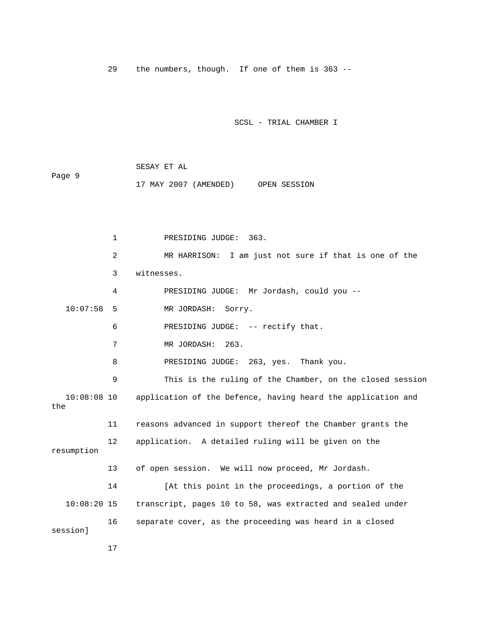29 the numbers, though. If one of them is 363 --

SCSL - TRIAL CHAMBER I

 SESAY ET AL Page 9 17 MAY 2007 (AMENDED) OPEN SESSION

 1 PRESIDING JUDGE: 363. 2 MR HARRISON: I am just not sure if that is one of the 3 witnesses. 4 PRESIDING JUDGE: Mr Jordash, could you -- 10:07:58 5 MR JORDASH: Sorry. 6 PRESIDING JUDGE: -- rectify that. 7 MR JORDASH: 263. 8 PRESIDING JUDGE: 263, yes. Thank you. 9 This is the ruling of the Chamber, on the closed session 10:08:08 10 application of the Defence, having heard the application and the 11 reasons advanced in support thereof the Chamber grants the 12 application. A detailed ruling will be given on the resumption 13 of open session. We will now proceed, Mr Jordash. 14 [At this point in the proceedings, a portion of the 10:08:20 15 transcript, pages 10 to 58, was extracted and sealed under 16 separate cover, as the proceeding was heard in a closed session]

17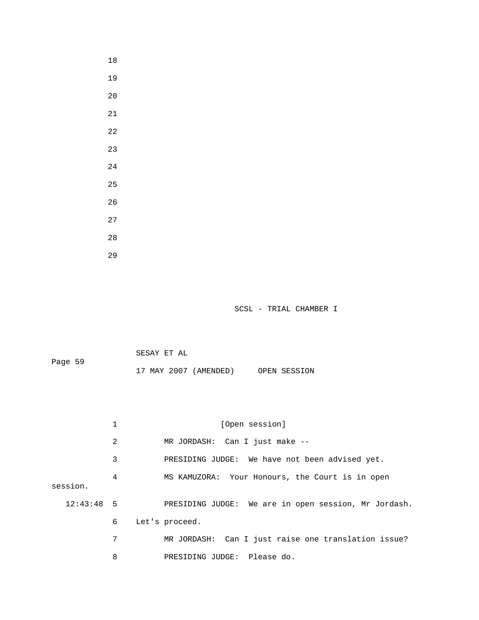| SCSL | - TRIAL CHAMBER I |  |
|------|-------------------|--|
|      |                   |  |

SESAY ET AL

Page 59

18

19

20

21

22

23

24

25

26

27

28

29

17 MAY 2007 (AMENDED) OPEN SESSION

1 [Open session] 2 MR JORDASH: Can I just make -- 3 PRESIDING JUDGE: We have not been advised yet. 4 MS KAMUZORA: Your Honours, the Court is in open session. 12:43:48 5 PRESIDING JUDGE: We are in open session, Mr Jordash. 6 Let's proceed. 7 MR JORDASH: Can I just raise one translation issue? 8 PRESIDING JUDGE: Please do.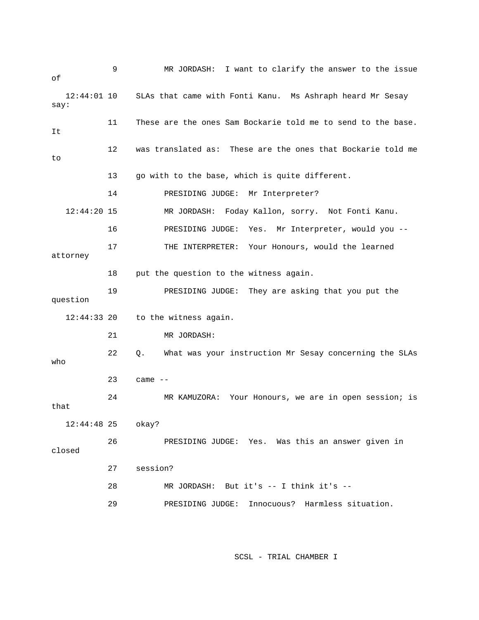| оf                    | 9  | MR JORDASH: I want to clarify the answer to the issue        |
|-----------------------|----|--------------------------------------------------------------|
| $12:44:01$ 10<br>say: |    | SLAs that came with Fonti Kanu. Ms Ashraph heard Mr Sesay    |
| It                    | 11 | These are the ones Sam Bockarie told me to send to the base. |
| to                    | 12 | was translated as: These are the ones that Bockarie told me  |
|                       | 13 | go with to the base, which is quite different.               |
|                       | 14 | PRESIDING JUDGE:<br>Mr Interpreter?                          |
| $12:44:20$ 15         |    | Foday Kallon, sorry. Not Fonti Kanu.<br>MR JORDASH:          |
|                       | 16 | Mr Interpreter, would you --<br>PRESIDING JUDGE:<br>Yes.     |
| attorney              | 17 | Your Honours, would the learned<br>THE INTERPRETER:          |
|                       | 18 | put the question to the witness again.                       |
| question              | 19 | PRESIDING JUDGE:<br>They are asking that you put the         |
| $12:44:33$ 20         |    | to the witness again.                                        |
|                       | 21 | MR JORDASH:                                                  |
| who                   | 22 | What was your instruction Mr Sesay concerning the SLAs<br>Q. |
|                       | 23 | came $--$                                                    |
| that                  | 24 | Your Honours, we are in open session; is<br>MR KAMUZORA:     |
| $12:44:48$ 25         |    | okay?                                                        |
| closed                | 26 | PRESIDING JUDGE: Yes. Was this an answer given in            |
|                       | 27 | session?                                                     |
|                       | 28 | MR JORDASH: But it's -- I think it's --                      |
|                       | 29 | Innocuous? Harmless situation.<br>PRESIDING JUDGE:           |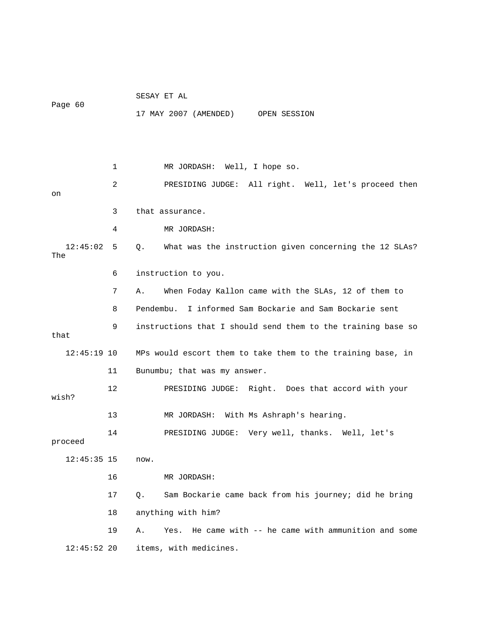| Page 60         |              | SESAY ET AL                                                           |
|-----------------|--------------|-----------------------------------------------------------------------|
|                 |              | 17 MAY 2007 (AMENDED) OPEN SESSION                                    |
|                 |              |                                                                       |
|                 |              |                                                                       |
|                 | $\mathbf{1}$ | MR JORDASH: Well, I hope so.                                          |
|                 | 2            | PRESIDING JUDGE: All right. Well, let's proceed then                  |
| on              |              |                                                                       |
|                 | 3            | that assurance.                                                       |
|                 | 4            | MR JORDASH:                                                           |
| 12:45:02<br>The | 5            | What was the instruction given concerning the 12 SLAs?<br>$Q_{\star}$ |
|                 | 6            | instruction to you.                                                   |
|                 | 7            | When Foday Kallon came with the SLAs, 12 of them to<br>Α.             |
|                 | 8            | I informed Sam Bockarie and Sam Bockarie sent<br>Pendembu.            |
| that            | 9            | instructions that I should send them to the training base so          |
|                 |              |                                                                       |
| $12:45:19$ 10   |              | MPs would escort them to take them to the training base, in           |
|                 | 11           | Bunumbu; that was my answer.                                          |
| wish?           | 12           | PRESIDING JUDGE: Right. Does that accord with your                    |
|                 | 13           | MR JORDASH: With Ms Ashraph's hearing.                                |
|                 | 14           | PRESIDING JUDGE: Very well, thanks. Well, let's                       |
| proceed         |              |                                                                       |
| $12:45:35$ 15   |              | now.                                                                  |
|                 | 16           | MR JORDASH:                                                           |
|                 | 17           | Sam Bockarie came back from his journey; did he bring<br>Q.           |
|                 | 18           | anything with him?                                                    |
|                 | 19           | He came with -- he came with ammunition and some<br>Yes.<br>Α.        |
| $12:45:52$ 20   |              | items, with medicines.                                                |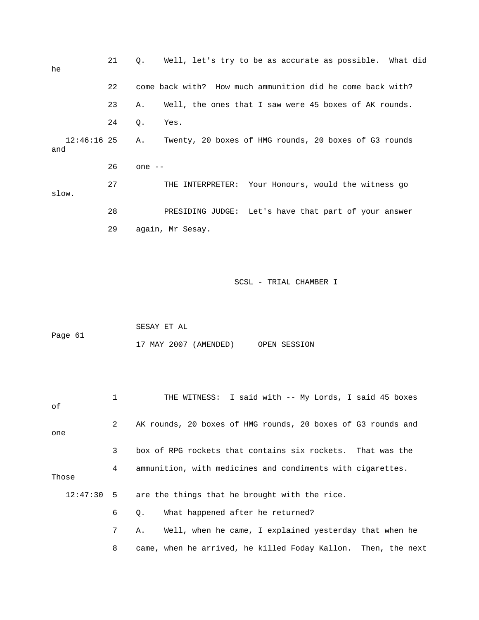| he                   | 21 | Well, let's try to be as accurate as possible. What did<br>Q.               |
|----------------------|----|-----------------------------------------------------------------------------|
|                      | 22 | come back with? How much ammunition did he come back with?                  |
|                      | 23 | Well, the ones that I saw were 45 boxes of AK rounds.<br>Α.                 |
|                      | 24 | Q.<br>Yes.                                                                  |
| $12:46:16$ 25<br>and |    | Twenty, 20 boxes of HMG rounds, 20 boxes of G3 rounds<br>Α.                 |
|                      | 26 | one --                                                                      |
| slow.                | 27 | THE INTERPRETER: Your Honours, would the witness go                         |
|                      | 28 | PRESIDING JUDGE: Let's have that part of your answer                        |
|                      | 29 | again, Mr Sesay.                                                            |
| Page 61              |    | SCSL - TRIAL CHAMBER I<br>SESAY ET AL<br>17 MAY 2007 (AMENDED) OPEN SESSION |
| оf                   | 1  | THE WITNESS: I said with -- My Lords, I said 45 boxes                       |
| one                  | 2  | AK rounds, 20 boxes of HMG rounds, 20 boxes of G3 rounds and                |
|                      | 3  | box of RPG rockets that contains six rockets.<br>That was the               |
| Those                | 4  | ammunition, with medicines and condiments with cigarettes.                  |
| 12:47:30             | 5  | are the things that he brought with the rice.                               |
|                      | 6  | What happened after he returned?<br>Q.                                      |
|                      | 7  | Well, when he came, I explained yesterday that when he<br>Α.                |
|                      | 8  | came, when he arrived, he killed Foday Kallon.<br>Then, the next            |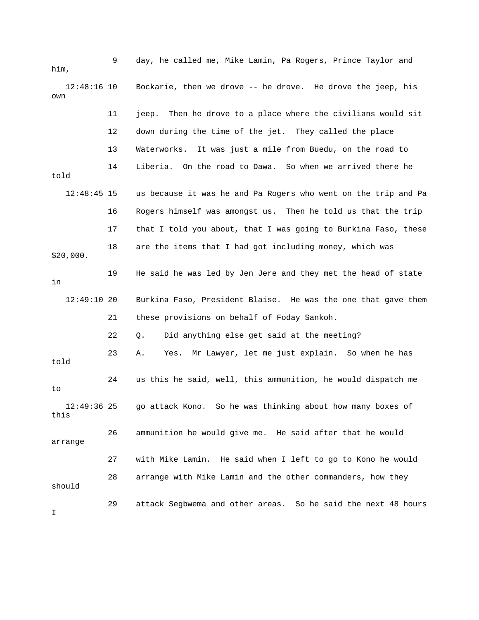9 day, he called me, Mike Lamin, Pa Rogers, Prince Taylor and him, 12:48:16 10 Bockarie, then we drove -- he drove. He drove the jeep, his own 11 jeep. Then he drove to a place where the civilians would sit 12 down during the time of the jet. They called the place 13 Waterworks. It was just a mile from Buedu, on the road to 14 Liberia. On the road to Dawa. So when we arrived there he told 12:48:45 15 us because it was he and Pa Rogers who went on the trip and Pa 16 Rogers himself was amongst us. Then he told us that the trip 17 that I told you about, that I was going to Burkina Faso, these 18 are the items that I had got including money, which was \$20,000. 19 He said he was led by Jen Jere and they met the head of state in 12:49:10 20 Burkina Faso, President Blaise. He was the one that gave them 21 these provisions on behalf of Foday Sankoh. 22 Q. Did anything else get said at the meeting? 23 A. Yes. Mr Lawyer, let me just explain. So when he has told 24 us this he said, well, this ammunition, he would dispatch me to 12:49:36 25 go attack Kono. So he was thinking about how many boxes of this 26 ammunition he would give me. He said after that he would arrange 27 with Mike Lamin. He said when I left to go to Kono he would 28 arrange with Mike Lamin and the other commanders, how they should 29 attack Segbwema and other areas. So he said the next 48 hours I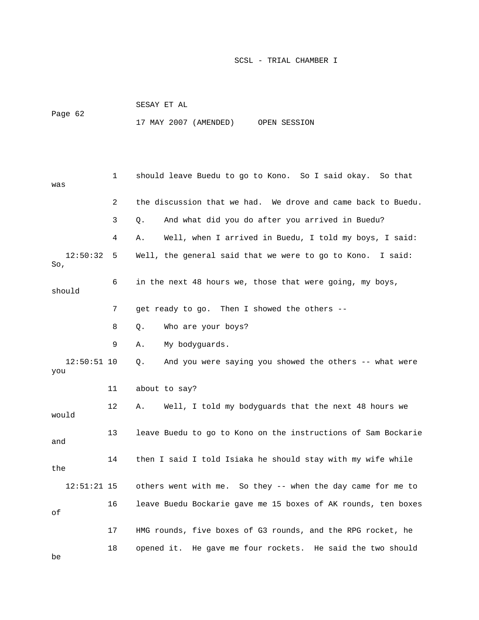|         | SESAY ET AL           |  |              |
|---------|-----------------------|--|--------------|
| Page 62 | 17 MAY 2007 (AMENDED) |  | OPEN SESSION |

 1 should leave Buedu to go to Kono. So I said okay. So that was 2 the discussion that we had. We drove and came back to Buedu. 3 Q. And what did you do after you arrived in Buedu? 4 A. Well, when I arrived in Buedu, I told my boys, I said: 12:50:32 5 Well, the general said that we were to go to Kono. I said: So, 6 in the next 48 hours we, those that were going, my boys, should 7 get ready to go. Then I showed the others -- 8 Q. Who are your boys? 9 A. My bodyguards. 12:50:51 10 Q. And you were saying you showed the others -- what were you 11 about to say? 12 A. Well, I told my bodyguards that the next 48 hours we would 13 leave Buedu to go to Kono on the instructions of Sam Bockarie and 14 then I said I told Isiaka he should stay with my wife while the 12:51:21 15 others went with me. So they -- when the day came for me to 16 leave Buedu Bockarie gave me 15 boxes of AK rounds, ten boxes of 17 HMG rounds, five boxes of G3 rounds, and the RPG rocket, he 18 opened it. He gave me four rockets. He said the two should be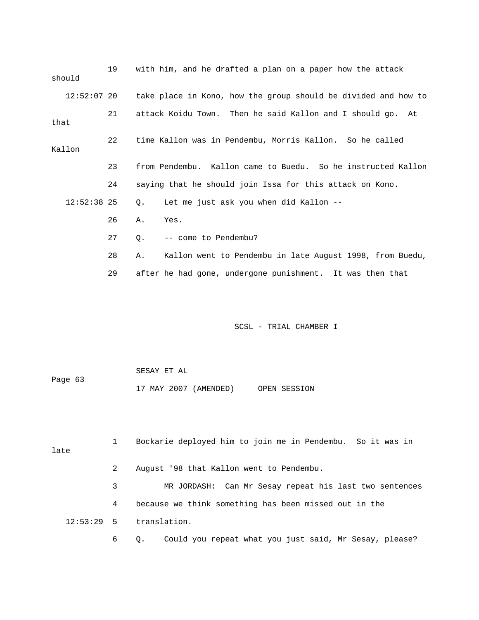19 with him, and he drafted a plan on a paper how the attack should 12:52:07 20 take place in Kono, how the group should be divided and how to 21 attack Koidu Town. Then he said Kallon and I should go. At that 22 time Kallon was in Pendembu, Morris Kallon. So he called Kallon 23 from Pendembu. Kallon came to Buedu. So he instructed Kallon 24 saying that he should join Issa for this attack on Kono. 12:52:38 25 Q. Let me just ask you when did Kallon -- 26 A. Yes. 27 Q. -- come to Pendembu? 28 A. Kallon went to Pendembu in late August 1998, from Buedu, 29 after he had gone, undergone punishment. It was then that

SCSL - TRIAL CHAMBER I

 SESAY ET AL Page 63 17 MAY 2007 (AMENDED) OPEN SESSION

 1 Bockarie deployed him to join me in Pendembu. So it was in late 2 August '98 that Kallon went to Pendembu. 3 MR JORDASH: Can Mr Sesay repeat his last two sentences 4 because we think something has been missed out in the 12:53:29 5 translation.

6 Q. Could you repeat what you just said, Mr Sesay, please?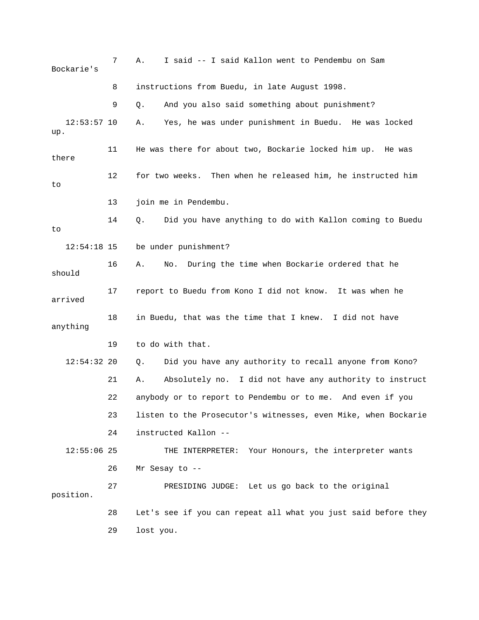|     | Bockarie's    | 7  | I said -- I said Kallon went to Pendembu on Sam<br>Α.          |
|-----|---------------|----|----------------------------------------------------------------|
|     |               | 8  | instructions from Buedu, in late August 1998.                  |
|     |               | 9  | And you also said something about punishment?<br>Q.            |
| up. | $12:53:57$ 10 |    | Yes, he was under punishment in Buedu. He was locked<br>Α.     |
|     | there         | 11 | He was there for about two, Bockarie locked him up.<br>He was  |
| to  |               | 12 | Then when he released him, he instructed him<br>for two weeks. |
|     |               | 13 | join me in Pendembu.                                           |
| to  |               | 14 | Did you have anything to do with Kallon coming to Buedu<br>Q.  |
|     | $12:54:18$ 15 |    | be under punishment?                                           |
|     | should        | 16 | During the time when Bockarie ordered that he<br>Α.<br>No.     |
|     | arrived       | 17 | report to Buedu from Kono I did not know. It was when he       |
|     | anything      | 18 | in Buedu, that was the time that I knew. I did not have        |
|     |               | 19 | to do with that.                                               |
|     | $12:54:32$ 20 |    | Did you have any authority to recall anyone from Kono?<br>Q.   |
|     |               | 21 | Absolutely no. I did not have any authority to instruct<br>Α.  |
|     |               | 22 | anybody or to report to Pendembu or to me. And even if you     |
|     |               | 23 | listen to the Prosecutor's witnesses, even Mike, when Bockarie |
|     |               | 24 | instructed Kallon --                                           |
|     | $12:55:06$ 25 |    | Your Honours, the interpreter wants<br>THE INTERPRETER:        |
|     |               | 26 | Mr Sesay to $-$ -                                              |
|     | position.     | 27 | PRESIDING JUDGE: Let us go back to the original                |
|     |               | 28 | Let's see if you can repeat all what you just said before they |
|     |               | 29 | lost you.                                                      |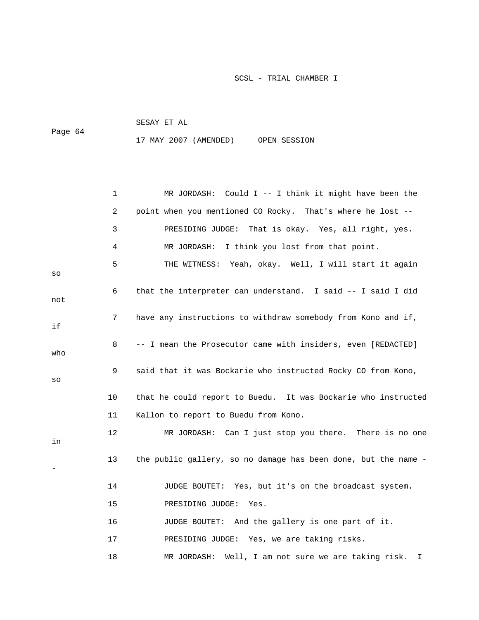|         | SESAY ET AL |                       |              |
|---------|-------------|-----------------------|--------------|
| Page 64 |             |                       |              |
|         |             | 17 MAY 2007 (AMENDED) | OPEN SESSION |

|     | 1              | MR JORDASH: Could $I$ -- I think it might have been the        |
|-----|----------------|----------------------------------------------------------------|
|     | $\overline{a}$ | point when you mentioned CO Rocky. That's where he lost --     |
|     | 3              | PRESIDING JUDGE:<br>That is okay. Yes, all right, yes.         |
|     | 4              | I think you lost from that point.<br>MR JORDASH:               |
| SO  | 5              | THE WITNESS: Yeah, okay. Well, I will start it again           |
| not | 6              | that the interpreter can understand. I said -- I said I did    |
| if  | 7              | have any instructions to withdraw somebody from Kono and if,   |
| who | 8              | -- I mean the Prosecutor came with insiders, even [REDACTED]   |
| SO  | 9              | said that it was Bockarie who instructed Rocky CO from Kono,   |
|     | 10             | that he could report to Buedu. It was Bockarie who instructed  |
|     | 11             | Kallon to report to Buedu from Kono.                           |
| in  | 12             | MR JORDASH: Can I just stop you there. There is no one         |
|     | 13             | the public gallery, so no damage has been done, but the name - |
|     | 14             | JUDGE BOUTET: Yes, but it's on the broadcast system.           |
|     | 15             | PRESIDING JUDGE:<br>Yes.                                       |
|     | 16             | JUDGE BOUTET: And the gallery is one part of it.               |
|     | 17             | PRESIDING JUDGE: Yes, we are taking risks.                     |
|     | 18             | Well, I am not sure we are taking risk.<br>MR JORDASH:<br>I.   |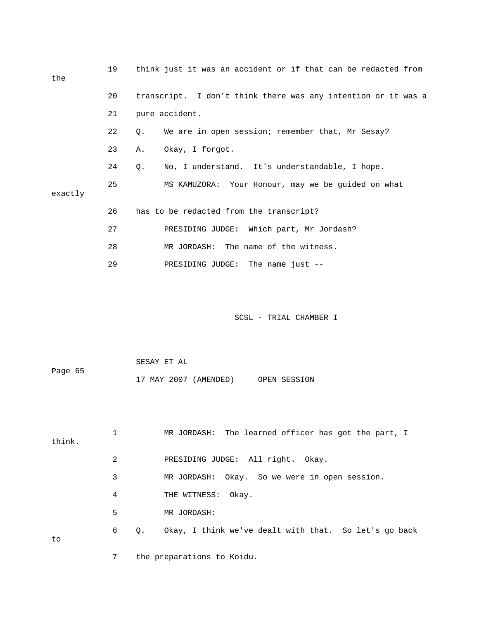| the     | 19 | think just it was an accident or if that can be redacted from |
|---------|----|---------------------------------------------------------------|
|         | 20 | transcript. I don't think there was any intention or it was a |
|         | 21 | pure accident.                                                |
|         | 22 | We are in open session; remember that, Mr Sesay?<br>Q.        |
|         | 23 | Α.<br>Okay, I forgot.                                         |
|         | 24 | No, I understand. It's understandable, I hope.<br>О.          |
| exactly | 25 | MS KAMUZORA: Your Honour, may we be quided on what            |
|         | 26 | has to be redacted from the transcript?                       |
|         | 27 | PRESIDING JUDGE: Which part, Mr Jordash?                      |
|         | 28 | MR JORDASH: The name of the witness.                          |
|         | 29 | PRESIDING JUDGE: The name just --                             |
|         |    |                                                               |

| Page 65 | SESAY ET AL           |              |
|---------|-----------------------|--------------|
|         | 17 MAY 2007 (AMENDED) | OPEN SESSION |

| think. |   |           | MR JORDASH: The learned officer has got the part, I   |
|--------|---|-----------|-------------------------------------------------------|
|        | 2 |           | PRESIDING JUDGE: All right. Okay.                     |
|        | 3 |           | MR JORDASH: Okay. So we were in open session.         |
|        | 4 |           | THE WITNESS: Okay.                                    |
|        | 5 |           | MR JORDASH:                                           |
| to     | 6 | $\circ$ . | Okay, I think we've dealt with that. So let's go back |
|        |   |           | the preparations to Koidu.                            |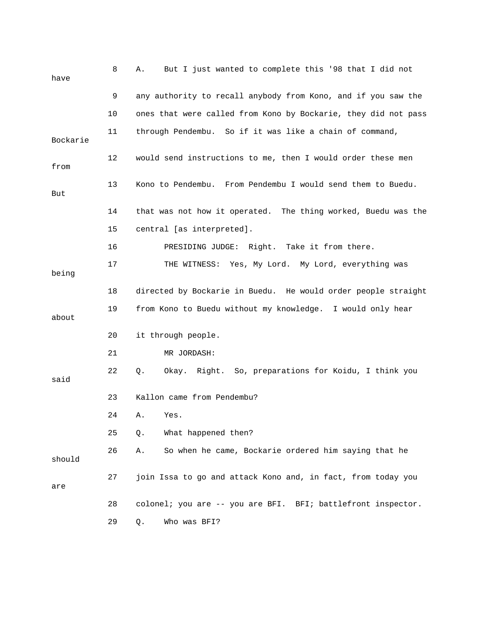| have     | 8  | But I just wanted to complete this '98 that I did not<br>Α.    |
|----------|----|----------------------------------------------------------------|
|          | 9  | any authority to recall anybody from Kono, and if you saw the  |
|          | 10 | ones that were called from Kono by Bockarie, they did not pass |
| Bockarie | 11 | through Pendembu. So if it was like a chain of command,        |
| from     | 12 | would send instructions to me, then I would order these men    |
| But      | 13 | Kono to Pendembu. From Pendembu I would send them to Buedu.    |
|          | 14 | that was not how it operated. The thing worked, Buedu was the  |
|          | 15 | central [as interpreted].                                      |
|          | 16 | PRESIDING JUDGE: Right. Take it from there.                    |
| being    | 17 | THE WITNESS: Yes, My Lord. My Lord, everything was             |
|          | 18 | directed by Bockarie in Buedu. He would order people straight  |
| about    | 19 | from Kono to Buedu without my knowledge. I would only hear     |
|          | 20 | it through people.                                             |
|          | 21 | MR JORDASH:                                                    |
| said     | 22 | Okay. Right. So, preparations for Koidu, I think you<br>Q.     |
|          | 23 | Kallon came from Pendembu?                                     |
|          | 24 | Yes.<br>Α.                                                     |
|          | 25 | What happened then?<br>Q.                                      |
| should   | 26 | So when he came, Bockarie ordered him saying that he<br>Α.     |
| are      | 27 | join Issa to go and attack Kono and, in fact, from today you   |
|          | 28 | colonel; you are -- you are BFI. BFI; battlefront inspector.   |
|          | 29 | Who was BFI?<br>Q.                                             |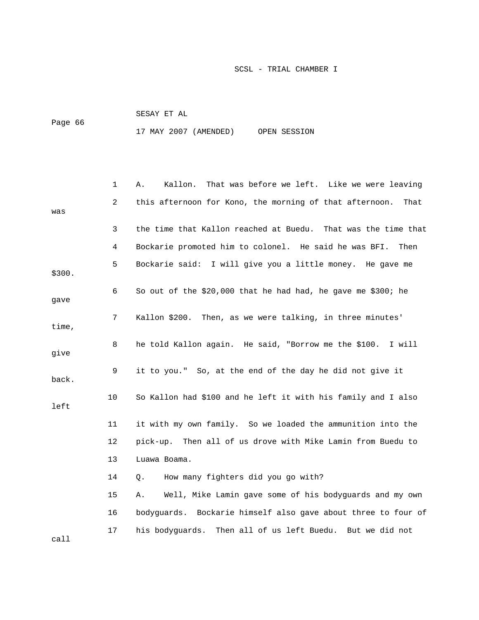|         | SESAY ET AL |                       |              |
|---------|-------------|-----------------------|--------------|
| Page 66 |             |                       |              |
|         |             | 17 MAY 2007 (AMENDED) | OPEN SESSION |

|        | 1  | Kallon.<br>That was before we left. Like we were leaving<br>Α.  |
|--------|----|-----------------------------------------------------------------|
| was    | 2  | this afternoon for Kono, the morning of that afternoon.<br>That |
|        | 3  | the time that Kallon reached at Buedu. That was the time that   |
|        | 4  | Bockarie promoted him to colonel. He said he was BFI.<br>Then   |
| \$300. | 5  | Bockarie said: I will give you a little money. He gave me       |
| qave   | 6  | So out of the \$20,000 that he had had, he gave me \$300; he    |
| time,  | 7  | Kallon \$200. Then, as we were talking, in three minutes'       |
| give   | 8  | he told Kallon again. He said, "Borrow me the \$100. I will     |
| back.  | 9  | it to you." So, at the end of the day he did not give it        |
| left   | 10 | So Kallon had \$100 and he left it with his family and I also   |
|        | 11 | it with my own family. So we loaded the ammunition into the     |
|        | 12 | pick-up. Then all of us drove with Mike Lamin from Buedu to     |
|        | 13 | Luawa Boama.                                                    |
|        | 14 | How many fighters did you go with?<br>О.                        |
|        | 15 | Well, Mike Lamin gave some of his bodyguards and my own<br>Α.   |
|        | 16 | bodyguards. Bockarie himself also gave about three to four of   |
| call   | 17 | his bodyguards. Then all of us left Buedu. But we did not       |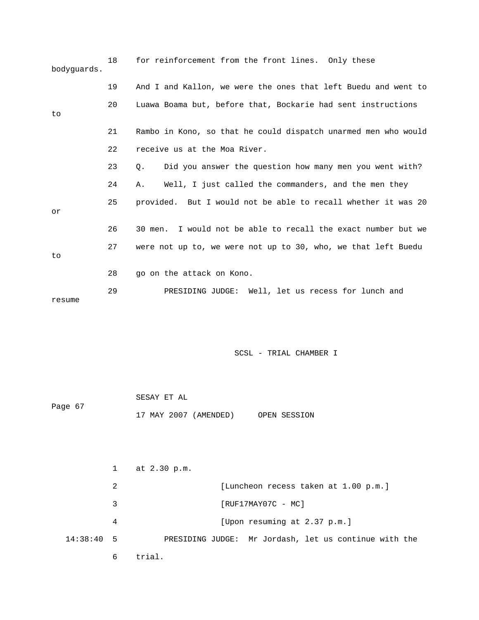| bodyquards. | 18 | for reinforcement from the front lines. Only these             |
|-------------|----|----------------------------------------------------------------|
|             | 19 | And I and Kallon, we were the ones that left Buedu and went to |
| to          | 20 | Luawa Boama but, before that, Bockarie had sent instructions   |
|             | 21 | Rambo in Kono, so that he could dispatch unarmed men who would |
|             | 22 | receive us at the Moa River.                                   |
|             | 23 | Did you answer the question how many men you went with?<br>О.  |
|             | 24 | Well, I just called the commanders, and the men they<br>Α.     |
| or          | 25 | provided. But I would not be able to recall whether it was 20  |
|             | 26 | 30 men. I would not be able to recall the exact number but we  |
| to          | 27 | were not up to, we were not up to 30, who, we that left Buedu  |
|             | 28 | go on the attack on Kono.                                      |
| resume      | 29 | PRESIDING JUDGE: Well, let us recess for lunch and             |

|         | SESAY ET AL           |              |
|---------|-----------------------|--------------|
| Page 67 |                       |              |
|         | 17 MAY 2007 (AMENDED) | OPEN SESSION |

|              |   | at 2.30 p.m.                                          |
|--------------|---|-------------------------------------------------------|
|              | 2 | [Luncheon recess taken at 1.00 p.m.]                  |
|              | 3 | $[RUF17MAY07C - MC]$                                  |
|              | 4 | [Upon resuming at 2.37 p.m.]                          |
| $14:38:40$ 5 |   | PRESIDING JUDGE: Mr Jordash, let us continue with the |
|              | 6 | trial.                                                |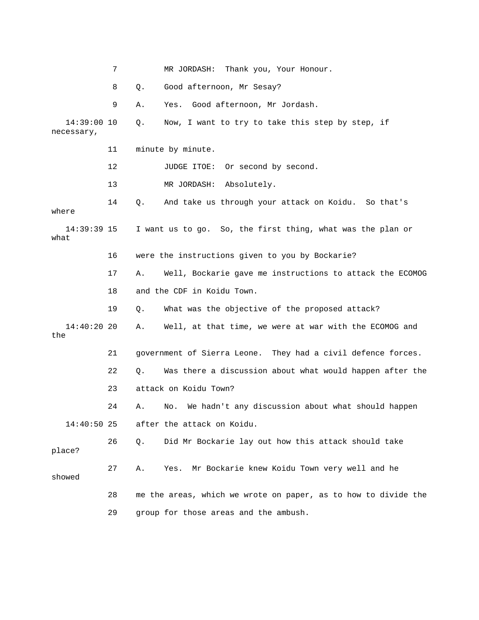|                           | 7  |    | Thank you, Your Honour.<br>MR JORDASH:                         |
|---------------------------|----|----|----------------------------------------------------------------|
|                           | 8  | Q. | Good afternoon, Mr Sesay?                                      |
|                           | 9  | Α. | Good afternoon, Mr Jordash.<br>Yes.                            |
| 14:39:00 10<br>necessary, |    | Q. | Now, I want to try to take this step by step, if               |
|                           | 11 |    | minute by minute.                                              |
|                           | 12 |    | JUDGE ITOE:<br>Or second by second.                            |
|                           | 13 |    | MR JORDASH:<br>Absolutely.                                     |
| where                     | 14 | Q. | And take us through your attack on Koidu. So that's            |
| $14:39:39$ 15<br>what     |    |    | I want us to go. So, the first thing, what was the plan or     |
|                           | 16 |    | were the instructions given to you by Bockarie?                |
|                           | 17 | Α. | Well, Bockarie gave me instructions to attack the ECOMOG       |
|                           | 18 |    | and the CDF in Koidu Town.                                     |
|                           | 19 | Q. | What was the objective of the proposed attack?                 |
| $14:40:20$ 20<br>the      |    | Α. | Well, at that time, we were at war with the ECOMOG and         |
|                           | 21 |    | government of Sierra Leone. They had a civil defence forces.   |
|                           | 22 | Q. | Was there a discussion about what would happen after the       |
|                           | 23 |    | attack on Koidu Town?                                          |
|                           | 24 | Α. | We hadn't any discussion about what should happen<br>No.       |
| $14:40:50$ 25             |    |    | after the attack on Koidu.                                     |
| place?                    | 26 | Q. | Did Mr Bockarie lay out how this attack should take            |
| showed                    | 27 | Α. | Mr Bockarie knew Koidu Town very well and he<br>Yes.           |
|                           | 28 |    | me the areas, which we wrote on paper, as to how to divide the |
|                           | 29 |    | group for those areas and the ambush.                          |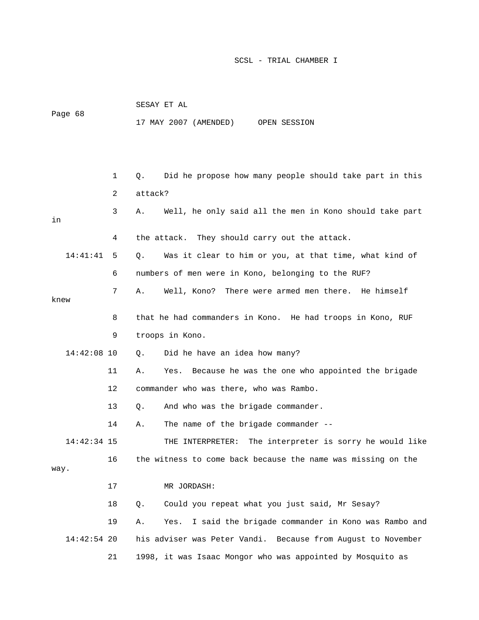| Page 68       |    | 17 MAY 2007 (AMENDED)<br>OPEN SESSION                            |
|---------------|----|------------------------------------------------------------------|
|               |    |                                                                  |
|               | 1  | Did he propose how many people should take part in this<br>Q.    |
|               | 2  | attack?                                                          |
| in            | 3  | Well, he only said all the men in Kono should take part<br>Α.    |
|               | 4  | the attack. They should carry out the attack.                    |
| 14:41:41      | 5  | Was it clear to him or you, at that time, what kind of<br>О.     |
|               | 6  | numbers of men were in Kono, belonging to the RUF?               |
|               | 7  | There were armed men there. He himself<br>Α.<br>Well, Kono?      |
| knew          |    |                                                                  |
|               | 8  | that he had commanders in Kono. He had troops in Kono, RUF       |
|               | 9  | troops in Kono.                                                  |
| 14:42:08 10   |    | Did he have an idea how many?<br>Q.                              |
|               | 11 | Because he was the one who appointed the brigade<br>Α.<br>Yes.   |
|               | 12 | commander who was there, who was Rambo.                          |
|               | 13 | And who was the brigade commander.<br>Q.                         |
|               | 14 | The name of the brigade commander --<br>Α.                       |
| $14:42:34$ 15 |    | The interpreter is sorry he would like<br>THE INTERPRETER:       |
| way.          | 16 | the witness to come back because the name was missing on the     |
|               | 17 | MR JORDASH:                                                      |
|               | 18 | Could you repeat what you just said, Mr Sesay?<br>$Q$ .          |
|               | 19 | I said the brigade commander in Kono was Rambo and<br>Α.<br>Yes. |
| $14:42:54$ 20 |    | his adviser was Peter Vandi. Because from August to November     |
|               | 21 | 1998, it was Isaac Mongor who was appointed by Mosquito as       |

SESAY ET AL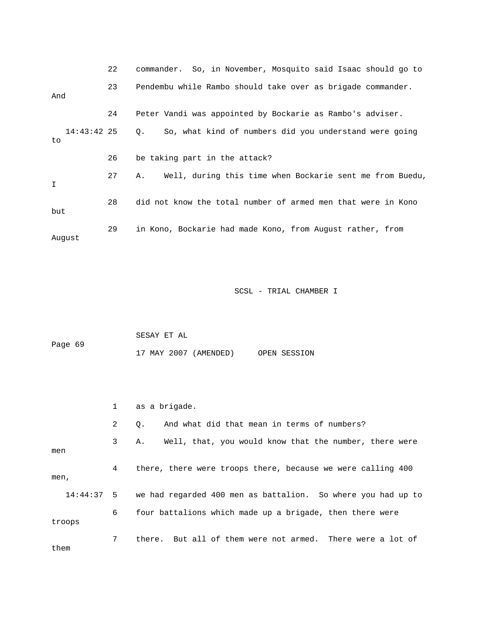|                      | 22 | commander. So, in November, Mosquito said Isaac should go to   |
|----------------------|----|----------------------------------------------------------------|
| And                  | 23 | Pendembu while Rambo should take over as brigade commander.    |
|                      | 24 | Peter Vandi was appointed by Bockarie as Rambo's adviser.      |
| $14:43:42$ 25<br>to. |    | So, what kind of numbers did you understand were going<br>Q.   |
|                      | 26 | be taking part in the attack?                                  |
| I                    | 27 | Well, during this time when Bockarie sent me from Buedu,<br>Α. |
| but                  | 28 | did not know the total number of armed men that were in Kono   |
| August               | 29 | in Kono, Bockarie had made Kono, from August rather, from      |

| Page 69 | SESAY ET AL |                       |              |
|---------|-------------|-----------------------|--------------|
|         |             | 17 MAY 2007 (AMENDED) | OPEN SESSION |

|        |              | as a brigade.                                                           |
|--------|--------------|-------------------------------------------------------------------------|
|        | $\mathbf{2}$ | And what did that mean in terms of numbers?<br>0.                       |
| men    | $3^{\circ}$  | Well, that, you would know that the number, there were<br>Α.            |
| men,   | 4            | there, there were troops there, because we were calling 400             |
|        |              | 14:44:37 5 we had regarded 400 men as battalion. So where you had up to |
| troops | 6            | four battalions which made up a brigade, then there were                |
| them   | 7            | there. But all of them were not armed. There were a lot of              |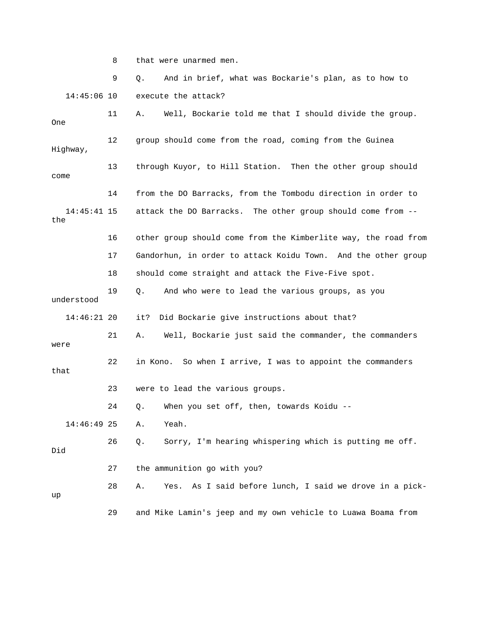8 that were unarmed men.

 9 Q. And in brief, what was Bockarie's plan, as to how to 14:45:06 10 execute the attack? 11 A. Well, Bockarie told me that I should divide the group. One 12 group should come from the road, coming from the Guinea Highway, 13 through Kuyor, to Hill Station. Then the other group should come 14 from the DO Barracks, from the Tombodu direction in order to 14:45:41 15 attack the DO Barracks. The other group should come from - the 16 other group should come from the Kimberlite way, the road from 17 Gandorhun, in order to attack Koidu Town. And the other group 18 should come straight and attack the Five-Five spot. 19 Q. And who were to lead the various groups, as you understood 14:46:21 20 it? Did Bockarie give instructions about that? 21 A. Well, Bockarie just said the commander, the commanders were 22 in Kono. So when I arrive, I was to appoint the commanders that 23 were to lead the various groups. 24 Q. When you set off, then, towards Koidu -- 14:46:49 25 A. Yeah. 26 Q. Sorry, I'm hearing whispering which is putting me off. Did 27 the ammunition go with you? 28 A. Yes. As I said before lunch, I said we drove in a pickup

29 and Mike Lamin's jeep and my own vehicle to Luawa Boama from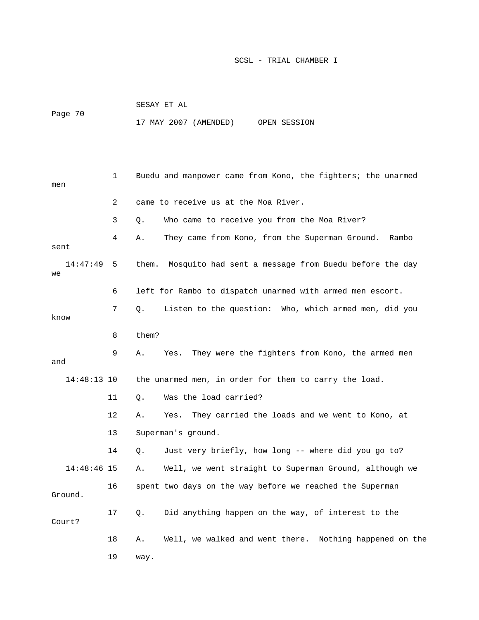|         | SESAY ET AL           |  |              |
|---------|-----------------------|--|--------------|
| Page 70 |                       |  |              |
|         | 17 MAY 2007 (AMENDED) |  | OPEN SESSION |

| men            | 1              | Buedu and manpower came from Kono, the fighters; the unarmed   |
|----------------|----------------|----------------------------------------------------------------|
|                | $\overline{2}$ | came to receive us at the Moa River.                           |
|                | 3              | Who came to receive you from the Moa River?<br>О.              |
| sent           | 4              | They came from Kono, from the Superman Ground.<br>Α.<br>Rambo  |
| 14:47:49<br>we | 5              | Mosquito had sent a message from Buedu before the day<br>them. |
|                | 6              | left for Rambo to dispatch unarmed with armed men escort.      |
| know           | 7              | Listen to the question: Who, which armed men, did you<br>Q.    |
|                | 8              | them?                                                          |
| and            | 9              | Α.<br>They were the fighters from Kono, the armed men<br>Yes.  |
| 14:48:13 10    |                | the unarmed men, in order for them to carry the load.          |
|                |                |                                                                |
|                | 11             | Was the load carried?<br>Q.                                    |
|                | 12             | They carried the loads and we went to Kono, at<br>Α.<br>Yes.   |
|                | 13             | Superman's ground.                                             |
|                | 14             | Just very briefly, how long -- where did you go to?<br>О.      |
| $14:48:46$ 15  |                | Well, we went straight to Superman Ground, although we<br>Α.   |
| Ground.        | 16             | spent two days on the way before we reached the Superman       |
| Court?         | 17             | Did anything happen on the way, of interest to the<br>Q.       |
|                | 18             | Well, we walked and went there. Nothing happened on the<br>Α.  |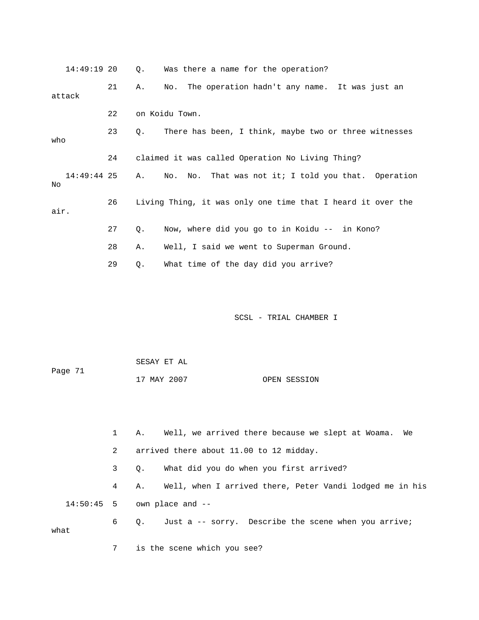| 14:49:19 20       |             | Q.    | Was there a name for the operation?                         |
|-------------------|-------------|-------|-------------------------------------------------------------|
| attack            | 21          | Α.    | The operation hadn't any name. It was just an<br>No.        |
|                   | 22          |       | on Koidu Town.                                              |
| who               | 23          | $Q$ . | There has been, I think, maybe two or three witnesses       |
|                   | 24          |       | claimed it was called Operation No Living Thing?            |
| 14:49:44 25<br>No |             | Α.    | No. That was not it; I told you that. Operation<br>No.      |
| air.              | 26          |       | Living Thing, it was only one time that I heard it over the |
|                   | 27          | Q.    | Now, where did you go to in Koidu -- in Kono?               |
|                   | 28          | Α.    | Well, I said we went to Superman Ground.                    |
|                   | 29          | $Q$ . | What time of the day did you arrive?                        |
|                   |             |       | SCSL - TRIAL CHAMBER I                                      |
|                   |             |       | SESAY ET AL                                                 |
| Page 71           |             |       | 17 MAY 2007<br>OPEN SESSION                                 |
|                   |             |       |                                                             |
|                   | $\mathbf 1$ | Α.    | Well, we arrived there because we slept at Woama.<br>We     |
|                   | 2           |       | arrived there about 11.00 to 12 midday.                     |
|                   | 3           | Q.    | What did you do when you first arrived?                     |
|                   | 4           | Α.    | Well, when I arrived there, Peter Vandi lodged me in his    |
| 14:50:45          | 5           |       | own place and --                                            |

 6 Q. Just a -- sorry. Describe the scene when you arrive; what

7 is the scene which you see?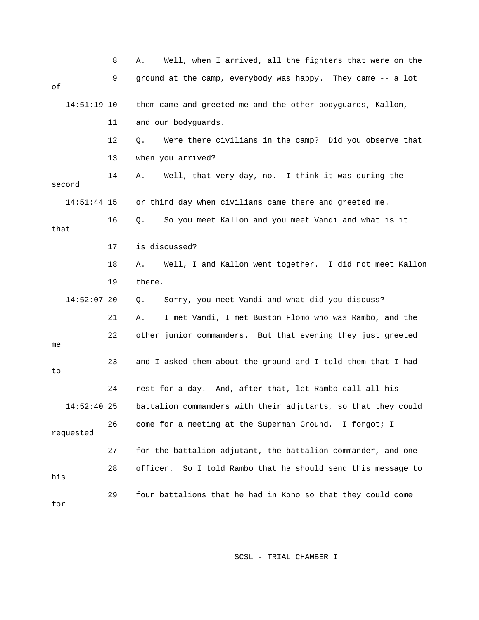|               | 8  | Well, when I arrived, all the fighters that were on the<br>Α. |
|---------------|----|---------------------------------------------------------------|
| оf            | 9  | ground at the camp, everybody was happy. They came -- a lot   |
| $14:51:19$ 10 |    | them came and greeted me and the other bodyguards, Kallon,    |
|               | 11 | and our bodyguards.                                           |
|               | 12 | Were there civilians in the camp? Did you observe that<br>Q.  |
|               | 13 | when you arrived?                                             |
| second        | 14 | Well, that very day, no. I think it was during the<br>Α.      |
| 14:51:44 15   |    | or third day when civilians came there and greeted me.        |
| that          | 16 | So you meet Kallon and you meet Vandi and what is it<br>Q.    |
|               | 17 | is discussed?                                                 |
|               | 18 | Well, I and Kallon went together. I did not meet Kallon<br>Α. |
|               | 19 | there.                                                        |
| $14:52:07$ 20 |    | Sorry, you meet Vandi and what did you discuss?<br>Q.         |
|               | 21 | I met Vandi, I met Buston Flomo who was Rambo, and the<br>Α.  |
| me            | 22 | other junior commanders. But that evening they just greeted   |
| to            | 23 | and I asked them about the ground and I told them that I had  |
|               | 24 | rest for a day. And, after that, let Rambo call all his       |
| 14:52:40      | 25 | battalion commanders with their adjutants, so that they could |
| requested     | 26 | come for a meeting at the Superman Ground. I forgot; I        |
|               | 27 | for the battalion adjutant, the battalion commander, and one  |
| his           | 28 | officer. So I told Rambo that he should send this message to  |
| for           | 29 | four battalions that he had in Kono so that they could come   |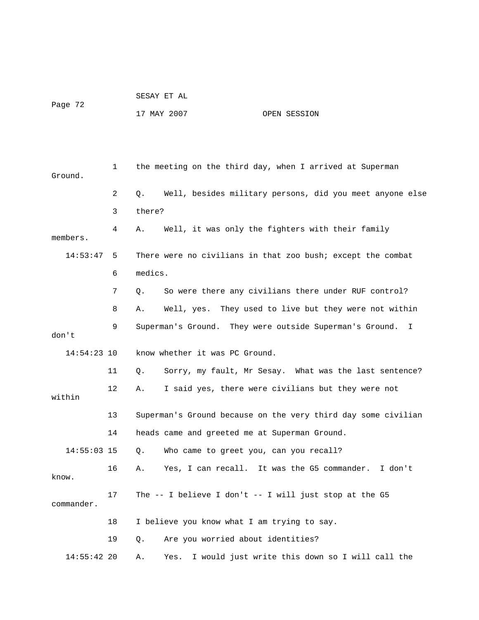|         |  |  | SESAY ET AL |  |
|---------|--|--|-------------|--|
| Page 72 |  |  |             |  |

17 MAY 2007 OPEN SESSION

| Ground.       | $\mathbf 1$ | the meeting on the third day, when I arrived at Superman       |
|---------------|-------------|----------------------------------------------------------------|
|               | 2           | Well, besides military persons, did you meet anyone else<br>О. |
|               | 3           | there?                                                         |
| members.      | 4           | Well, it was only the fighters with their family<br>Α.         |
| 14:53:47      | 5           | There were no civilians in that zoo bush; except the combat    |
|               | 6           | medics.                                                        |
|               | 7           | So were there any civilians there under RUF control?<br>Q.     |
|               | 8           | Well, yes. They used to live but they were not within<br>Α.    |
| don't         | 9           | Superman's Ground. They were outside Superman's Ground.<br>I.  |
| $14:54:23$ 10 |             | know whether it was PC Ground.                                 |
|               | 11          | Sorry, my fault, Mr Sesay. What was the last sentence?<br>Q.   |
| within        | 12          | I said yes, there were civilians but they were not<br>Α.       |
|               | 13          | Superman's Ground because on the very third day some civilian  |
|               | 14          | heads came and greeted me at Superman Ground.                  |
| $14:55:03$ 15 |             | Who came to greet you, can you recall?<br>О.                   |
| know.         | 16          | Yes, I can recall. It was the G5 commander.<br>I don't<br>Α.   |
| commander.    | 17          | The -- I believe I don't -- I will just stop at the G5         |
|               | 18          | I believe you know what I am trying to say.                    |
|               | 19          | Are you worried about identities?<br>О.                        |
| $14:55:42$ 20 |             | I would just write this down so I will call the<br>Α.<br>Yes.  |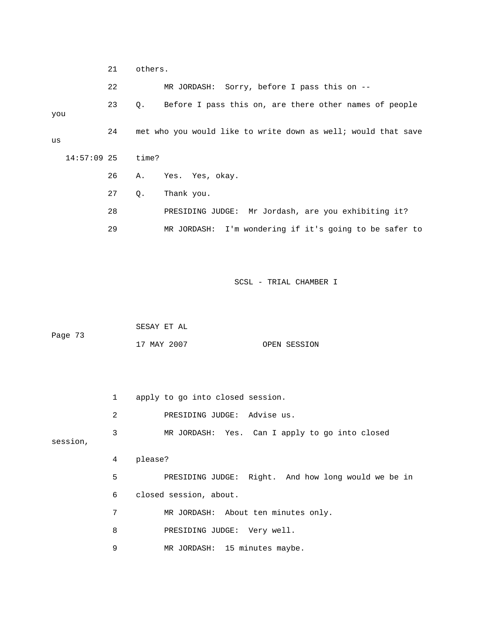21 others. 22 MR JORDASH: Sorry, before I pass this on -- 23 Q. Before I pass this on, are there other names of people you 24 met who you would like to write down as well; would that save us 14:57:09 25 time? 26 A. Yes. Yes, okay. 27 Q. Thank you. 28 PRESIDING JUDGE: Mr Jordash, are you exhibiting it? 29 MR JORDASH: I'm wondering if it's going to be safer to

|         | SESAY ET AL |              |
|---------|-------------|--------------|
| Page 73 |             |              |
|         | 17 MAY 2007 | OPEN SESSION |

|          | $\mathbf{1}$ | apply to go into closed session.                    |
|----------|--------------|-----------------------------------------------------|
|          | 2            | PRESIDING JUDGE: Advise us.                         |
| session, | 3            | MR JORDASH: Yes. Can I apply to go into closed      |
|          | 4            | please?                                             |
|          | 5            | PRESIDING JUDGE: Right. And how long would we be in |
|          | 6            | closed session, about.                              |
|          | 7            | MR JORDASH: About ten minutes only.                 |
|          | 8            | PRESIDING JUDGE: Very well.                         |
|          | 9            | MR JORDASH: 15 minutes maybe.                       |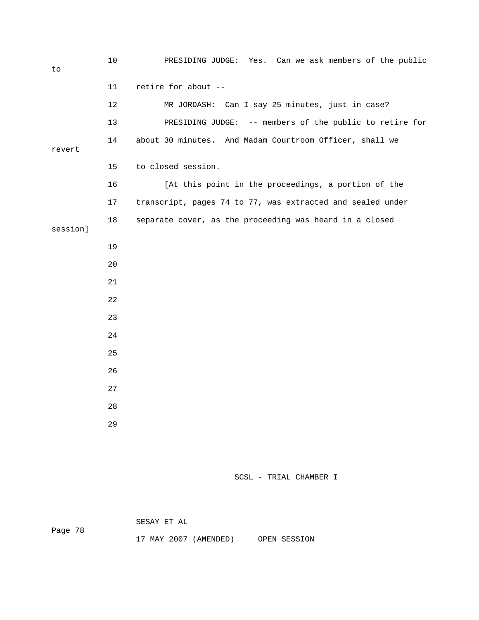10 PRESIDING JUDGE: Yes. Can we ask members of the public to 11 retire for about -- 12 MR JORDASH: Can I say 25 minutes, just in case? 13 PRESIDING JUDGE: -- members of the public to retire for 14 about 30 minutes. And Madam Courtroom Officer, shall we revert 15 to closed session. 16 [At this point in the proceedings, a portion of the 17 transcript, pages 74 to 77, was extracted and sealed under 18 separate cover, as the proceeding was heard in a closed session] 19 20 21 22 23 24 25 26 27 28 29

SCSL - TRIAL CHAMBER I

SESAY ET AL

Page 78

17 MAY 2007 (AMENDED) OPEN SESSION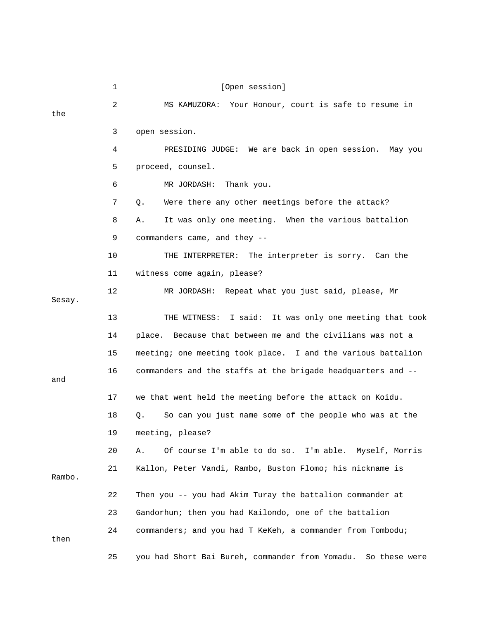|        | 1  | [Open session]                                                   |
|--------|----|------------------------------------------------------------------|
| the    | 2  | MS KAMUZORA: Your Honour, court is safe to resume in             |
|        | 3  | open session.                                                    |
|        | 4  | PRESIDING JUDGE: We are back in open session. May you            |
|        | 5  | proceed, counsel.                                                |
|        | 6  | MR JORDASH: Thank you.                                           |
|        | 7  | Were there any other meetings before the attack?<br>Q.           |
|        | 8  | It was only one meeting. When the various battalion<br>Α.        |
|        | 9  | commanders came, and they --                                     |
|        | 10 | THE INTERPRETER: The interpreter is sorry. Can the               |
|        | 11 | witness come again, please?                                      |
| Sesay. | 12 | MR JORDASH: Repeat what you just said, please, Mr                |
|        | 13 | THE WITNESS: I said: It was only one meeting that took           |
|        | 14 | place. Because that between me and the civilians was not a       |
|        | 15 | meeting; one meeting took place. I and the various battalion     |
| and    | 16 | commanders and the staffs at the brigade headquarters and --     |
|        | 17 | we that went held the meeting before the attack on Koidu.        |
|        | 18 | So can you just name some of the people who was at the<br>Q.     |
|        | 19 | meeting, please?                                                 |
|        | 20 | Of course I'm able to do so. I'm able. Myself, Morris<br>Α.      |
| Rambo. | 21 | Kallon, Peter Vandi, Rambo, Buston Flomo; his nickname is        |
|        | 22 | Then you -- you had Akim Turay the battalion commander at        |
|        | 23 | Gandorhun; then you had Kailondo, one of the battalion           |
| then   | 24 | commanders; and you had T KeKeh, a commander from Tombodu;       |
|        | 25 | you had Short Bai Bureh, commander from Yomadu.<br>So these were |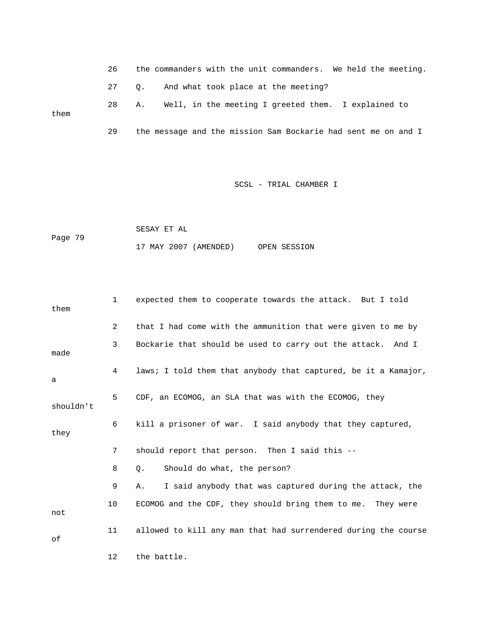26 the commanders with the unit commanders. We held the meeting. 27 Q. And what took place at the meeting? 28 A. Well, in the meeting I greeted them. I explained to them 29 the message and the mission Sam Bockarie had sent me on and I

#### SCSL - TRIAL CHAMBER I

```
 SESAY ET AL 
Page 79 
                   17 MAY 2007 (AMENDED) OPEN SESSION
```

| them      | $\mathbf{1}$ | expected them to cooperate towards the attack. But I told      |
|-----------|--------------|----------------------------------------------------------------|
|           | 2            | that I had come with the ammunition that were given to me by   |
| made      | 3            | Bockarie that should be used to carry out the attack. And I    |
| а         | 4            | laws; I told them that anybody that captured, be it a Kamajor, |
| shouldn't | 5            | CDF, an ECOMOG, an SLA that was with the ECOMOG, they          |
| they      | 6            | kill a prisoner of war. I said anybody that they captured,     |
|           | 7            | should report that person. Then I said this --                 |
|           | 8            | Should do what, the person?<br>Q.                              |
|           | 9            | I said anybody that was captured during the attack, the<br>Α.  |
| not       | 10           | ECOMOG and the CDF, they should bring them to me. They were    |
| оf        | 11           | allowed to kill any man that had surrendered during the course |
|           | 12           | the battle.                                                    |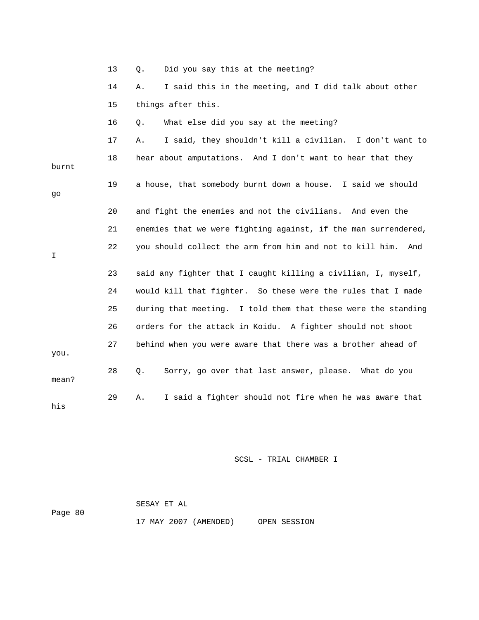|       | 13 | Did you say this at the meeting?<br>Q.                          |
|-------|----|-----------------------------------------------------------------|
|       | 14 | I said this in the meeting, and I did talk about other<br>Α.    |
|       | 15 | things after this.                                              |
|       | 16 | What else did you say at the meeting?<br>Q.                     |
|       | 17 | I said, they shouldn't kill a civilian. I don't want to<br>Α.   |
| burnt | 18 | hear about amputations. And I don't want to hear that they      |
| go    | 19 | a house, that somebody burnt down a house. I said we should     |
|       | 20 | and fight the enemies and not the civilians. And even the       |
|       | 21 | enemies that we were fighting against, if the man surrendered,  |
| I     | 22 | you should collect the arm from him and not to kill him.<br>And |
|       | 23 | said any fighter that I caught killing a civilian, I, myself,   |
|       | 24 | would kill that fighter. So these were the rules that I made    |
|       | 25 | during that meeting. I told them that these were the standing   |
|       | 26 | orders for the attack in Koidu. A fighter should not shoot      |
| you.  | 27 | behind when you were aware that there was a brother ahead of    |
| mean? | 28 | Sorry, go over that last answer, please. What do you<br>Q.      |
| his   | 29 | I said a fighter should not fire when he was aware that<br>Α.   |

|         | SESAY ET AL |                       |              |
|---------|-------------|-----------------------|--------------|
| Page 80 |             |                       |              |
|         |             | 17 MAY 2007 (AMENDED) | OPEN SESSION |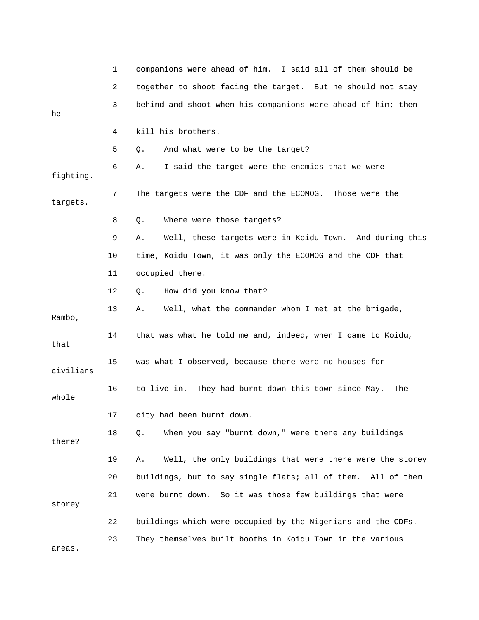|           | 1  | companions were ahead of him. I said all of them should be     |
|-----------|----|----------------------------------------------------------------|
|           | 2  | together to shoot facing the target. But he should not stay    |
| he        | 3  | behind and shoot when his companions were ahead of him; then   |
|           | 4  | kill his brothers.                                             |
|           | 5  | And what were to be the target?<br>Q.                          |
| fighting. | 6  | I said the target were the enemies that we were<br>Α.          |
| targets.  | 7  | The targets were the CDF and the ECOMOG.<br>Those were the     |
|           | 8  | Where were those targets?<br>Q.                                |
|           | 9  | Well, these targets were in Koidu Town. And during this<br>Α.  |
|           | 10 | time, Koidu Town, it was only the ECOMOG and the CDF that      |
|           | 11 | occupied there.                                                |
|           | 12 | How did you know that?<br>Q.                                   |
| Rambo,    | 13 | Well, what the commander whom I met at the brigade,<br>Α.      |
| that      | 14 | that was what he told me and, indeed, when I came to Koidu,    |
| civilians | 15 | was what I observed, because there were no houses for          |
| whole     | 16 | to live in. They had burnt down this town since May.<br>The    |
|           | 17 | city had been burnt down                                       |
| there?    | 18 | When you say "burnt down," were there any buildings<br>Q.      |
|           | 19 | Well, the only buildings that were there were the storey<br>Α. |
|           | 20 | buildings, but to say single flats; all of them. All of them   |
| storey    | 21 | were burnt down. So it was those few buildings that were       |
|           | 22 | buildings which were occupied by the Nigerians and the CDFs.   |
| areas.    | 23 | They themselves built booths in Koidu Town in the various      |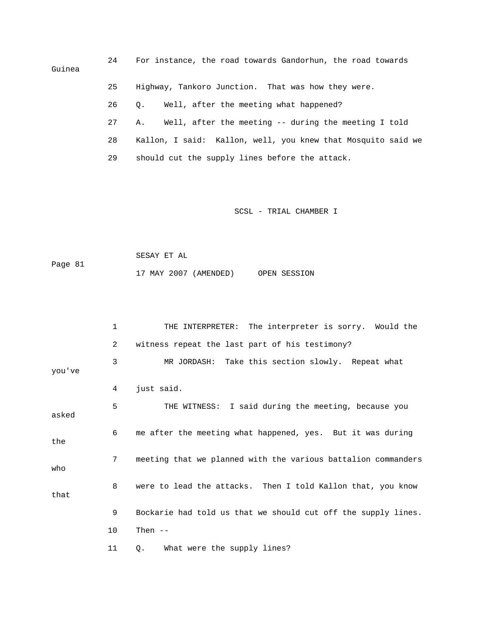24 For instance, the road towards Gandorhun, the road towards Guinea 25 Highway, Tankoro Junction. That was how they were. 26 Q. Well, after the meeting what happened? 27 A. Well, after the meeting -- during the meeting I told 28 Kallon, I said: Kallon, well, you knew that Mosquito said we 29 should cut the supply lines before the attack.

SCSL - TRIAL CHAMBER I

 SESAY ET AL Page 81 17 MAY 2007 (AMENDED) OPEN SESSION

 1 THE INTERPRETER: The interpreter is sorry. Would the 2 witness repeat the last part of his testimony? 3 MR JORDASH: Take this section slowly. Repeat what you've 4 just said. 5 THE WITNESS: I said during the meeting, because you asked 6 me after the meeting what happened, yes. But it was during the 7 meeting that we planned with the various battalion commanders who 8 were to lead the attacks. Then I told Kallon that, you know that 9 Bockarie had told us that we should cut off the supply lines. 10 Then -- 11 Q. What were the supply lines?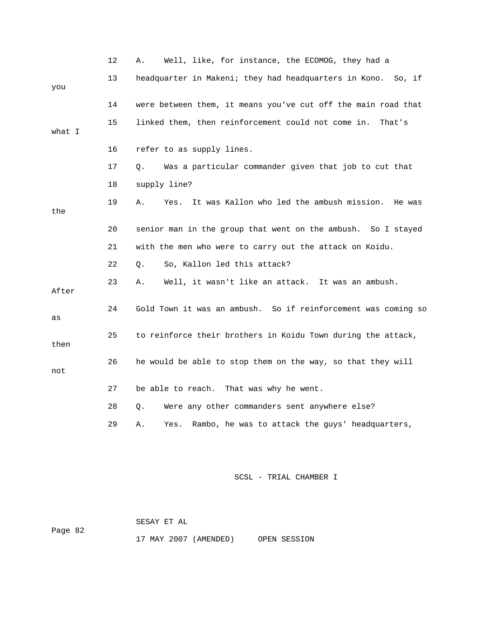|        | 12 | Well, like, for instance, the ECOMOG, they had a<br>Α.            |
|--------|----|-------------------------------------------------------------------|
| you    | 13 | headquarter in Makeni; they had headquarters in Kono. So, if      |
|        | 14 | were between them, it means you've cut off the main road that     |
| what I | 15 | linked them, then reinforcement could not come in.<br>That's      |
|        | 16 | refer to as supply lines.                                         |
|        | 17 | Was a particular commander given that job to cut that<br>Q.       |
|        | 18 | supply line?                                                      |
| the    | 19 | It was Kallon who led the ambush mission.<br>Α.<br>Yes.<br>He was |
|        | 20 | senior man in the group that went on the ambush. So I stayed      |
|        | 21 | with the men who were to carry out the attack on Koidu.           |
|        | 22 | So, Kallon led this attack?<br>О.                                 |
| After  | 23 | Well, it wasn't like an attack. It was an ambush.<br>Α.           |
| as     | 24 | Gold Town it was an ambush. So if reinforcement was coming so     |
| then   | 25 | to reinforce their brothers in Koidu Town during the attack,      |
| not    | 26 | he would be able to stop them on the way, so that they will       |
|        | 27 | be able to reach. That was why he went.                           |
|        | 28 | Were any other commanders sent anywhere else?<br>О.               |
|        | 29 | Rambo, he was to attack the guys' headquarters,<br>Α.<br>Yes.     |

 SESAY ET AL Page 82

17 MAY 2007 (AMENDED) OPEN SESSION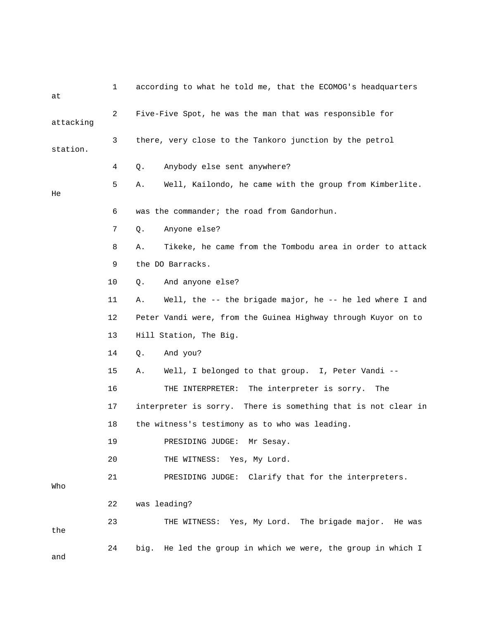| at        | $\mathbf 1$ | according to what he told me, that the ECOMOG's headquarters   |
|-----------|-------------|----------------------------------------------------------------|
| attacking | 2           | Five-Five Spot, he was the man that was responsible for        |
| station.  | 3           | there, very close to the Tankoro junction by the petrol        |
|           | 4           | Anybody else sent anywhere?<br>Q.                              |
| He        | 5           | Well, Kailondo, he came with the group from Kimberlite.<br>Α.  |
|           | 6           | was the commander; the road from Gandorhun.                    |
|           | 7           | Anyone else?<br>Q.                                             |
|           | 8           | Tikeke, he came from the Tombodu area in order to attack<br>Α. |
|           | 9           | the DO Barracks.                                               |
|           | 10          | And anyone else?<br>Q.                                         |
|           | 11          | Well, the -- the brigade major, he -- he led where I and<br>Α. |
|           | 12          | Peter Vandi were, from the Guinea Highway through Kuyor on to  |
|           | 13          | Hill Station, The Big.                                         |
|           | 14          | And you?<br>$Q$ .                                              |
|           | 15          | Well, I belonged to that group. I, Peter Vandi --<br>Α.        |
|           | 16          | THE INTERPRETER: The interpreter is sorry.<br>The              |
|           | 17          | interpreter is sorry. There is something that is not clear in  |
|           | 18          | the witness's testimony as to who was leading.                 |
|           | 19          | PRESIDING JUDGE: Mr Sesay.                                     |
|           | 20          | THE WITNESS: Yes, My Lord.                                     |
| Who       | 21          | PRESIDING JUDGE: Clarify that for the interpreters.            |
|           | 22          | was leading?                                                   |
| the       | 23          | THE WITNESS: Yes, My Lord. The brigade major. He was           |
| and       | 24          | big. He led the group in which we were, the group in which I   |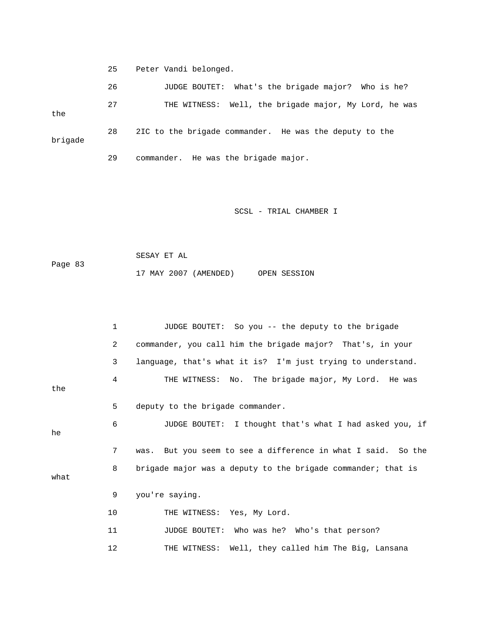25 Peter Vandi belonged.

 26 JUDGE BOUTET: What's the brigade major? Who is he? 27 THE WITNESS: Well, the brigade major, My Lord, he was the 28 2IC to the brigade commander. He was the deputy to the brigade 29 commander. He was the brigade major.

SCSL - TRIAL CHAMBER I

 SESAY ET AL Page 83 17 MAY 2007 (AMENDED) OPEN SESSION

 1 JUDGE BOUTET: So you -- the deputy to the brigade 2 commander, you call him the brigade major? That's, in your 3 language, that's what it is? I'm just trying to understand. 4 THE WITNESS: No. The brigade major, My Lord. He was the 5 deputy to the brigade commander. 6 JUDGE BOUTET: I thought that's what I had asked you, if he 7 was. But you seem to see a difference in what I said. So the 8 brigade major was a deputy to the brigade commander; that is what 9 you're saying. 10 THE WITNESS: Yes, My Lord. 11 JUDGE BOUTET: Who was he? Who's that person? 12 THE WITNESS: Well, they called him The Big, Lansana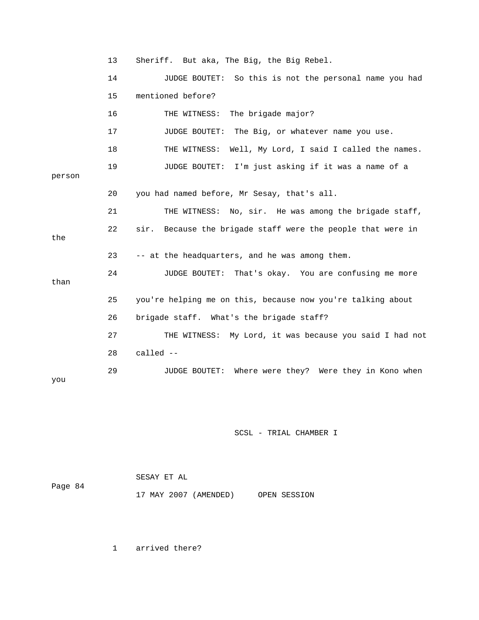13 Sheriff. But aka, The Big, the Big Rebel. 14 JUDGE BOUTET: So this is not the personal name you had 15 mentioned before? 16 THE WITNESS: The brigade major? 17 JUDGE BOUTET: The Big, or whatever name you use. 18 THE WITNESS: Well, My Lord, I said I called the names. 19 JUDGE BOUTET: I'm just asking if it was a name of a person 20 you had named before, Mr Sesay, that's all. 21 THE WITNESS: No, sir. He was among the brigade staff, 22 sir. Because the brigade staff were the people that were in the 23 -- at the headquarters, and he was among them. 24 JUDGE BOUTET: That's okay. You are confusing me more than 25 you're helping me on this, because now you're talking about 26 brigade staff. What's the brigade staff? 27 THE WITNESS: My Lord, it was because you said I had not 28 called -- 29 JUDGE BOUTET: Where were they? Were they in Kono when you

SCSL - TRIAL CHAMBER I

|         |  | SESAY ET AL |                       |              |
|---------|--|-------------|-----------------------|--------------|
| Page 84 |  |             |                       |              |
|         |  |             | 17 MAY 2007 (AMENDED) | OPEN SESSION |

1 arrived there?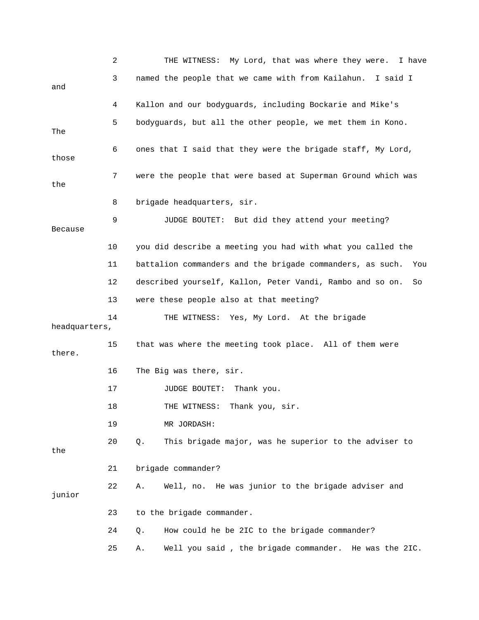|                | 2  | THE WITNESS: My Lord, that was where they were. I have           |
|----------------|----|------------------------------------------------------------------|
| and            | 3  | named the people that we came with from Kailahun.<br>I said I    |
|                | 4  | Kallon and our bodyguards, including Bockarie and Mike's         |
| The            | 5  | bodyguards, but all the other people, we met them in Kono.       |
| those          | 6  | ones that I said that they were the brigade staff, My Lord,      |
| the            | 7  | were the people that were based at Superman Ground which was     |
|                | 8  | brigade headquarters, sir.                                       |
| <b>Because</b> | 9  | JUDGE BOUTET: But did they attend your meeting?                  |
|                | 10 | you did describe a meeting you had with what you called the      |
|                | 11 | battalion commanders and the brigade commanders, as such.<br>You |
|                | 12 | described yourself, Kallon, Peter Vandi, Rambo and so on.<br>So  |
|                | 13 | were these people also at that meeting?                          |
| headquarters,  | 14 | THE WITNESS: Yes, My Lord. At the brigade                        |
| there.         | 15 | that was where the meeting took place. All of them were          |
|                | 16 | The Big was there, sir.                                          |
|                | 17 | JUDGE BOUTET:<br>Thank you.                                      |
|                | 18 | THE WITNESS: Thank you, sir.                                     |
|                | 19 | MR JORDASH:                                                      |
| the            | 20 | This brigade major, was he superior to the adviser to<br>Q.      |
|                | 21 | brigade commander?                                               |
| junior         | 22 | Α.<br>Well, no. He was junior to the brigade adviser and         |
|                | 23 | to the brigade commander.                                        |
|                | 24 | How could he be 2IC to the brigade commander?<br>Q.              |
|                | 25 | Well you said, the brigade commander. He was the 2IC.<br>Α.      |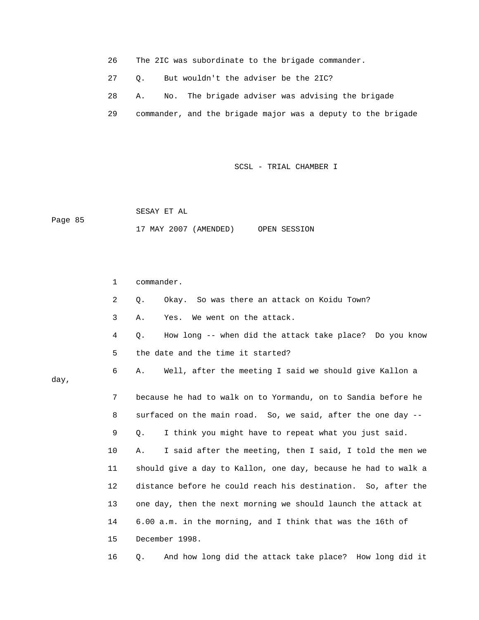- 26 The 2IC was subordinate to the brigade commander.
- 27 Q. But wouldn't the adviser be the 2IC?
- 28 A. No. The brigade adviser was advising the brigade
- 29 commander, and the brigade major was a deputy to the brigade

 SESAY ET AL Page 85 17 MAY 2007 (AMENDED) OPEN SESSION

day,

 1 commander. 2 Q. Okay. So was there an attack on Koidu Town? 3 A. Yes. We went on the attack. 4 Q. How long -- when did the attack take place? Do you know 5 the date and the time it started? 6 A. Well, after the meeting I said we should give Kallon a 7 because he had to walk on to Yormandu, on to Sandia before he 8 surfaced on the main road. So, we said, after the one day -- 9 Q. I think you might have to repeat what you just said. 10 A. I said after the meeting, then I said, I told the men we 11 should give a day to Kallon, one day, because he had to walk a 12 distance before he could reach his destination. So, after the 13 one day, then the next morning we should launch the attack at 14 6.00 a.m. in the morning, and I think that was the 16th of 15 December 1998. 16 Q. And how long did the attack take place? How long did it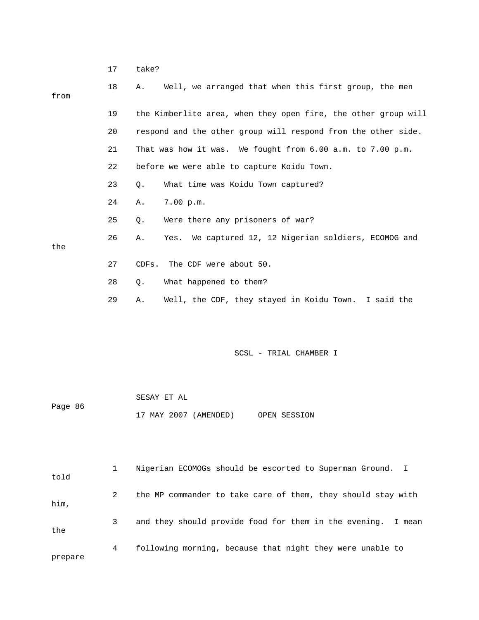|         | 17 | take?                                                           |
|---------|----|-----------------------------------------------------------------|
| from    | 18 | Well, we arranged that when this first group, the men<br>Α.     |
|         |    |                                                                 |
|         | 19 | the Kimberlite area, when they open fire, the other group will  |
|         | 20 | respond and the other group will respond from the other side.   |
|         | 21 | That was how it was. We fought from 6.00 a.m. to 7.00 p.m.      |
|         | 22 | before we were able to capture Koidu Town.                      |
|         | 23 | What time was Koidu Town captured?<br>Q.                        |
|         | 24 | 7.00 p.m.<br>Α.                                                 |
|         | 25 | Were there any prisoners of war?<br>Q.                          |
| the     | 26 | We captured 12, 12 Nigerian soldiers, ECOMOG and<br>Α.<br>Yes.  |
|         | 27 | The CDF were about 50.<br>CDFs.                                 |
|         | 28 | What happened to them?<br>Q.                                    |
|         | 29 | Well, the CDF, they stayed in Koidu Town. I said the<br>Α.      |
|         |    |                                                                 |
|         |    |                                                                 |
|         |    | SCSL - TRIAL CHAMBER I                                          |
|         |    |                                                                 |
|         |    | SESAY ET AL                                                     |
| Page 86 |    | 17 MAY 2007 (AMENDED)<br>OPEN SESSION                           |
|         |    |                                                                 |
|         |    |                                                                 |
|         | 1  | Nigerian ECOMOGs should be escorted to Superman Ground.<br>I.   |
| told    |    |                                                                 |
| him,    | 2  | the MP commander to take care of them, they should stay with    |
|         | 3  | and they should provide food for them in the evening.<br>I mean |

the

4 following morning, because that night they were unable to

prepare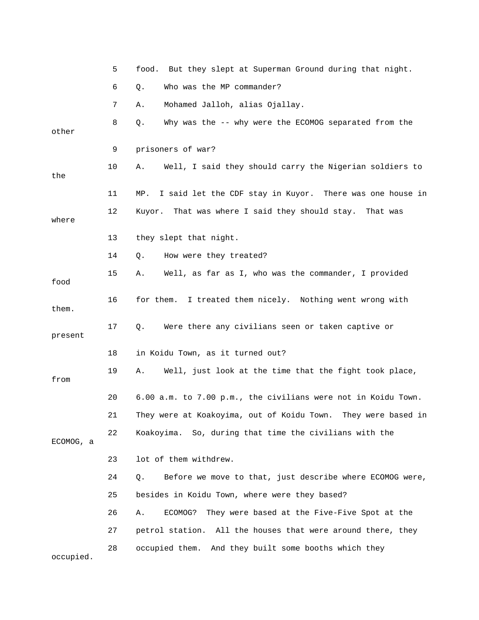|           | 5  | food. But they slept at Superman Ground during that night.      |
|-----------|----|-----------------------------------------------------------------|
|           | 6  | Who was the MP commander?<br>Q.                                 |
|           | 7  | Mohamed Jalloh, alias Ojallay.<br>Α.                            |
| other     | 8  | Why was the -- why were the ECOMOG separated from the<br>Q.     |
|           | 9  | prisoners of war?                                               |
| the       | 10 | Well, I said they should carry the Nigerian soldiers to<br>Α.   |
|           | 11 | I said let the CDF stay in Kuyor. There was one house in<br>MP. |
| where     | 12 | Kuyor. That was where I said they should stay.<br>That was      |
|           | 13 | they slept that night.                                          |
|           | 14 | How were they treated?<br>Q.                                    |
| food      | 15 | Well, as far as I, who was the commander, I provided<br>Α.      |
| them.     | 16 | for them. I treated them nicely. Nothing went wrong with        |
| present   | 17 | Were there any civilians seen or taken captive or<br>Q.         |
|           | 18 | in Koidu Town, as it turned out?                                |
| from      | 19 | Α.<br>Well, just look at the time that the fight took place,    |
|           | 20 | 6.00 a.m. to 7.00 p.m., the civilians were not in Koidu Town.   |
|           | 21 | They were at Koakoyima, out of Koidu Town. They were based in   |
| ECOMOG, a | 22 | Koakoyima. So, during that time the civilians with the          |
|           | 23 | lot of them withdrew.                                           |
|           | 24 | Before we move to that, just describe where ECOMOG were,<br>Q.  |
|           | 25 | besides in Koidu Town, where were they based?                   |
|           | 26 | ECOMOG?<br>They were based at the Five-Five Spot at the<br>Α.   |
|           | 27 | petrol station. All the houses that were around there, they     |
| occupied. | 28 | And they built some booths which they<br>occupied them.         |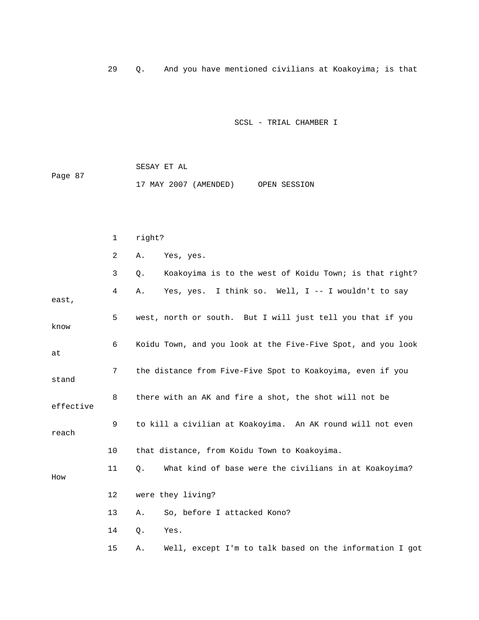29 Q. And you have mentioned civilians at Koakoyima; is that

SCSL - TRIAL CHAMBER I

|         |  | SESAY ET AL |                       |              |
|---------|--|-------------|-----------------------|--------------|
| Page 87 |  |             |                       |              |
|         |  |             | 17 MAY 2007 (AMENDED) | OPEN SESSION |

|           | 1  | right?                                                          |
|-----------|----|-----------------------------------------------------------------|
|           | 2  | Yes, yes.<br>Α.                                                 |
|           | 3  | Koakoyima is to the west of Koidu Town; is that right?<br>$Q$ . |
| east,     | 4  | Yes, yes. I think so. Well, I -- I wouldn't to say<br>Α.        |
| know      | 5  | west, north or south. But I will just tell you that if you      |
| at        | 6  | Koidu Town, and you look at the Five-Five Spot, and you look    |
| stand     | 7  | the distance from Five-Five Spot to Koakoyima, even if you      |
| effective | 8  | there with an AK and fire a shot, the shot will not be          |
| reach     | 9  | to kill a civilian at Koakoyima. An AK round will not even      |
|           | 10 | that distance, from Koidu Town to Koakoyima.                    |
| How       | 11 | What kind of base were the civilians in at Koakoyima?<br>Q.     |
|           | 12 | were they living?                                               |
|           | 13 | So, before I attacked Kono?<br>Α.                               |
|           | 14 | Q.<br>Yes.                                                      |
|           | 15 | Well, except I'm to talk based on the information I got<br>Α.   |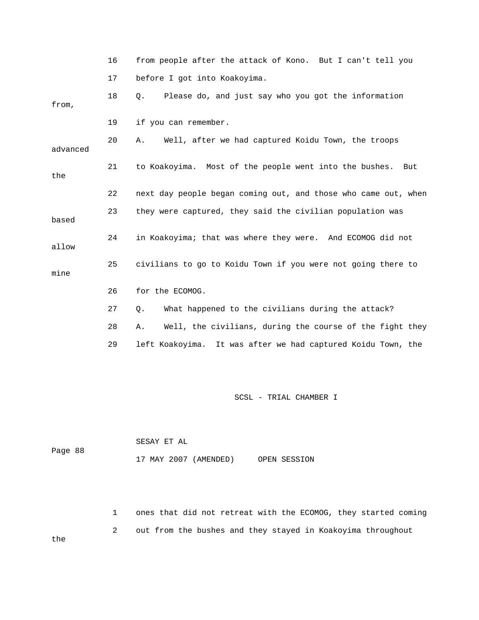|          | 16 | from people after the attack of Kono. But I can't tell you      |
|----------|----|-----------------------------------------------------------------|
|          | 17 | before I got into Koakoyima.                                    |
| from,    | 18 | Please do, and just say who you got the information<br>$Q$ .    |
|          | 19 | if you can remember.                                            |
| advanced | 20 | Well, after we had captured Koidu Town, the troops<br>Α.        |
| the      | 21 | to Koakoyima. Most of the people went into the bushes. But      |
|          | 22 | next day people began coming out, and those who came out, when  |
| based    | 23 | they were captured, they said the civilian population was       |
| allow    | 24 | in Koakoyima; that was where they were. And ECOMOG did not      |
| mine     | 25 | civilians to go to Koidu Town if you were not going there to    |
|          | 26 | for the ECOMOG.                                                 |
|          | 27 | What happened to the civilians during the attack?<br>Q.         |
|          | 28 | Well, the civilians, during the course of the fight they<br>Α.  |
|          | 29 | left Koakoyima.<br>It was after we had captured Koidu Town, the |

|         |  | SESAY ET AL |                       |              |
|---------|--|-------------|-----------------------|--------------|
| Page 88 |  |             |                       |              |
|         |  |             | 17 MAY 2007 (AMENDED) | OPEN SESSION |

 1 ones that did not retreat with the ECOMOG, they started coming 2 out from the bushes and they stayed in Koakoyima throughout

the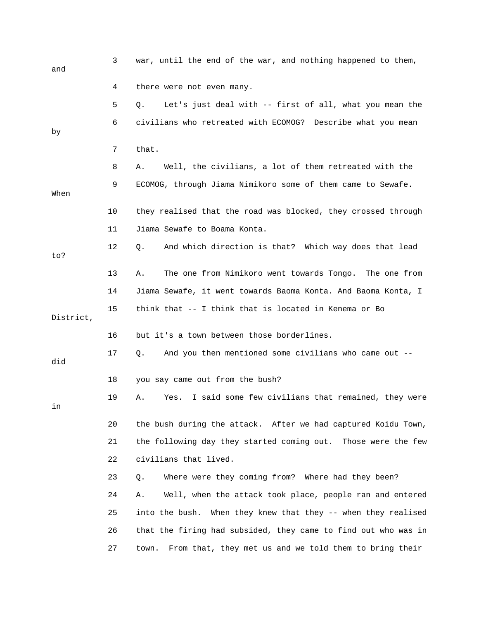| and       | 3  | war, until the end of the war, and nothing happened to them,     |
|-----------|----|------------------------------------------------------------------|
|           | 4  | there were not even many.                                        |
|           | 5  | Let's just deal with -- first of all, what you mean the<br>Q.    |
| by        | 6  | civilians who retreated with ECOMOG? Describe what you mean      |
|           | 7  | that.                                                            |
|           | 8  | Well, the civilians, a lot of them retreated with the<br>Α.      |
| When      | 9  | ECOMOG, through Jiama Nimikoro some of them came to Sewafe.      |
|           | 10 | they realised that the road was blocked, they crossed through    |
|           | 11 | Jiama Sewafe to Boama Konta.                                     |
| to?       | 12 | And which direction is that? Which way does that lead<br>$Q$ .   |
|           | 13 | The one from Nimikoro went towards Tongo. The one from<br>Α.     |
|           | 14 | Jiama Sewafe, it went towards Baoma Konta. And Baoma Konta, I    |
| District, | 15 | think that -- I think that is located in Kenema or Bo            |
|           | 16 | but it's a town between those borderlines.                       |
| did       | 17 | And you then mentioned some civilians who came out --<br>Q.      |
|           | 18 | you say came out from the bush?                                  |
| in        | 19 | I said some few civilians that remained, they were<br>Α.<br>Yes. |
|           | 20 | the bush during the attack. After we had captured Koidu Town,    |
|           | 21 | the following day they started coming out. Those were the few    |
|           | 22 | civilians that lived.                                            |
|           | 23 | Where were they coming from? Where had they been?<br>Q.          |
|           | 24 | Well, when the attack took place, people ran and entered<br>Α.   |
|           | 25 | into the bush.<br>When they knew that they -- when they realised |
|           | 26 | that the firing had subsided, they came to find out who was in   |
|           | 27 | From that, they met us and we told them to bring their<br>town.  |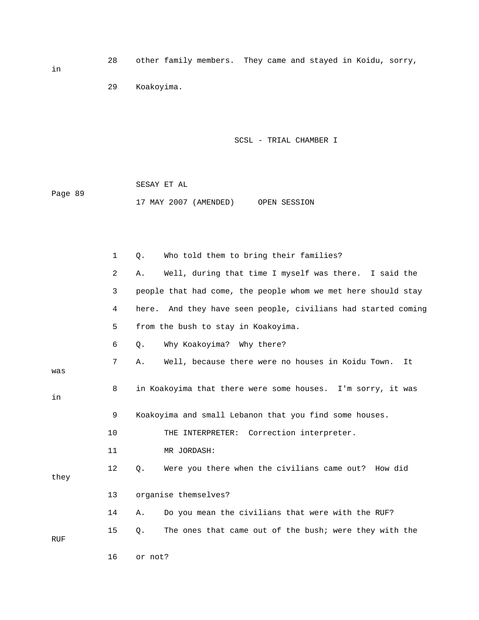28 other family members. They came and stayed in Koidu, sorry,

29 Koakoyima.

SCSL - TRIAL CHAMBER I

 SESAY ET AL Page 89 17 MAY 2007 (AMENDED) OPEN SESSION

|            | $\mathbf{1}$   | Who told them to bring their families?<br>Q.                  |
|------------|----------------|---------------------------------------------------------------|
|            | $\overline{a}$ | Well, during that time I myself was there. I said the<br>Α.   |
|            | 3              | people that had come, the people whom we met here should stay |
|            | 4              | here. And they have seen people, civilians had started coming |
|            | 5              | from the bush to stay in Koakoyima.                           |
|            | 6              | Why Koakoyima? Why there?<br>Q.                               |
| was        | 7              | Well, because there were no houses in Koidu Town.<br>Α.<br>It |
| in         | 8              | in Koakoyima that there were some houses. I'm sorry, it was   |
|            | 9              | Koakoyima and small Lebanon that you find some houses.        |
|            | 10             | THE INTERPRETER: Correction interpreter.                      |
|            | 11             | MR JORDASH:                                                   |
| they       | 12             | Were you there when the civilians came out? How did<br>Q.     |
|            | 13             | organise themselves?                                          |
|            | 14             | Do you mean the civilians that were with the RUF?<br>Α.       |
| <b>RUF</b> | 15             | The ones that came out of the bush; were they with the<br>Q.  |
|            | 16             | or not?                                                       |

in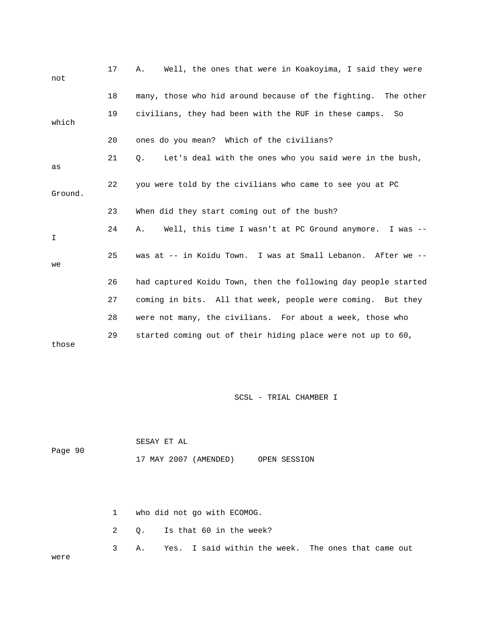| not     | 17 | Well, the ones that were in Koakoyima, I said they were<br>Α.  |
|---------|----|----------------------------------------------------------------|
|         | 18 | many, those who hid around because of the fighting. The other  |
| which   | 19 | civilians, they had been with the RUF in these camps.<br>So    |
|         | 20 | ones do you mean? Which of the civilians?                      |
| as      | 21 | Let's deal with the ones who you said were in the bush,<br>Q.  |
| Ground. | 22 | you were told by the civilians who came to see you at PC       |
|         | 23 | When did they start coming out of the bush?                    |
| I       | 24 | Well, this time I wasn't at PC Ground anymore. I was --<br>Α.  |
| we      | 25 | was at -- in Koidu Town. I was at Small Lebanon. After we --   |
|         | 26 | had captured Koidu Town, then the following day people started |
|         | 27 | coming in bits. All that week, people were coming. But they    |
|         | 28 | were not many, the civilians. For about a week, those who      |
| those   | 29 | started coming out of their hiding place were not up to 60,    |

|         |  | SESAY ET AL |                       |              |
|---------|--|-------------|-----------------------|--------------|
| Page 90 |  |             |                       |              |
|         |  |             | 17 MAY 2007 (AMENDED) | OPEN SESSION |

|      |  | 1 who did not go with ECOMOG.                            |
|------|--|----------------------------------------------------------|
|      |  | 2 0. Is that 60 in the week?                             |
| were |  | 3 A. Yes. I said within the week. The ones that came out |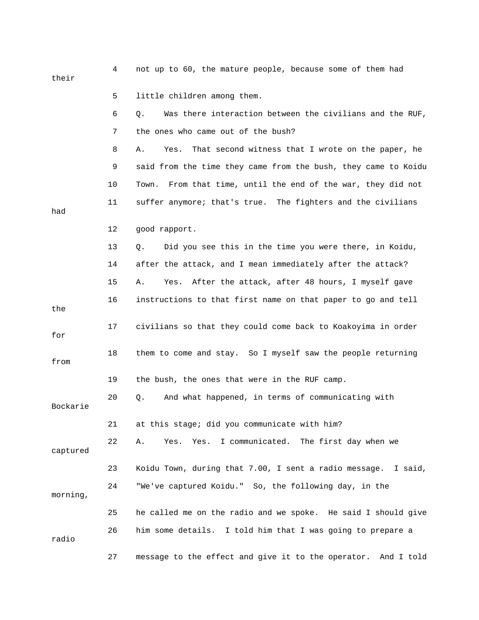| their    | 4  | not up to 60, the mature people, because some of them had       |
|----------|----|-----------------------------------------------------------------|
|          | 5  | little children among them.                                     |
|          | 6  | Was there interaction between the civilians and the RUF,<br>Q.  |
|          | 7  | the ones who came out of the bush?                              |
|          | 8  | That second witness that I wrote on the paper, he<br>Α.<br>Yes. |
|          | 9  | said from the time they came from the bush, they came to Koidu  |
|          | 10 | From that time, until the end of the war, they did not<br>Town. |
| had      | 11 | suffer anymore; that's true. The fighters and the civilians     |
|          | 12 | good rapport.                                                   |
|          | 13 | Did you see this in the time you were there, in Koidu,<br>Q.    |
|          | 14 | after the attack, and I mean immediately after the attack?      |
|          | 15 | After the attack, after 48 hours, I myself gave<br>Α.<br>Yes.   |
| the      | 16 | instructions to that first name on that paper to go and tell    |
| for      | 17 | civilians so that they could come back to Koakoyima in order    |
| from     | 18 | them to come and stay. So I myself saw the people returning     |
|          | 19 | the bush, the ones that were in the RUF camp.                   |
| Bockarie | 20 | And what happened, in terms of communicating with<br>Q.         |
|          | 21 | at this stage; did you communicate with him?                    |
| captured | 22 | I communicated. The first day when we<br>Yes.<br>Yes.<br>Α.     |
|          | 23 | Koidu Town, during that 7.00, I sent a radio message. I said,   |
| morning, | 24 | "We've captured Koidu." So, the following day, in the           |
|          | 25 | he called me on the radio and we spoke. He said I should give   |
| radio    | 26 | him some details. I told him that I was going to prepare a      |
|          | 27 | message to the effect and give it to the operator. And I told   |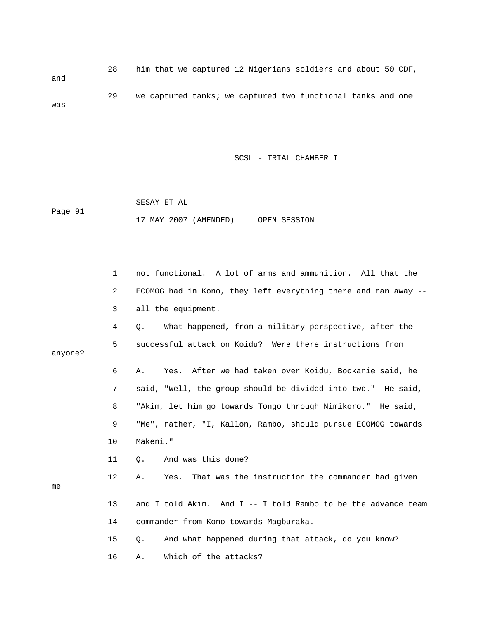28 him that we captured 12 Nigerians soldiers and about 50 CDF, and 29 we captured tanks; we captured two functional tanks and one was

SCSL - TRIAL CHAMBER I

 SESAY ET AL Page 91 17 MAY 2007 (AMENDED) OPEN SESSION

|         | $\mathbf 1$ | not functional. A lot of arms and ammunition. All that the     |
|---------|-------------|----------------------------------------------------------------|
|         | 2           | ECOMOG had in Kono, they left everything there and ran away -- |
|         | 3           | all the equipment.                                             |
|         | 4           | What happened, from a military perspective, after the<br>Q.    |
| anyone? | 5           | successful attack on Koidu? Were there instructions from       |
|         | 6           | Yes. After we had taken over Koidu, Bockarie said, he<br>Α.    |
|         | 7           | said, "Well, the group should be divided into two." He said,   |
|         | 8           | "Akim, let him go towards Tongo through Nimikoro." He said,    |
|         | 9           | "Me", rather, "I, Kallon, Rambo, should pursue ECOMOG towards  |
|         | 10          | Makeni."                                                       |
|         | 11          | And was this done?<br>Ο.                                       |
| me      | 12          | That was the instruction the commander had given<br>Α.<br>Yes. |
|         | 13          | and I told Akim. And I -- I told Rambo to be the advance team  |
|         | 14          | commander from Kono towards Magburaka.                         |
|         | 15          | And what happened during that attack, do you know?<br>Q.       |
|         | 16          | Which of the attacks?<br>Α.                                    |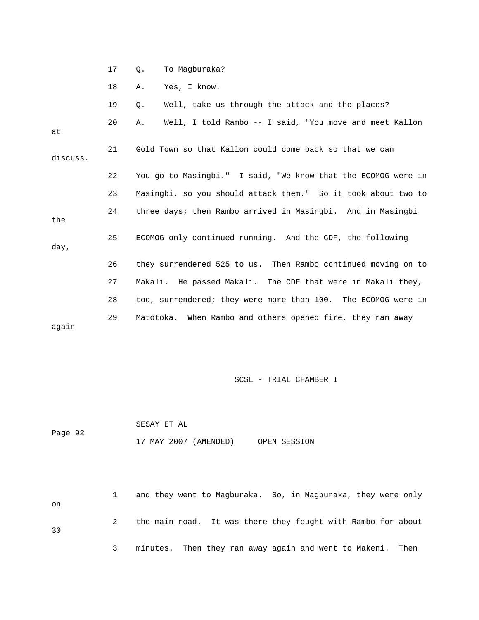|          | 17 | To Magburaka?<br>Q.                                           |
|----------|----|---------------------------------------------------------------|
|          | 18 | Yes, I know.<br>Α.                                            |
|          | 19 | Well, take us through the attack and the places?<br>Q.        |
| at       | 20 | Well, I told Rambo -- I said, "You move and meet Kallon<br>Α. |
| discuss. | 21 | Gold Town so that Kallon could come back so that we can       |
|          | 22 | You go to Masingbi." I said, "We know that the ECOMOG were in |
|          | 23 | Masingbi, so you should attack them." So it took about two to |
| the      | 24 | three days; then Rambo arrived in Masingbi. And in Masingbi   |
| day,     | 25 | ECOMOG only continued running. And the CDF, the following     |
|          | 26 | they surrendered 525 to us. Then Rambo continued moving on to |
|          | 27 | Makali. He passed Makali. The CDF that were in Makali they,   |
|          | 28 | too, surrendered; they were more than 100. The ECOMOG were in |
| aqain    | 29 | Matotoka. When Rambo and others opened fire, they ran away    |

 SESAY ET AL Page 92 17 MAY 2007 (AMENDED) OPEN SESSION

 1 and they went to Magburaka. So, in Magburaka, they were only on 2 the main road. It was there they fought with Rambo for about 30 3 minutes. Then they ran away again and went to Makeni. Then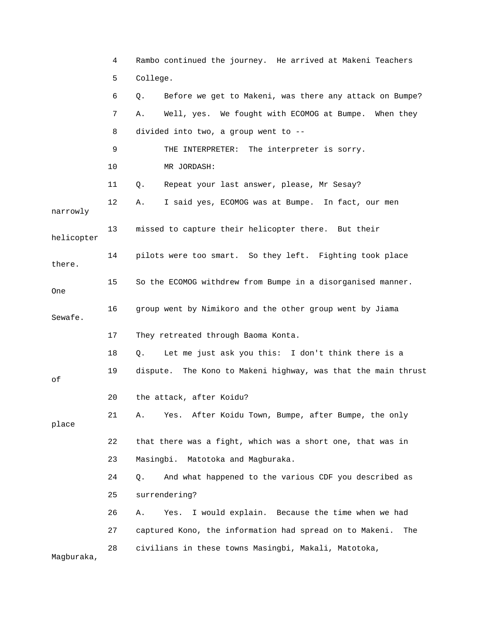|            | 4  | Rambo continued the journey. He arrived at Makeni Teachers     |
|------------|----|----------------------------------------------------------------|
|            | 5  | College.                                                       |
|            | 6  | Before we get to Makeni, was there any attack on Bumpe?<br>Q.  |
|            | 7  | Well, yes. We fought with ECOMOG at Bumpe. When they<br>Α.     |
|            | 8  | divided into two, a group went to --                           |
|            | 9  | THE INTERPRETER: The interpreter is sorry.                     |
|            | 10 | MR JORDASH:                                                    |
|            | 11 | Repeat your last answer, please, Mr Sesay?<br>Q.               |
| narrowly   | 12 | I said yes, ECOMOG was at Bumpe. In fact, our men<br>Α.        |
| helicopter | 13 | missed to capture their helicopter there. But their            |
| there.     | 14 | pilots were too smart. So they left. Fighting took place       |
| <b>One</b> | 15 | So the ECOMOG withdrew from Bumpe in a disorganised manner.    |
| Sewafe.    | 16 | group went by Nimikoro and the other group went by Jiama       |
|            | 17 | They retreated through Baoma Konta.                            |
|            | 18 | Let me just ask you this: I don't think there is a<br>Q.       |
| οf         | 19 | dispute. The Kono to Makeni highway, was that the main thrust  |
|            | 20 | the attack, after Koidu?                                       |
| place      | 21 | Yes. After Koidu Town, Bumpe, after Bumpe, the only<br>Α.      |
|            | 22 | that there was a fight, which was a short one, that was in     |
|            | 23 | Masingbi.<br>Matotoka and Magburaka.                           |
|            | 24 | And what happened to the various CDF you described as<br>О.    |
|            | 25 | surrendering?                                                  |
|            | 26 | I would explain. Because the time when we had<br>Α.<br>Yes.    |
|            | 27 | captured Kono, the information had spread on to Makeni.<br>The |
| Magburaka, | 28 | civilians in these towns Masingbi, Makali, Matotoka,           |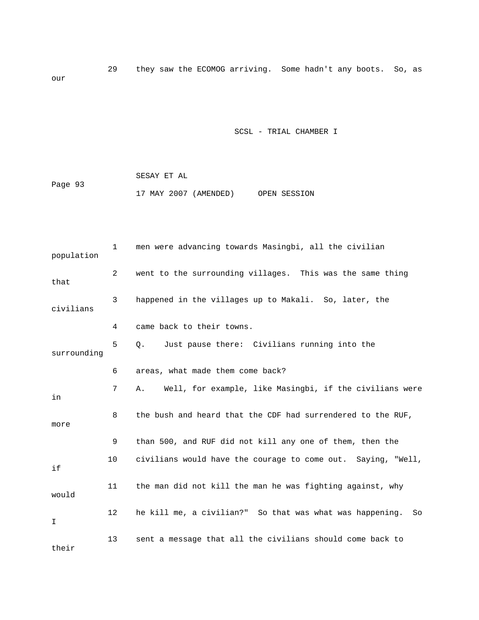29 they saw the ECOMOG arriving. Some hadn't any boots. So, as our

SCSL - TRIAL CHAMBER I

 SESAY ET AL Page 93 17 MAY 2007 (AMENDED) OPEN SESSION

 1 men were advancing towards Masingbi, all the civilian population 2 went to the surrounding villages. This was the same thing that 3 happened in the villages up to Makali. So, later, the civilians 4 came back to their towns. 5 Q. Just pause there: Civilians running into the surrounding 6 areas, what made them come back? 7 A. Well, for example, like Masingbi, if the civilians were in 8 the bush and heard that the CDF had surrendered to the RUF, more 9 than 500, and RUF did not kill any one of them, then the 10 civilians would have the courage to come out. Saying, "Well, if 11 the man did not kill the man he was fighting against, why would 12 he kill me, a civilian?" So that was what was happening. So I 13 sent a message that all the civilians should come back to their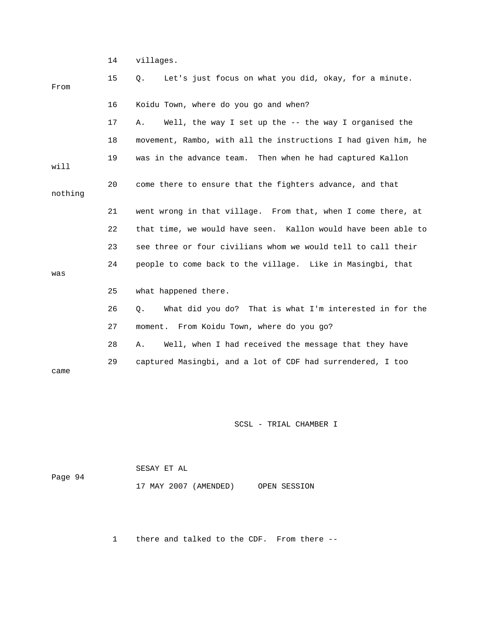14 villages.

| From    | 15 | Let's just focus on what you did, okay, for a minute.<br>Q.    |
|---------|----|----------------------------------------------------------------|
|         | 16 | Koidu Town, where do you go and when?                          |
|         | 17 | Well, the way I set up the -- the way I organised the<br>Α.    |
|         | 18 | movement, Rambo, with all the instructions I had given him, he |
| will    | 19 | was in the advance team. Then when he had captured Kallon      |
| nothing | 20 | come there to ensure that the fighters advance, and that       |
|         | 21 | went wrong in that village. From that, when I come there, at   |
|         | 22 | that time, we would have seen. Kallon would have been able to  |
|         | 23 | see three or four civilians whom we would tell to call their   |
| was     | 24 | people to come back to the village. Like in Masingbi, that     |
|         | 25 | what happened there.                                           |
|         | 26 | What did you do? That is what I'm interested in for the<br>Q.  |
|         | 27 | moment. From Koidu Town, where do you go?                      |
|         | 28 | Well, when I had received the message that they have<br>Α.     |
| came    | 29 | captured Masingbi, and a lot of CDF had surrendered, I too     |

SCSL - TRIAL CHAMBER I

|         | SESAY ET AL           |              |  |
|---------|-----------------------|--------------|--|
| Page 94 |                       |              |  |
|         | 17 MAY 2007 (AMENDED) | OPEN SESSION |  |

1 there and talked to the CDF. From there --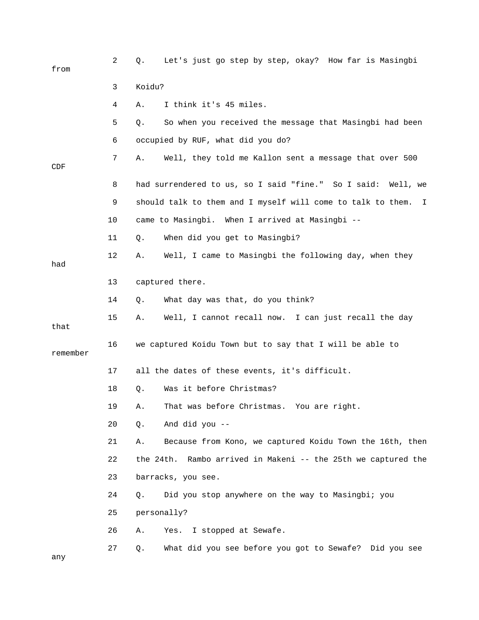| from     | 2  | Let's just go step by step, okay? How far is Masingbi<br>Q.       |
|----------|----|-------------------------------------------------------------------|
|          | 3  | Koidu?                                                            |
|          | 4  | I think it's 45 miles.<br>Α.                                      |
|          | 5  | So when you received the message that Masingbi had been<br>Q.     |
|          | 6  | occupied by RUF, what did you do?                                 |
| CDF      | 7  | Well, they told me Kallon sent a message that over 500<br>Α.      |
|          | 8  | had surrendered to us, so I said "fine." So I said: Well, we      |
|          | 9  | should talk to them and I myself will come to talk to them.<br>I. |
|          | 10 | came to Masingbi. When I arrived at Masingbi --                   |
|          | 11 | When did you get to Masingbi?<br>Q.                               |
| had      | 12 | Well, I came to Masingbi the following day, when they<br>Α.       |
|          | 13 | captured there.                                                   |
|          | 14 | What day was that, do you think?<br>Q.                            |
| that     | 15 | Well, I cannot recall now. I can just recall the day<br>Α.        |
| remember | 16 | we captured Koidu Town but to say that I will be able to          |
|          | 17 | all the dates of these events, it's difficult.                    |
|          | 18 | Was it before Christmas?<br>Q.                                    |
|          | 19 | That was before Christmas. You are right.<br>Α.                   |
|          | 20 | And did you --<br>Q.                                              |
|          | 21 | Because from Kono, we captured Koidu Town the 16th, then<br>Α.    |
|          | 22 | Rambo arrived in Makeni -- the 25th we captured the<br>the 24th.  |
|          | 23 | barracks, you see.                                                |
|          | 24 | Did you stop anywhere on the way to Masingbi; you<br>Q.           |
|          | 25 | personally?                                                       |
|          | 26 | I stopped at Sewafe.<br>Α.<br>Yes.                                |
| any      | 27 | What did you see before you got to Sewafe? Did you see<br>Q.      |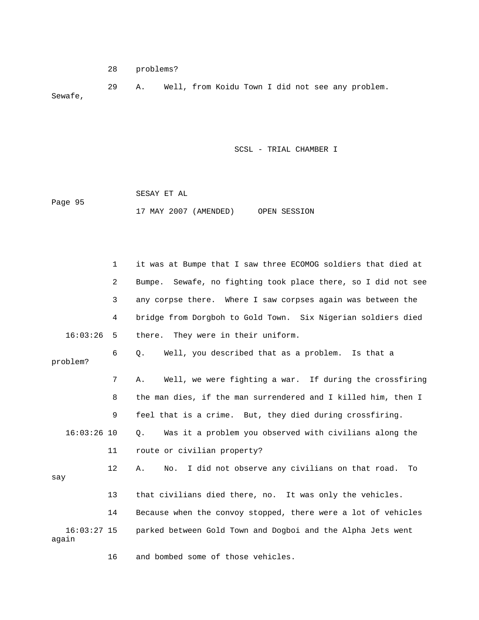28 problems?

 29 A. Well, from Koidu Town I did not see any problem. Sewafe,

SCSL - TRIAL CHAMBER I

|         | SESAY ET AL |                       |              |
|---------|-------------|-----------------------|--------------|
| Page 95 |             |                       |              |
|         |             | 17 MAY 2007 (AMENDED) | OPEN SESSION |

|                        | 1              | it was at Bumpe that I saw three ECOMOG soldiers that died at    |
|------------------------|----------------|------------------------------------------------------------------|
|                        | $\overline{2}$ | Sewafe, no fighting took place there, so I did not see<br>Bumpe. |
|                        | 3              | any corpse there. Where I saw corpses again was between the      |
|                        | 4              | bridge from Dorgboh to Gold Town. Six Nigerian soldiers died     |
| 16:03:26               | 5              | there. They were in their uniform.                               |
| problem?               | 6              | Well, you described that as a problem. Is that a<br>$\circ$ .    |
|                        | 7              | Well, we were fighting a war. If during the crossfiring<br>Α.    |
|                        | 8              | the man dies, if the man surrendered and I killed him, then I    |
|                        | 9              | feel that is a crime. But, they died during crossfiring.         |
| $16:03:26$ 10          |                | Was it a problem you observed with civilians along the<br>Ο.     |
|                        | 11             | route or civilian property?                                      |
| say                    | $12 \,$        | I did not observe any civilians on that road. To<br>Α.<br>No.    |
|                        | 13             | that civilians died there, no. It was only the vehicles.         |
|                        | 14             | Because when the convoy stopped, there were a lot of vehicles    |
| $16:03:27$ 15<br>again |                | parked between Gold Town and Dogboi and the Alpha Jets went      |

16 and bombed some of those vehicles.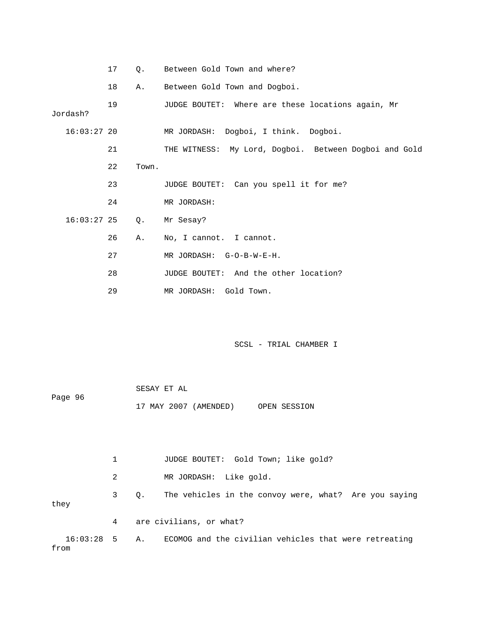|               | 17 | $\circ$ . | Between Gold Town and where?                          |
|---------------|----|-----------|-------------------------------------------------------|
|               | 18 | Α.        | Between Gold Town and Dogboi.                         |
| Jordash?      | 19 |           | JUDGE BOUTET: Where are these locations again, Mr     |
| $16:03:27$ 20 |    |           | MR JORDASH: Dogboi, I think. Dogboi.                  |
|               | 21 |           | THE WITNESS: My Lord, Dogboi. Between Dogboi and Gold |
|               | 22 | Town.     |                                                       |
|               | 23 |           | JUDGE BOUTET: Can you spell it for me?                |
|               | 24 |           | MR JORDASH:                                           |
| $16:03:27$ 25 |    | Q.        | Mr Sesay?                                             |
|               | 26 | Α.        | No, I cannot. I cannot.                               |
|               | 27 |           | MR JORDASH: G-O-B-W-E-H.                              |
|               | 28 |           | JUDGE BOUTET: And the other location?                 |
|               | 29 |           | MR JORDASH: Gold Town.                                |

|         | SESAY ET AL           |              |
|---------|-----------------------|--------------|
| Page 96 |                       |              |
|         | 17 MAY 2007 (AMENDED) | OPEN SESSION |

1 JUDGE BOUTET: Gold Town; like gold? 2 MR JORDASH: Like gold. 3 Q. The vehicles in the convoy were, what? Are you saying they 4 are civilians, or what? 16:03:28 5 A. ECOMOG and the civilian vehicles that were retreating from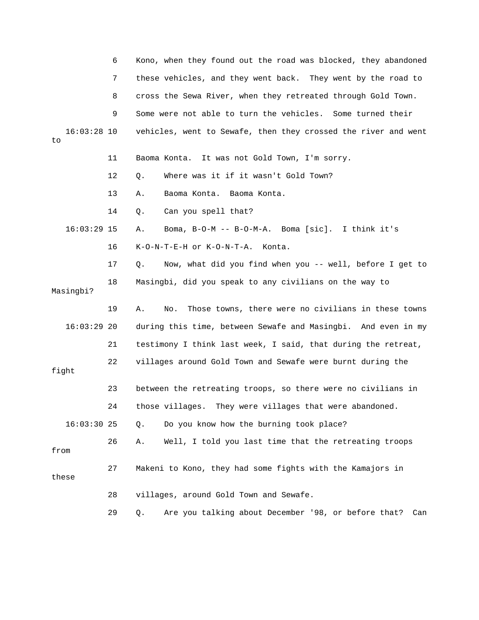|                     | 6  | Kono, when they found out the road was blocked, they abandoned   |
|---------------------|----|------------------------------------------------------------------|
|                     | 7  | these vehicles, and they went back. They went by the road to     |
|                     | 8  | cross the Sewa River, when they retreated through Gold Town.     |
|                     | 9  | Some were not able to turn the vehicles. Some turned their       |
| $16:03:28$ 10<br>to |    | vehicles, went to Sewafe, then they crossed the river and went   |
|                     | 11 | Baoma Konta. It was not Gold Town, I'm sorry.                    |
|                     | 12 | Where was it if it wasn't Gold Town?<br>Q.                       |
|                     | 13 | Α.<br>Baoma Konta. Baoma Konta.                                  |
|                     | 14 | Can you spell that?<br>Q.                                        |
| $16:03:29$ 15       |    | Boma, B-O-M -- B-O-M-A. Boma [sic]. I think it's<br>Α.           |
|                     | 16 | K-O-N-T-E-H or K-O-N-T-A.<br>Konta.                              |
|                     | 17 | Now, what did you find when you -- well, before I get to<br>О.   |
| Masingbi?           | 18 | Masingbi, did you speak to any civilians on the way to           |
|                     | 19 | Those towns, there were no civilians in these towns<br>Α.<br>No. |
| $16:03:29$ 20       |    | during this time, between Sewafe and Masingbi. And even in my    |
|                     | 21 | testimony I think last week, I said, that during the retreat,    |
| fight               | 22 | villages around Gold Town and Sewafe were burnt during the       |
|                     | 23 | between the retreating troops, so there were no civilians in     |
|                     | 24 | those villages. They were villages that were abandoned.          |
| $16:03:30$ 25       |    | Do you know how the burning took place?<br>$Q$ .                 |
| from                | 26 | Well, I told you last time that the retreating troops<br>Α.      |
| these               | 27 | Makeni to Kono, they had some fights with the Kamajors in        |
|                     | 28 | villages, around Gold Town and Sewafe.                           |
|                     | 29 | Are you talking about December '98, or before that?<br>Q.<br>Can |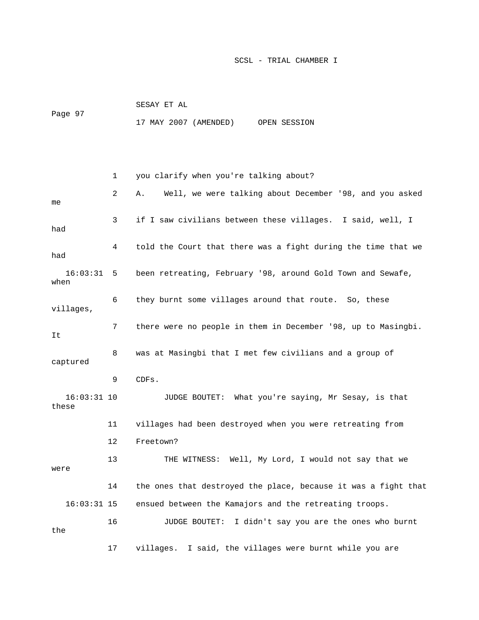|         | SESAY ET AL |                       |              |  |
|---------|-------------|-----------------------|--------------|--|
| Page 97 |             |                       |              |  |
|         |             | 17 MAY 2007 (AMENDED) | OPEN SESSION |  |

 1 you clarify when you're talking about? 2 A. Well, we were talking about December '98, and you asked me 3 if I saw civilians between these villages. I said, well, I had 4 told the Court that there was a fight during the time that we had 16:03:31 5 been retreating, February '98, around Gold Town and Sewafe, when 6 they burnt some villages around that route. So, these villages, 7 there were no people in them in December '98, up to Masingbi. It 8 was at Masingbi that I met few civilians and a group of captured 9 CDFs. 16:03:31 10 JUDGE BOUTET: What you're saying, Mr Sesay, is that these 11 villages had been destroyed when you were retreating from 12 Freetown? 13 THE WITNESS: Well, My Lord, I would not say that we were 14 the ones that destroyed the place, because it was a fight that 16:03:31 15 ensued between the Kamajors and the retreating troops. 16 JUDGE BOUTET: I didn't say you are the ones who burnt the 17 villages. I said, the villages were burnt while you are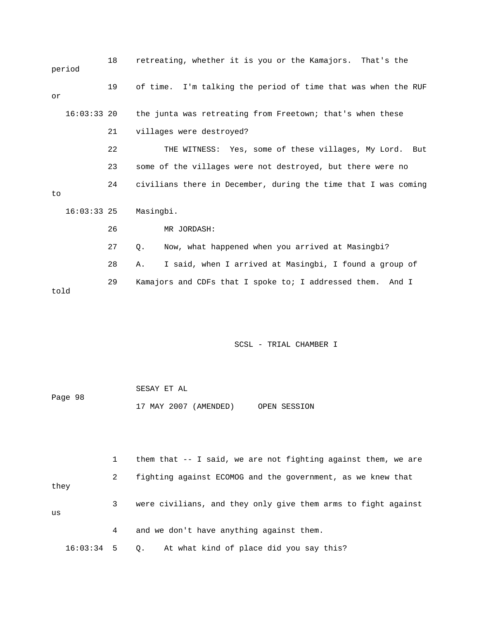|      | period        | 18 | retreating, whether it is you or the Kamajors. That's the      |
|------|---------------|----|----------------------------------------------------------------|
| or   |               | 19 | of time. I'm talking the period of time that was when the RUF  |
|      | $16:03:33$ 20 |    | the junta was retreating from Freetown; that's when these      |
|      |               | 21 | villages were destroyed?                                       |
|      |               | 22 | THE WITNESS: Yes, some of these villages, My Lord. But         |
|      |               | 23 | some of the villages were not destroyed, but there were no     |
| to   |               | 24 | civilians there in December, during the time that I was coming |
|      | $16:03:33$ 25 |    | Masingbi.                                                      |
|      |               | 26 | MR JORDASH:                                                    |
|      |               | 27 | Now, what happened when you arrived at Masingbi?<br>Ο.         |
|      |               | 28 | I said, when I arrived at Masingbi, I found a group of<br>Α.   |
| told |               | 29 | Kamajors and CDFs that I spoke to; I addressed them. And I     |

|         | SESAY ET AL |                       |              |
|---------|-------------|-----------------------|--------------|
| Page 98 |             |                       |              |
|         |             | 17 MAY 2007 (AMENDED) | OPEN SESSION |

 1 them that -- I said, we are not fighting against them, we are 2 fighting against ECOMOG and the government, as we knew that they 3 were civilians, and they only give them arms to fight against us 4 and we don't have anything against them.

16:03:34 5 Q. At what kind of place did you say this?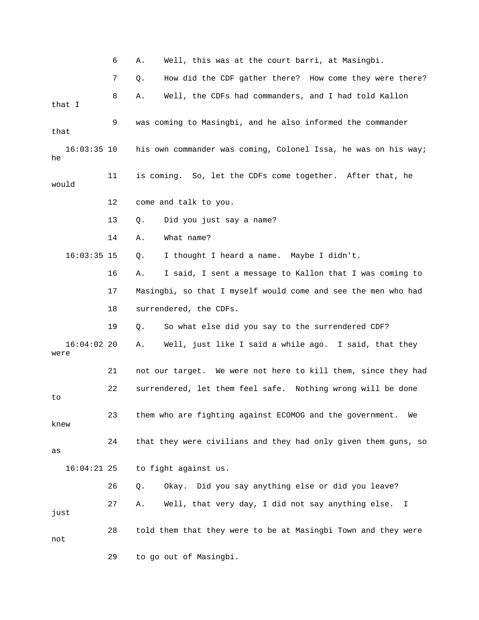6 A. Well, this was at the court barri, at Masingbi.

 7 Q. How did the CDF gather there? How come they were there? 8 A. Well, the CDFs had commanders, and I had told Kallon that I 9 was coming to Masingbi, and he also informed the commander that 16:03:35 10 his own commander was coming, Colonel Issa, he was on his way; he 11 is coming. So, let the CDFs come together. After that, he would 12 come and talk to you. 13 Q. Did you just say a name? 14 A. What name? 16:03:35 15 Q. I thought I heard a name. Maybe I didn't. 16 A. I said, I sent a message to Kallon that I was coming to 17 Masingbi, so that I myself would come and see the men who had 18 surrendered, the CDFs. 19 Q. So what else did you say to the surrendered CDF? 16:04:02 20 A. Well, just like I said a while ago. I said, that they were 21 not our target. We were not here to kill them, since they had 22 surrendered, let them feel safe. Nothing wrong will be done to 23 them who are fighting against ECOMOG and the government. We knew 24 that they were civilians and they had only given them guns, so as 16:04:21 25 to fight against us. 26 Q. Okay. Did you say anything else or did you leave? 27 A. Well, that very day, I did not say anything else. I just 28 told them that they were to be at Masingbi Town and they were not 29 to go out of Masingbi.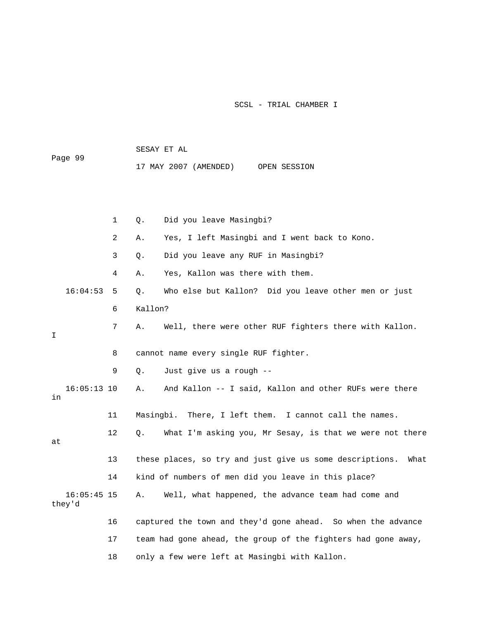SESAY ET AL Page 99 17 MAY 2007 (AMENDED) OPEN SESSION

 1 Q. Did you leave Masingbi? 2 A. Yes, I left Masingbi and I went back to Kono. 3 Q. Did you leave any RUF in Masingbi? 4 A. Yes, Kallon was there with them. 16:04:53 5 Q. Who else but Kallon? Did you leave other men or just 6 Kallon? 7 A. Well, there were other RUF fighters there with Kallon. I 8 cannot name every single RUF fighter. 9 Q. Just give us a rough -- 16:05:13 10 A. And Kallon -- I said, Kallon and other RUFs were there in 11 Masingbi. There, I left them. I cannot call the names. 12 Q. What I'm asking you, Mr Sesay, is that we were not there at 13 these places, so try and just give us some descriptions. What 14 kind of numbers of men did you leave in this place? 16:05:45 15 A. Well, what happened, the advance team had come and they'd 16 captured the town and they'd gone ahead. So when the advance 17 team had gone ahead, the group of the fighters had gone away, 18 only a few were left at Masingbi with Kallon.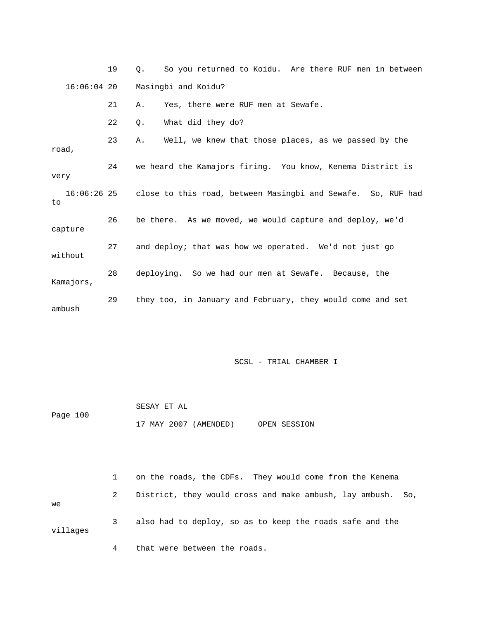19 Q. So you returned to Koidu. Are there RUF men in between 16:06:04 20 Masingbi and Koidu?

21 A. Yes, there were RUF men at Sewafe.

22 Q. What did they do?

 23 A. Well, we knew that those places, as we passed by the road, 24 we heard the Kamajors firing. You know, Kenema District is very 16:06:26 25 close to this road, between Masingbi and Sewafe. So, RUF had to 26 be there. As we moved, we would capture and deploy, we'd capture 27 and deploy; that was how we operated. We'd not just go without 28 deploying. So we had our men at Sewafe. Because, the Kamajors, 29 they too, in January and February, they would come and set ambush

SCSL - TRIAL CHAMBER I

 SESAY ET AL Page 100 17 MAY 2007 (AMENDED) OPEN SESSION

 1 on the roads, the CDFs. They would come from the Kenema 2 District, they would cross and make ambush, lay ambush. So, we 3 also had to deploy, so as to keep the roads safe and the villages

4 that were between the roads.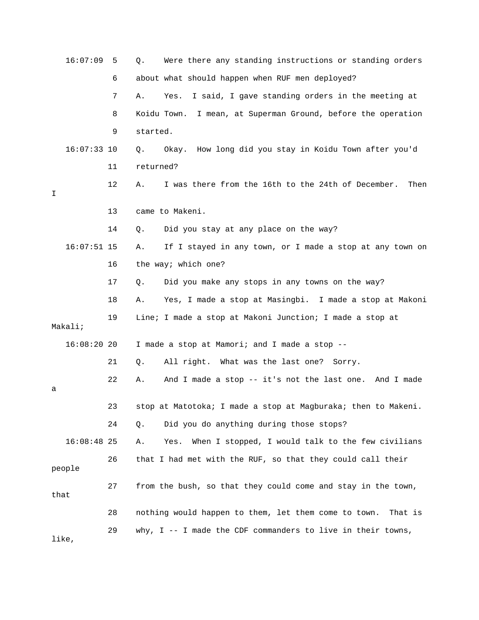|   | 16:07:09      | 5  | Q.        | Were there any standing instructions or standing orders         |
|---|---------------|----|-----------|-----------------------------------------------------------------|
|   |               | 6  |           | about what should happen when RUF men deployed?                 |
|   |               | 7  | Α.        | Yes. I said, I gave standing orders in the meeting at           |
|   |               | 8  |           | Koidu Town. I mean, at Superman Ground, before the operation    |
|   |               | 9  | started.  |                                                                 |
|   | $16:07:33$ 10 |    | Q.        | Okay. How long did you stay in Koidu Town after you'd           |
|   |               | 11 | returned? |                                                                 |
| Ι |               | 12 | Α.        | I was there from the 16th to the 24th of December.<br>Then      |
|   |               | 13 |           | came to Makeni.                                                 |
|   |               | 14 | Q.        | Did you stay at any place on the way?                           |
|   | $16:07:51$ 15 |    | Α.        | If I stayed in any town, or I made a stop at any town on        |
|   |               | 16 |           | the way; which one?                                             |
|   |               | 17 | Q.        | Did you make any stops in any towns on the way?                 |
|   |               | 18 | Α.        | Yes, I made a stop at Masingbi. I made a stop at Makoni         |
|   | Makali;       | 19 |           | Line; I made a stop at Makoni Junction; I made a stop at        |
|   | $16:08:20$ 20 |    |           | I made a stop at Mamori; and I made a stop --                   |
|   |               | 21 | Q.        | All right. What was the last one? Sorry.                        |
| а |               | 22 | Α.        | And I made a stop -- it's not the last one. And I made          |
|   |               | 23 |           | stop at Matotoka; I made a stop at Magburaka; then to Makeni.   |
|   |               | 24 | Q.        | Did you do anything during those stops?                         |
|   | $16:08:48$ 25 |    | Α.        | When I stopped, I would talk to the few civilians<br>Yes.       |
|   | people        | 26 |           | that I had met with the RUF, so that they could call their      |
|   | that          | 27 |           | from the bush, so that they could come and stay in the town,    |
|   |               | 28 |           | nothing would happen to them, let them come to town.<br>That is |
|   | like,         | 29 |           | why, I -- I made the CDF commanders to live in their towns,     |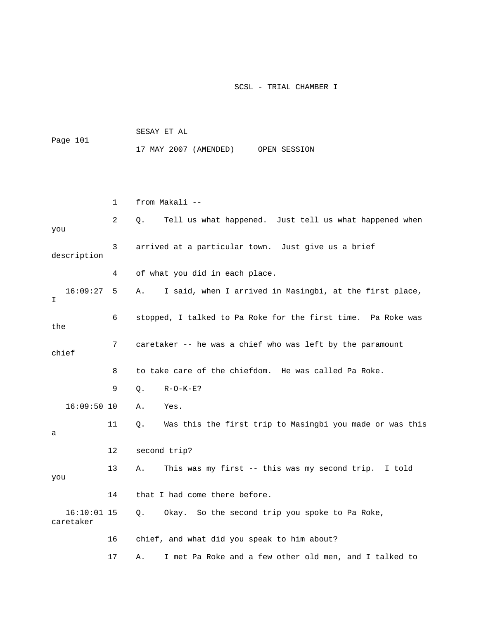|                            |    | 17 MAY 2007 (AMENDED)<br>OPEN SESSION                          |
|----------------------------|----|----------------------------------------------------------------|
|                            |    |                                                                |
|                            | 1  | from Makali --                                                 |
| you                        | 2  | Tell us what happened. Just tell us what happened when<br>Q.   |
| description                | 3  | arrived at a particular town. Just give us a brief             |
|                            | 4  | of what you did in each place.                                 |
| 16:09:27<br>I              | 5  | I said, when I arrived in Masingbi, at the first place,<br>Α.  |
| the                        | 6  | stopped, I talked to Pa Roke for the first time. Pa Roke was   |
| chief                      | 7  | caretaker -- he was a chief who was left by the paramount      |
|                            | 8  | to take care of the chiefdom. He was called Pa Roke.           |
|                            | 9  | $R-O-K-E$ ?<br>Q.                                              |
| $16:09:50$ 10              |    | Yes.<br>Α.                                                     |
| а                          | 11 | Was this the first trip to Masingbi you made or was this<br>Q. |
|                            | 12 | second trip?                                                   |
| you                        | 13 | This was my first -- this was my second trip.<br>Α.<br>I told  |
|                            | 14 | that I had come there before.                                  |
| $16:10:01$ 15<br>caretaker |    | Okay. So the second trip you spoke to Pa Roke,<br>Q.           |
|                            | 16 | chief, and what did you speak to him about?                    |
|                            | 17 | I met Pa Roke and a few other old men, and I talked to<br>Α.   |

SESAY ET AL

Page 101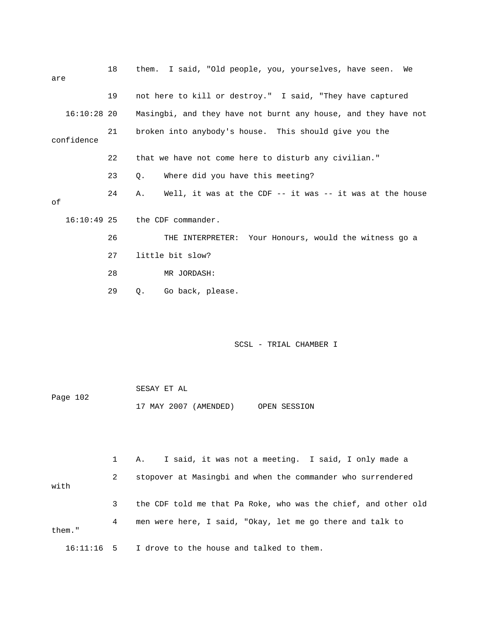| are |               | 18 | them. I said, "Old people, you, yourselves, have seen. We          |  |  |
|-----|---------------|----|--------------------------------------------------------------------|--|--|
|     |               | 19 | not here to kill or destroy." I said, "They have captured          |  |  |
|     | $16:10:28$ 20 |    | Masingbi, and they have not burnt any house, and they have not     |  |  |
|     | confidence    | 21 | broken into anybody's house. This should give you the              |  |  |
|     |               | 22 | that we have not come here to disturb any civilian."               |  |  |
|     |               | 23 | Where did you have this meeting?<br>$\circ$ .                      |  |  |
| оf  |               | 24 | Well, it was at the CDF $--$ it was $--$ it was at the house<br>Α. |  |  |
|     | $16:10:49$ 25 |    | the CDF commander.                                                 |  |  |
|     |               | 26 | THE INTERPRETER: Your Honours, would the witness go a              |  |  |
|     |               | 27 | little bit slow?                                                   |  |  |
|     |               | 28 | MR JORDASH:                                                        |  |  |
|     |               | 29 | Go back, please.<br>Q.                                             |  |  |
|     |               |    |                                                                    |  |  |
|     |               |    |                                                                    |  |  |

|          | SESAY ET AL           |              |
|----------|-----------------------|--------------|
| Page 102 |                       |              |
|          | 17 MAY 2007 (AMENDED) | OPEN SESSION |

 1 A. I said, it was not a meeting. I said, I only made a 2 stopover at Masingbi and when the commander who surrendered with 3 the CDF told me that Pa Roke, who was the chief, and other old 4 men were here, I said, "Okay, let me go there and talk to them." 16:11:16 5 I drove to the house and talked to them.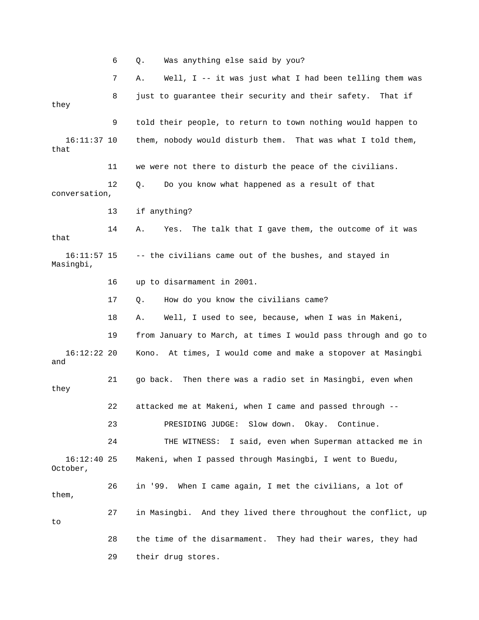6 Q. Was anything else said by you?

 7 A. Well, I -- it was just what I had been telling them was 8 just to guarantee their security and their safety. That if they 9 told their people, to return to town nothing would happen to 16:11:37 10 them, nobody would disturb them. That was what I told them, that 11 we were not there to disturb the peace of the civilians. 12 Q. Do you know what happened as a result of that conversation, 13 if anything? 14 A. Yes. The talk that I gave them, the outcome of it was that 16:11:57 15 -- the civilians came out of the bushes, and stayed in Masingbi, 16 up to disarmament in 2001. 17 Q. How do you know the civilians came? 18 A. Well, I used to see, because, when I was in Makeni, 19 from January to March, at times I would pass through and go to 16:12:22 20 Kono. At times, I would come and make a stopover at Masingbi and 21 go back. Then there was a radio set in Masingbi, even when they 22 attacked me at Makeni, when I came and passed through -- 23 PRESIDING JUDGE: Slow down. Okay. Continue. 24 THE WITNESS: I said, even when Superman attacked me in 16:12:40 25 Makeni, when I passed through Masingbi, I went to Buedu, October, 26 in '99. When I came again, I met the civilians, a lot of them, 27 in Masingbi. And they lived there throughout the conflict, up to 28 the time of the disarmament. They had their wares, they had 29 their drug stores.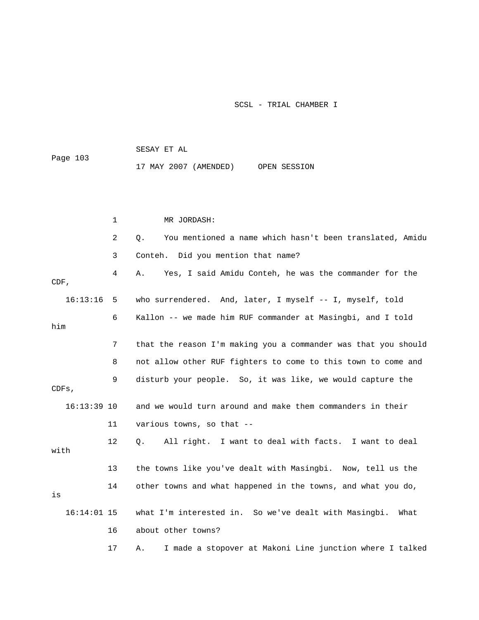SESAY ET AL Page 103 17 MAY 2007 (AMENDED) OPEN SESSION

|               | $\mathbf{1}$ | MR JORDASH:                                                    |
|---------------|--------------|----------------------------------------------------------------|
|               | 2            | You mentioned a name which hasn't been translated, Amidu<br>Q. |
|               | 3            | Conteh. Did you mention that name?                             |
| $CDF$ ,       | 4            | Yes, I said Amidu Conteh, he was the commander for the<br>Α.   |
| 16:13:16      | - 5          | who surrendered. And, later, I myself -- I, myself, told       |
| him           | 6            | Kallon -- we made him RUF commander at Masingbi, and I told    |
|               | 7            | that the reason I'm making you a commander was that you should |
|               | 8            | not allow other RUF fighters to come to this town to come and  |
| CDFs,         | 9            | disturb your people. So, it was like, we would capture the     |
| $16:13:39$ 10 |              | and we would turn around and make them commanders in their     |
|               | 11           | various towns, so that --                                      |
| with          | 12           | All right. I want to deal with facts. I want to deal<br>О.     |
|               | 13           | the towns like you've dealt with Masingbi. Now, tell us the    |
| is            | 14           | other towns and what happened in the towns, and what you do,   |
| $16:14:01$ 15 |              | what I'm interested in. So we've dealt with Masingbi.<br>What  |
|               | 16           | about other towns?                                             |
|               | 17           | I made a stopover at Makoni Line junction where I talked<br>Α. |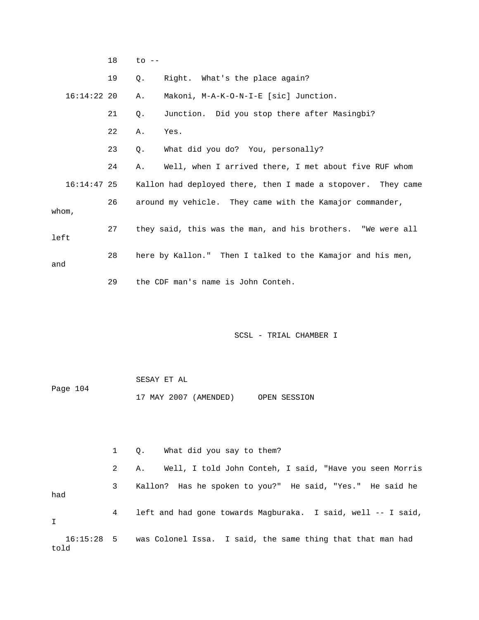|       |               | 18 | $\overline{c}$ $\overline{c}$ $\overline{c}$ $\overline{c}$ $\overline{c}$ |                                                              |
|-------|---------------|----|----------------------------------------------------------------------------|--------------------------------------------------------------|
|       |               | 19 | 0.                                                                         | Right. What's the place again?                               |
|       | $16:14:22$ 20 |    | Α.                                                                         | Makoni, M-A-K-O-N-I-E [sic] Junction.                        |
|       |               | 21 | $Q$ .                                                                      | Junction. Did you stop there after Masingbi?                 |
|       |               | 22 | Α.                                                                         | Yes.                                                         |
|       |               | 23 | Ο.                                                                         | What did you do? You, personally?                            |
|       |               | 24 | Α.                                                                         | Well, when I arrived there, I met about five RUF whom        |
|       | $16:14:47$ 25 |    |                                                                            | Kallon had deployed there, then I made a stopover. They came |
| whom. |               | 26 |                                                                            | around my vehicle. They came with the Kamajor commander,     |
| left  |               | 27 |                                                                            | they said, this was the man, and his brothers. "We were all  |
| and   |               | 28 |                                                                            | here by Kallon." Then I talked to the Kamajor and his men,   |
|       |               | 29 |                                                                            | the CDF man's name is John Conteh.                           |

 SESAY ET AL Page 104 17 MAY 2007 (AMENDED) OPEN SESSION

 1 Q. What did you say to them? 2 A. Well, I told John Conteh, I said, "Have you seen Morris 3 Kallon? Has he spoken to you?" He said, "Yes." He said he had 4 left and had gone towards Magburaka. I said, well -- I said, I 16:15:28 5 was Colonel Issa. I said, the same thing that that man had told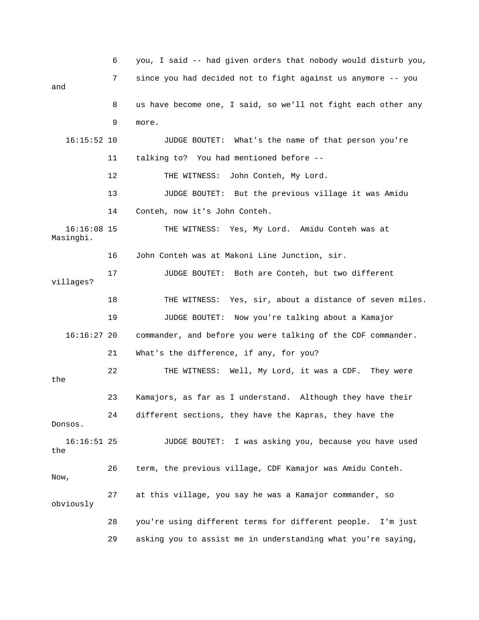6 you, I said -- had given orders that nobody would disturb you, 7 since you had decided not to fight against us anymore -- you and 8 us have become one, I said, so we'll not fight each other any 9 more. 16:15:52 10 JUDGE BOUTET: What's the name of that person you're 11 talking to? You had mentioned before -- 12 THE WITNESS: John Conteh, My Lord. 13 JUDGE BOUTET: But the previous village it was Amidu 14 Conteh, now it's John Conteh. 16:16:08 15 THE WITNESS: Yes, My Lord. Amidu Conteh was at Masingbi. 16 John Conteh was at Makoni Line Junction, sir. 17 JUDGE BOUTET: Both are Conteh, but two different villages? 18 THE WITNESS: Yes, sir, about a distance of seven miles. 19 JUDGE BOUTET: Now you're talking about a Kamajor 16:16:27 20 commander, and before you were talking of the CDF commander. 21 What's the difference, if any, for you? 22 THE WITNESS: Well, My Lord, it was a CDF. They were the 23 Kamajors, as far as I understand. Although they have their 24 different sections, they have the Kapras, they have the Donsos. 16:16:51 25 JUDGE BOUTET: I was asking you, because you have used the 26 term, the previous village, CDF Kamajor was Amidu Conteh. Now, 27 at this village, you say he was a Kamajor commander, so obviously 28 you're using different terms for different people. I'm just 29 asking you to assist me in understanding what you're saying,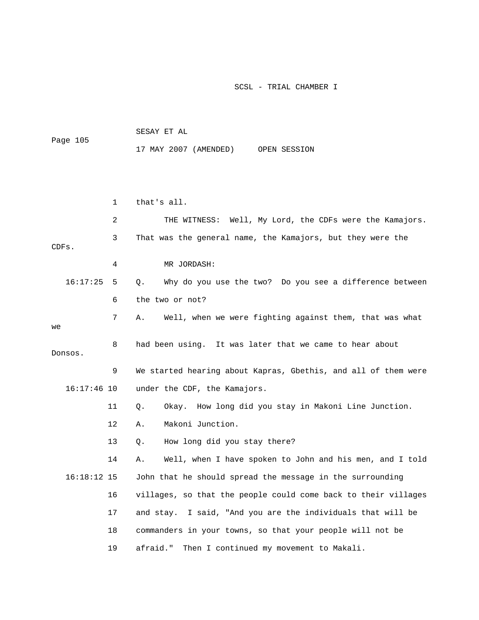| Page 105      |              |                                                                |
|---------------|--------------|----------------------------------------------------------------|
|               |              | 17 MAY 2007 (AMENDED)<br>OPEN SESSION                          |
|               |              |                                                                |
|               |              |                                                                |
|               |              |                                                                |
|               | $\mathbf{1}$ | that's all.                                                    |
|               | 2            | THE WITNESS: Well, My Lord, the CDFs were the Kamajors.        |
| CDFs.         | 3            | That was the general name, the Kamajors, but they were the     |
|               | 4            | MR JORDASH:                                                    |
| 16:17:25      | 5            | Why do you use the two? Do you see a difference between<br>Q.  |
|               | 6            | the two or not?                                                |
| we            | 7            | Well, when we were fighting against them, that was what<br>Α.  |
| Donsos.       | 8            | had been using. It was later that we came to hear about        |
|               | 9            | We started hearing about Kapras, Gbethis, and all of them were |
| $16:17:46$ 10 |              | under the CDF, the Kamajors.                                   |
|               | 11           | Okay. How long did you stay in Makoni Line Junction.<br>Q.     |
|               | 12           | Makoni Junction.<br>Α.                                         |
|               | 13           | How long did you stay there?<br>Q.                             |
|               | 14           | Well, when I have spoken to John and his men, and I told<br>Α. |
| $16:18:12$ 15 |              | John that he should spread the message in the surrounding      |
|               | 16           | villages, so that the people could come back to their villages |
|               | 17           | I said, "And you are the individuals that will be<br>and stay. |
|               | 18           | commanders in your towns, so that your people will not be      |
|               | 19           | afraid."<br>Then I continued my movement to Makali.            |

SESAY ET AL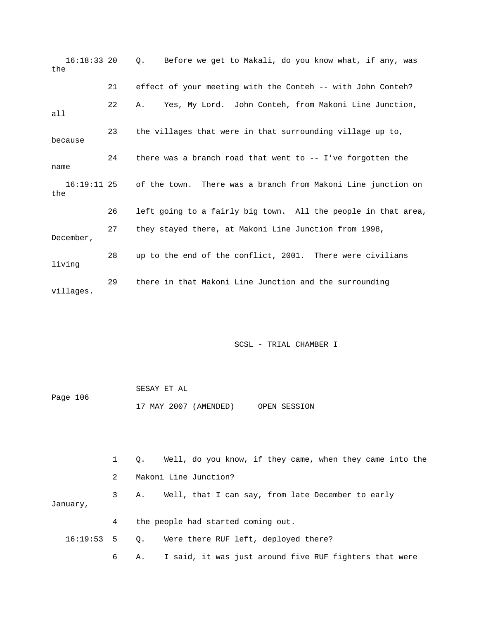| $16:18:33$ 20<br>the |    | Before we get to Makali, do you know what, if any, was<br>$\circ$ .      |
|----------------------|----|--------------------------------------------------------------------------|
|                      | 21 | effect of your meeting with the Conteh -- with John Conteh?              |
| a11                  | 22 | Yes, My Lord. John Conteh, from Makoni Line Junction,<br>А.              |
| because              | 23 | the villages that were in that surrounding village up to,                |
| name                 | 24 | there was a branch road that went to $-$ - I've forgotten the            |
| the                  |    | 16:19:11 25 of the town. There was a branch from Makoni Line junction on |
|                      | 26 | left going to a fairly big town. All the people in that area,            |
| December,            | 27 | they stayed there, at Makoni Line Junction from 1998,                    |
| living               | 28 | up to the end of the conflict, 2001. There were civilians                |
| villages.            | 29 | there in that Makoni Line Junction and the surrounding                   |

|          | SESAY ET AL |                       |              |
|----------|-------------|-----------------------|--------------|
| Page 106 |             |                       |              |
|          |             | 17 MAY 2007 (AMENDED) | OPEN SESSION |

|          | $\mathbf{1}$  | Q. Well, do you know, if they came, when they came into the |
|----------|---------------|-------------------------------------------------------------|
|          | $\mathcal{L}$ | Makoni Line Junction?                                       |
| January, | 3             | Well, that I can say, from late December to early<br>А.     |
|          | 4             | the people had started coming out.                          |
|          |               | 16:19:53 5 Q. Were there RUF left, deployed there?          |
|          | 6             | A. I said, it was just around five RUF fighters that were   |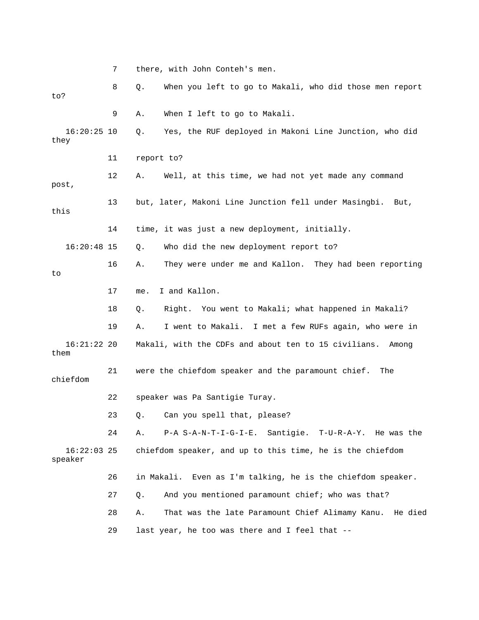7 there, with John Conteh's men. 8 Q. When you left to go to Makali, who did those men report to? 9 A. When I left to go to Makali. 16:20:25 10 Q. Yes, the RUF deployed in Makoni Line Junction, who did they 11 report to? 12 A. Well, at this time, we had not yet made any command post, 13 but, later, Makoni Line Junction fell under Masingbi. But, this 14 time, it was just a new deployment, initially. 16:20:48 15 Q. Who did the new deployment report to? 16 A. They were under me and Kallon. They had been reporting to 17 me. I and Kallon. 18 Q. Right. You went to Makali; what happened in Makali? 19 A. I went to Makali. I met a few RUFs again, who were in 16:21:22 20 Makali, with the CDFs and about ten to 15 civilians. Among them 21 were the chiefdom speaker and the paramount chief. The chiefdom 22 speaker was Pa Santigie Turay. 23 Q. Can you spell that, please? 24 A. P-A S-A-N-T-I-G-I-E. Santigie. T-U-R-A-Y. He was the 16:22:03 25 chiefdom speaker, and up to this time, he is the chiefdom speaker 26 in Makali. Even as I'm talking, he is the chiefdom speaker. 27 Q. And you mentioned paramount chief; who was that? 28 A. That was the late Paramount Chief Alimamy Kanu. He died 29 last year, he too was there and I feel that --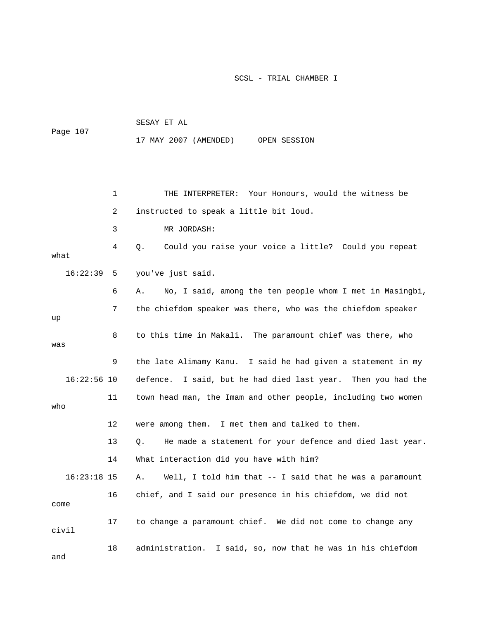| Page 107      |    | SESAY ET AL                                                     |  |  |  |  |  |  |
|---------------|----|-----------------------------------------------------------------|--|--|--|--|--|--|
|               |    | 17 MAY 2007 (AMENDED) OPEN SESSION                              |  |  |  |  |  |  |
|               |    |                                                                 |  |  |  |  |  |  |
|               |    |                                                                 |  |  |  |  |  |  |
|               | 1  | THE INTERPRETER: Your Honours, would the witness be             |  |  |  |  |  |  |
|               | 2  | instructed to speak a little bit loud.                          |  |  |  |  |  |  |
|               | 3  | MR JORDASH:                                                     |  |  |  |  |  |  |
| what          | 4  | Could you raise your voice a little? Could you repeat<br>Q.     |  |  |  |  |  |  |
| 16:22:39      | 5  | you've just said.                                               |  |  |  |  |  |  |
|               | 6  | No, I said, among the ten people whom I met in Masingbi,<br>Α.  |  |  |  |  |  |  |
| up            | 7  | the chiefdom speaker was there, who was the chiefdom speaker    |  |  |  |  |  |  |
| was           | 8  | to this time in Makali. The paramount chief was there, who      |  |  |  |  |  |  |
|               | 9  | the late Alimamy Kanu. I said he had given a statement in my    |  |  |  |  |  |  |
| $16:22:56$ 10 |    | defence.<br>I said, but he had died last year. Then you had the |  |  |  |  |  |  |
| who           | 11 | town head man, the Imam and other people, including two women   |  |  |  |  |  |  |
|               | 12 | were among them. I met them and talked to them.                 |  |  |  |  |  |  |
|               | 13 | He made a statement for your defence and died last year.<br>Ο.  |  |  |  |  |  |  |
|               | 14 | What interaction did you have with him?                         |  |  |  |  |  |  |
| $16:23:18$ 15 |    | Well, I told him that -- I said that he was a paramount<br>Α.   |  |  |  |  |  |  |
| come          | 16 | chief, and I said our presence in his chiefdom, we did not      |  |  |  |  |  |  |
| civil         | 17 | to change a paramount chief. We did not come to change any      |  |  |  |  |  |  |
| and           | 18 | administration. I said, so, now that he was in his chiefdom     |  |  |  |  |  |  |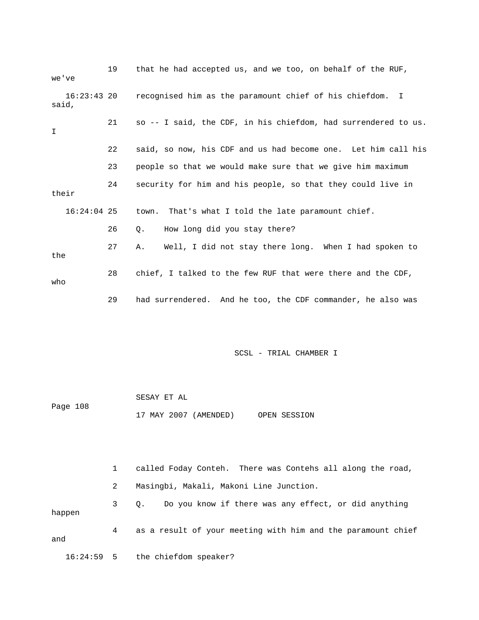| we've                  | 19 | that he had accepted us, and we too, on behalf of the RUF,     |
|------------------------|----|----------------------------------------------------------------|
| $16:23:43$ 20<br>said, |    | recognised him as the paramount chief of his chiefdom. I       |
| I                      | 21 | so -- I said, the CDF, in his chiefdom, had surrendered to us. |
|                        | 22 | said, so now, his CDF and us had become one. Let him call his  |
|                        | 23 | people so that we would make sure that we give him maximum     |
| their                  | 24 | security for him and his people, so that they could live in    |
| $16:24:04$ 25          |    | town. That's what I told the late paramount chief.             |
|                        | 26 | How long did you stay there?<br>О.                             |
| the                    | 27 | Well, I did not stay there long. When I had spoken to<br>Α.    |
| who                    | 28 | chief, I talked to the few RUF that were there and the CDF,    |
|                        | 29 | had surrendered. And he too, the CDF commander, he also was    |

|          | SESAY ET AL |                       |              |
|----------|-------------|-----------------------|--------------|
| Page 108 |             |                       |              |
|          |             | 17 MAY 2007 (AMENDED) | OPEN SESSION |

 1 called Foday Conteh. There was Contehs all along the road, 2 Masingbi, Makali, Makoni Line Junction. 3 Q. Do you know if there was any effect, or did anything happen 4 as a result of your meeting with him and the paramount chief and 16:24:59 5 the chiefdom speaker?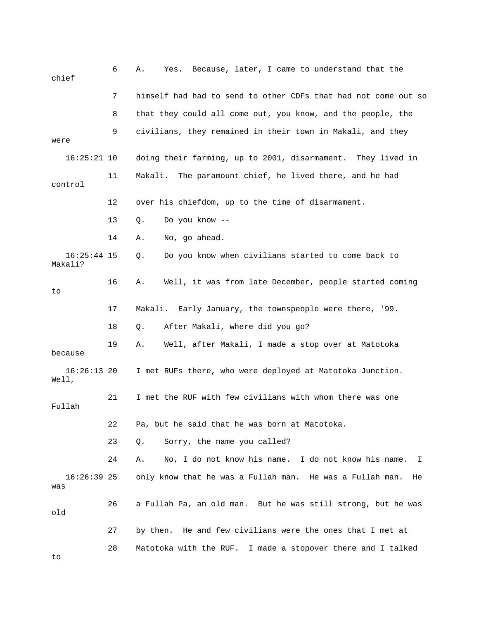| chief                    | 6  | Yes. Because, later, I came to understand that the<br>Α.       |
|--------------------------|----|----------------------------------------------------------------|
|                          | 7  | himself had had to send to other CDFs that had not come out so |
|                          | 8  | that they could all come out, you know, and the people, the    |
| were                     | 9  | civilians, they remained in their town in Makali, and they     |
| $16:25:21$ 10            |    | doing their farming, up to 2001, disarmament. They lived in    |
| control                  | 11 | Makali.<br>The paramount chief, he lived there, and he had     |
|                          | 12 | over his chiefdom, up to the time of disarmament.              |
|                          | 13 | Do you know --<br>Q.                                           |
|                          | 14 | No, go ahead.<br>Α.                                            |
| $16:25:44$ 15<br>Makali? |    | Do you know when civilians started to come back to<br>Q.       |
| to                       | 16 | Well, it was from late December, people started coming<br>Α.   |
|                          | 17 | Makali. Early January, the townspeople were there, '99.        |
|                          | 18 | After Makali, where did you go?<br>Q.                          |
| because                  | 19 | Well, after Makali, I made a stop over at Matotoka<br>Α.       |
| $16:26:13$ 20<br>Well,   |    | I met RUFs there, who were deployed at Matotoka Junction.      |
| Fullah                   | 21 | I met the RUF with few civilians with whom there was one       |
|                          | 22 | Pa, but he said that he was born at Matotoka.                  |
|                          | 23 | Sorry, the name you called?<br>Q.                              |
|                          | 24 | No, I do not know his name. I do not know his name.<br>Α.<br>I |
| $16:26:39$ 25<br>was     |    | only know that he was a Fullah man. He was a Fullah man.<br>He |
| old                      | 26 | a Fullah Pa, an old man. But he was still strong, but he was   |
|                          | 27 | by then. He and few civilians were the ones that I met at      |
| to                       | 28 | Matotoka with the RUF. I made a stopover there and I talked    |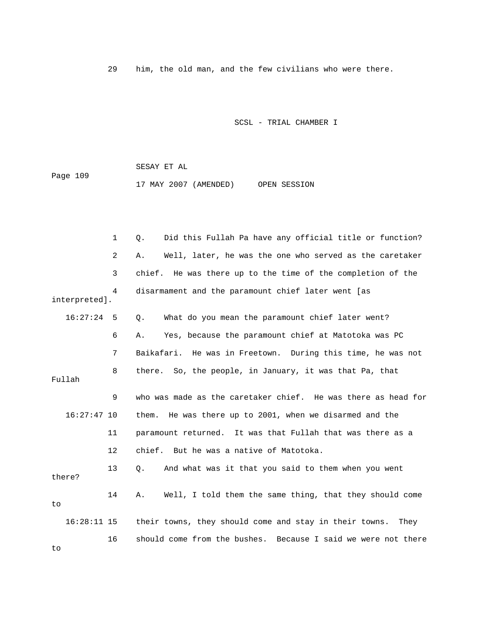29 him, the old man, and the few civilians who were there.

SCSL - TRIAL CHAMBER I

 SESAY ET AL Page 109 17 MAY 2007 (AMENDED) OPEN SESSION

 1 Q. Did this Fullah Pa have any official title or function? 2 A. Well, later, he was the one who served as the caretaker 3 chief. He was there up to the time of the completion of the 4 disarmament and the paramount chief later went [as interpreted]. 16:27:24 5 Q. What do you mean the paramount chief later went? 6 A. Yes, because the paramount chief at Matotoka was PC 7 Baikafari. He was in Freetown. During this time, he was not 8 there. So, the people, in January, it was that Pa, that Fullah 9 who was made as the caretaker chief. He was there as head for 16:27:47 10 them. He was there up to 2001, when we disarmed and the 11 paramount returned. It was that Fullah that was there as a 12 chief. But he was a native of Matotoka. 13 Q. And what was it that you said to them when you went there? 14 A. Well, I told them the same thing, that they should come to 16:28:11 15 their towns, they should come and stay in their towns. They 16 should come from the bushes. Because I said we were not there to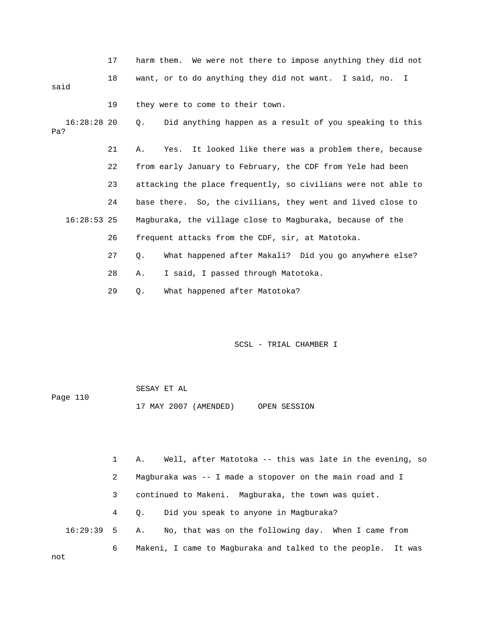|      |    | harm them. We were not there to impose anything they did not |
|------|----|--------------------------------------------------------------|
| said | 18 | want, or to do anything they did not want. I said, no. I     |
|      | 19 | they were to come to their town.                             |

 16:28:28 20 Q. Did anything happen as a result of you speaking to this Pa?

 21 A. Yes. It looked like there was a problem there, because 22 from early January to February, the CDF from Yele had been 23 attacking the place frequently, so civilians were not able to 24 base there. So, the civilians, they went and lived close to 16:28:53 25 Magburaka, the village close to Magburaka, because of the 26 frequent attacks from the CDF, sir, at Matotoka. 27 Q. What happened after Makali? Did you go anywhere else? 28 A. I said, I passed through Matotoka.

29 Q. What happened after Matotoka?

SCSL - TRIAL CHAMBER I

 SESAY ET AL Page 110 17 MAY 2007 (AMENDED) OPEN SESSION

 1 A. Well, after Matotoka -- this was late in the evening, so 2 Magburaka was -- I made a stopover on the main road and I 3 continued to Makeni. Magburaka, the town was quiet. 4 Q. Did you speak to anyone in Magburaka? 16:29:39 5 A. No, that was on the following day. When I came from 6 Makeni, I came to Magburaka and talked to the people. It was

not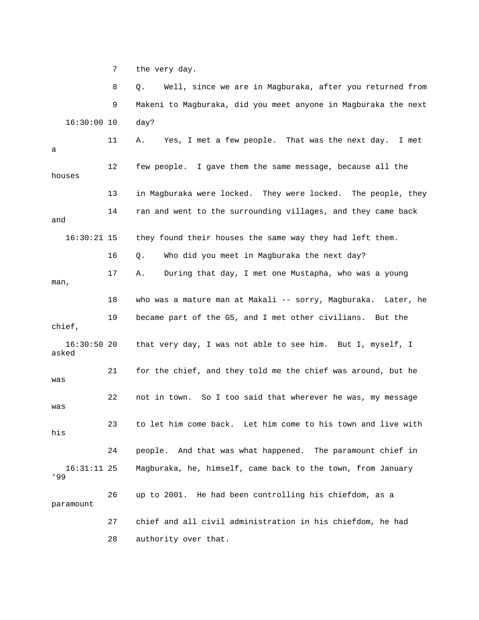7 the very day.

 8 Q. Well, since we are in Magburaka, after you returned from 9 Makeni to Magburaka, did you meet anyone in Magburaka the next 16:30:00 10 day? 11 A. Yes, I met a few people. That was the next day. I met a 12 few people. I gave them the same message, because all the houses 13 in Magburaka were locked. They were locked. The people, they 14 ran and went to the surrounding villages, and they came back and 16:30:21 15 they found their houses the same way they had left them. 16 Q. Who did you meet in Magburaka the next day? 17 A. During that day, I met one Mustapha, who was a young man, 18 who was a mature man at Makali -- sorry, Magburaka. Later, he 19 became part of the G5, and I met other civilians. But the chief, 16:30:50 20 that very day, I was not able to see him. But I, myself, I asked 21 for the chief, and they told me the chief was around, but he was 22 not in town. So I too said that wherever he was, my message was 23 to let him come back. Let him come to his town and live with his 24 people. And that was what happened. The paramount chief in 16:31:11 25 Magburaka, he, himself, came back to the town, from January '99 26 up to 2001. He had been controlling his chiefdom, as a paramount 27 chief and all civil administration in his chiefdom, he had 28 authority over that.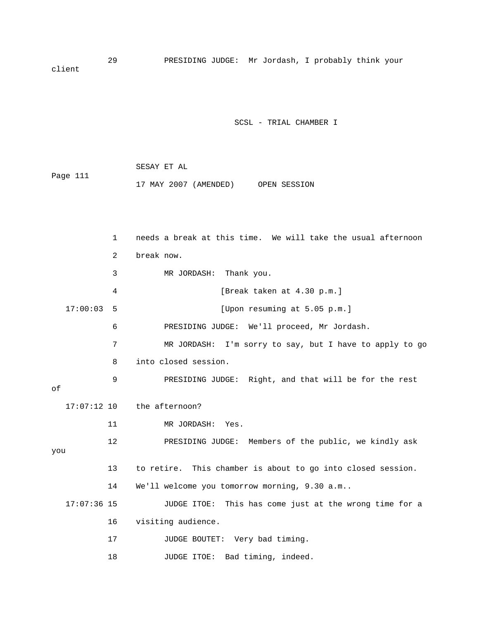29 PRESIDING JUDGE: Mr Jordash, I probably think your client

SCSL - TRIAL CHAMBER I

|          |  | SESAY ET AL |                       |              |
|----------|--|-------------|-----------------------|--------------|
| Page 111 |  |             |                       |              |
|          |  |             | 17 MAY 2007 (AMENDED) | OPEN SESSION |

 1 needs a break at this time. We will take the usual afternoon 2 break now. 3 MR JORDASH: Thank you. 4 [Break taken at 4.30 p.m.] 17:00:03 5 [Upon resuming at 5.05 p.m.] 6 PRESIDING JUDGE: We'll proceed, Mr Jordash. 7 MR JORDASH: I'm sorry to say, but I have to apply to go 8 into closed session. 9 PRESIDING JUDGE: Right, and that will be for the rest of 17:07:12 10 the afternoon? 11 MR JORDASH: Yes. 12 PRESIDING JUDGE: Members of the public, we kindly ask you 13 to retire. This chamber is about to go into closed session. 14 We'll welcome you tomorrow morning, 9.30 a.m.. 17:07:36 15 JUDGE ITOE: This has come just at the wrong time for a 16 visiting audience. 17 JUDGE BOUTET: Very bad timing. 18 JUDGE ITOE: Bad timing, indeed.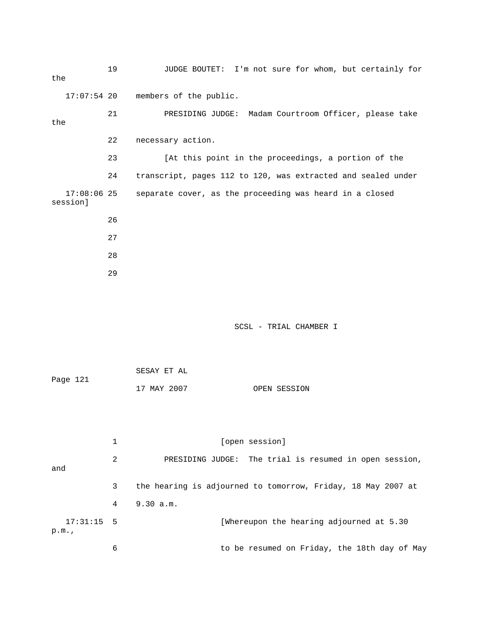| the                       | 19 | JUDGE BOUTET: I'm not sure for whom, but certainly for       |
|---------------------------|----|--------------------------------------------------------------|
|                           |    | 17:07:54 20 members of the public.                           |
| the                       | 21 | PRESIDING JUDGE: Madam Courtroom Officer, please take        |
|                           | 22 | necessary action.                                            |
|                           | 23 | [At this point in the proceedings, a portion of the          |
|                           | 24 | transcript, pages 112 to 120, was extracted and sealed under |
| $17:08:06$ 25<br>sessionl |    | separate cover, as the proceeding was heard in a closed      |
|                           | 26 |                                                              |
|                           | 27 |                                                              |
|                           | 28 |                                                              |
|                           | 29 |                                                              |

|          | SESAY ET AL |              |
|----------|-------------|--------------|
| Page 121 |             |              |
|          | 17 MAY 2007 | OPEN SESSION |

|                      |   | [open session]                                               |  |  |
|----------------------|---|--------------------------------------------------------------|--|--|
| and                  | 2 | PRESIDING JUDGE: The trial is resumed in open session,       |  |  |
|                      | 3 | the hearing is adjourned to tomorrow, Friday, 18 May 2007 at |  |  |
|                      | 4 | 9.30 a.m.                                                    |  |  |
| $17:31:15$ 5<br>p.m. |   | [Whereupon the hearing adjourned at 5.30                     |  |  |
|                      | 6 | to be resumed on Friday, the 18th day of May                 |  |  |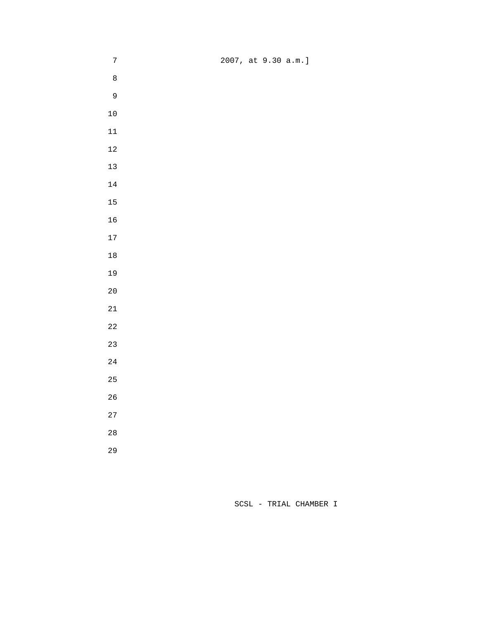| $\sqrt{ }$  | 2007, at 9.30 a.m.] |
|-------------|---------------------|
| $\,8\,$     |                     |
| $\mathsf 9$ |                     |
| $10$        |                     |
| $11\,$      |                     |
| $12\,$      |                     |
| 13          |                     |
| 14          |                     |
| 15          |                     |
| 16          |                     |
| $17\,$      |                     |
| $1\,8$      |                     |
| 19          |                     |
| 20          |                     |
| $21\,$      |                     |
| 22          |                     |
| 23          |                     |
| 24          |                     |
| 25          |                     |
| 26          |                     |
| 27          |                     |
| $2\,8$      |                     |
| 29          |                     |